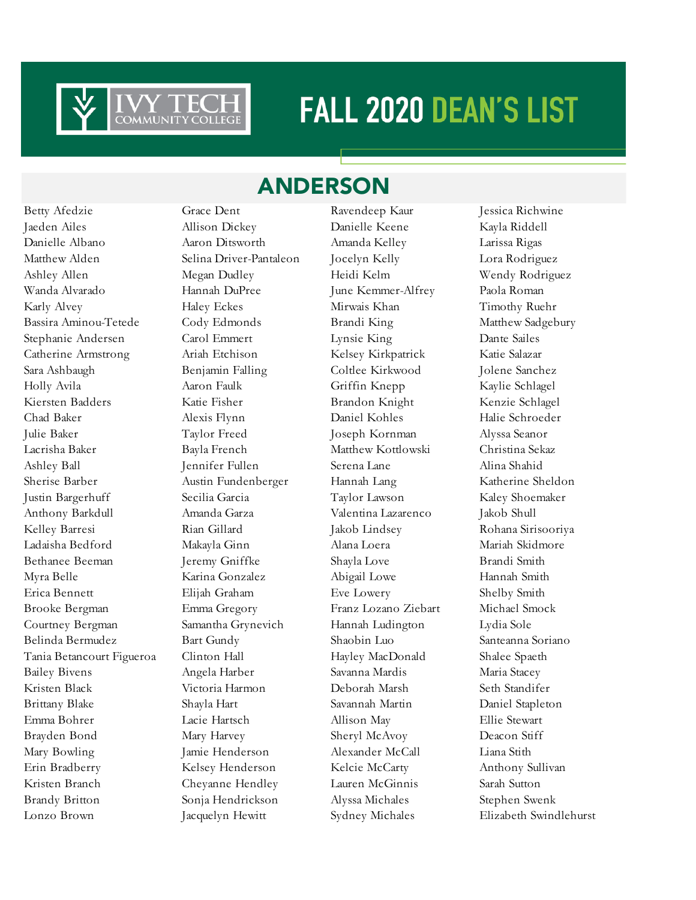

### ANDERSON

Jaeden Ailes Allison Dickey Danielle Keene Kayla Riddell Danielle Albano Aaron Ditsworth Amanda Kelley Larissa Rigas Matthew Alden Selina Driver-Pantaleon Jocelyn Kelly Lora Rodriguez Ashley Allen Megan Dudley Heidi Kelm Wendy Rodriguez Wanda Alvarado Hannah DuPree June Kemmer-Alfrey Paola Roman Karly Alvey **Haley Eckes** Mirwais Khan Timothy Ruehr Bassira Aminou-Tetede Cody Edmonds Brandi King Matthew Sadgebury Stephanie Andersen Carol Emmert Lynsie King Dante Sailes Catherine Armstrong Ariah Etchison Kelsey Kirkpatrick Katie Salazar Sara Ashbaugh Benjamin Falling Coltlee Kirkwood Jolene Sanchez Holly Avila Aaron Faulk Griffin Knepp Kaylie Schlagel Kiersten Badders Katie Fisher Brandon Knight Kenzie Schlagel Chad Baker Alexis Flynn Daniel Kohles Halie Schroeder Julie Baker Taylor Freed Joseph Kornman Alyssa Seanor Lacrisha Baker Bayla French Matthew Kottlowski Christina Sekaz Ashley Ball Jennifer Fullen Serena Lane Alina Shahid Sherise Barber Austin Fundenberger Hannah Lang Katherine Sheldon Justin Bargerhuff Secilia Garcia Taylor Lawson Kaley Shoemaker Anthony Barkdull Amanda Garza Valentina Lazarenco Jakob Shull Kelley Barresi Rian Gillard Jakob Lindsey Rohana Sirisooriya Ladaisha Bedford Makayla Ginn Alana Loera Mariah Skidmore Bethanee Beeman Jeremy Gniffke Shayla Love Brandi Smith Myra Belle Karina Gonzalez Abigail Lowe Hannah Smith Erica Bennett Elijah Graham Eve Lowery Shelby Smith Brooke Bergman Emma Gregory Franz Lozano Ziebart Michael Smock Courtney Bergman Samantha Grynevich Hannah Ludington Lydia Sole Belinda Bermudez Bart Gundy Shaobin Luo Santeanna Soriano Tania Betancourt Figueroa Clinton Hall Hayley MacDonald Shalee Spaeth Bailey Bivens Angela Harber Savanna Mardis Maria Stacey Kristen Black Victoria Harmon Deborah Marsh Seth Standifer Brittany Blake Shayla Hart Savannah Martin Daniel Stapleton Emma Bohrer Lacie Hartsch Allison May Ellie Stewart Brayden Bond Mary Harvey Sheryl McAvoy Deacon Stiff Mary Bowling Jamie Henderson Alexander McCall Liana Stith Erin Bradberry Kelsey Henderson Kelcie McCarty Anthony Sullivan Kristen Branch Cheyanne Hendley Lauren McGinnis Sarah Sutton Brandy Britton Sonja Hendrickson Alyssa Michales Stephen Swenk Lonzo Brown Jacquelyn Hewitt Sydney Michales Elizabeth Swindlehurst

Betty Afedzie Grace Dent Ravendeep Kaur Jessica Richwine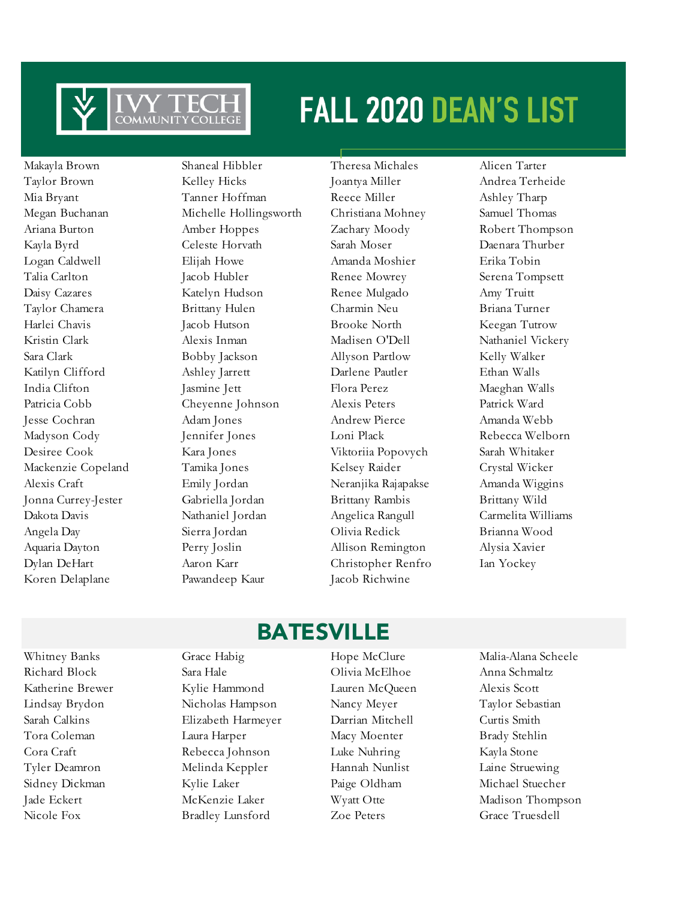

Koren Delaplane Pawandeep Kaur Jacob Richwine

Makayla Brown Shaneal Hibbler Theresa Michales Alicen Tarter Taylor Brown Kelley Hicks Joantya Miller Andrea Terheide Mia Bryant Tanner Hoffman Reece Miller Ashley Tharp Megan Buchanan Michelle Hollingsworth Christiana Mohney Samuel Thomas Ariana Burton Amber Hoppes Zachary Moody Robert Thompson Kayla Byrd Celeste Horvath Sarah Moser Daenara Thurber Logan Caldwell Elijah Howe Amanda Moshier Erika Tobin Talia Carlton Jacob Hubler Renee Mowrey Serena Tompsett Daisy Cazares Katelyn Hudson Renee Mulgado Amy Truitt Taylor Chamera Brittany Hulen Charmin Neu Briana Turner Harlei Chavis Jacob Hutson Brooke North Keegan Tutrow Kristin Clark Alexis Inman Madisen O'Dell Nathaniel Vickery Sara Clark Bobby Jackson Allyson Partlow Kelly Walker Katilyn Clifford Ashley Jarrett Darlene Pautler Ethan Walls India Clifton Jasmine Jett Flora Perez Maeghan Walls Patricia Cobb Cheyenne Johnson Alexis Peters Patrick Ward Jesse Cochran Adam Jones Andrew Pierce Amanda Webb Madyson Cody Jennifer Jones Loni Plack Rebecca Welborn Desiree Cook Kara Jones Viktoriia Popovych Sarah Whitaker Mackenzie Copeland Tamika Jones Kelsey Raider Crystal Wicker Alexis Craft Emily Jordan Neranjika Rajapakse Amanda Wiggins Jonna Currey-Jester Gabriella Jordan Brittany Rambis Brittany Wild Dakota Davis Nathaniel Jordan Angelica Rangull Carmelita Williams Angela Day Sierra Jordan Olivia Redick Brianna Wood Aquaria Dayton Perry Joslin Allison Remington Alysia Xavier Dylan DeHart Aaron Karr Christopher Renfro Ian Yockey

Whitney Banks Grace Habig Hope McClure Malia-Alana Scheele

### BATESVILLE

Richard Block Sara Hale Olivia McElhoe Anna Schmaltz Katherine Brewer Kylie Hammond Lauren McQueen Alexis Scott Lindsay Brydon Nicholas Hampson Nancy Meyer Taylor Sebastian Sarah Calkins Elizabeth Harmeyer Darrian Mitchell Curtis Smith Tora Coleman Laura Harper Macy Moenter Brady Stehlin Cora Craft Rebecca Johnson Luke Nuhring Kayla Stone Tyler Deamron Melinda Keppler Hannah Nunlist Laine Struewing Sidney Dickman Kylie Laker Paige Oldham Michael Stuecher Nicole Fox Bradley Lunsford Zoe Peters Grace Truesdell

Jade Eckert McKenzie Laker Wyatt Otte Madison Thompson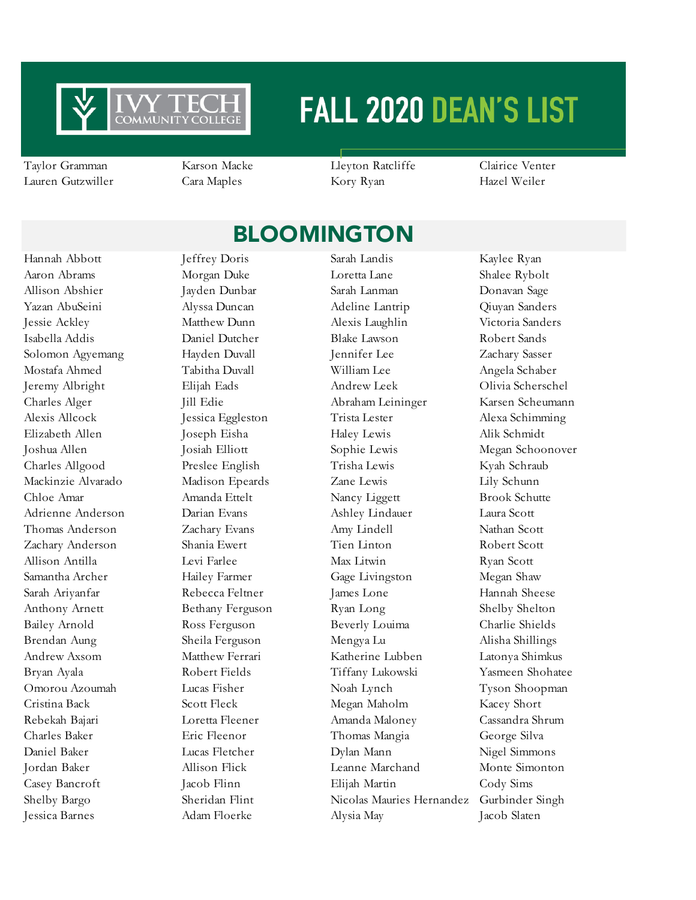

Taylor Gramman Karson Macke Lleyton Ratcliffe Clairice Venter Lauren Gutzwiller Cara Maples Kory Ryan Hazel Weiler

### **BLOOMINGTON**

Hannah Abbott Jeffrey Doris Sarah Landis Kaylee Ryan Aaron Abrams Morgan Duke Loretta Lane Shalee Rybolt Allison Abshier Jayden Dunbar Sarah Lanman Donavan Sage Yazan AbuSeini Alyssa Duncan Adeline Lantrip Qiuyan Sanders Jessie Ackley Matthew Dunn Alexis Laughlin Victoria Sanders Isabella Addis Daniel Dutcher Blake Lawson Robert Sands Solomon Agyemang Hayden Duvall Jennifer Lee Zachary Sasser Mostafa Ahmed Tabitha Duvall William Lee Angela Schaber Jeremy Albright Elijah Eads Andrew Leek Olivia Scherschel Charles Alger Jill Edie Abraham Leininger Karsen Scheumann Alexis Allcock Jessica Eggleston Trista Lester Alexa Schimming Elizabeth Allen Joseph Eisha Haley Lewis Alik Schmidt Joshua Allen Josiah Elliott Sophie Lewis Megan Schoonover Charles Allgood Preslee English Trisha Lewis Kyah Schraub Mackinzie Alvarado Madison Epeards Zane Lewis Lily Schunn Chloe Amar Amanda Ettelt Nancy Liggett Brook Schutte Adrienne Anderson Darian Evans Ashley Lindauer Laura Scott Thomas Anderson Zachary Evans Amy Lindell Nathan Scott Zachary Anderson Shania Ewert Tien Linton Robert Scott Allison Antilla Levi Farlee Max Litwin Ryan Scott Samantha Archer Hailey Farmer Gage Livingston Megan Shaw Sarah Ariyanfar Rebecca Feltner James Lone Hannah Sheese Anthony Arnett Bethany Ferguson Ryan Long Shelby Shelton Bailey Arnold Ross Ferguson Beverly Louima Charlie Shields Brendan Aung Sheila Ferguson Mengya Lu Alisha Shillings Andrew Axsom Matthew Ferrari Katherine Lubben Latonya Shimkus Bryan Ayala Robert Fields Tiffany Lukowski Yasmeen Shohatee Omorou Azoumah Lucas Fisher Noah Lynch Tyson Shoopman Cristina Back Scott Fleck Megan Maholm Kacey Short Rebekah Bajari Loretta Fleener Amanda Maloney Cassandra Shrum Charles Baker Eric Fleenor Thomas Mangia George Silva Daniel Baker Lucas Fletcher Dylan Mann Nigel Simmons Jordan Baker Allison Flick Leanne Marchand Monte Simonton Casey Bancroft Jacob Flinn Elijah Martin Cody Sims Shelby Bargo Sheridan Flint Nicolas Mauries Hernandez Gurbinder Singh Jessica Barnes Adam Floerke Alysia May Jacob Slaten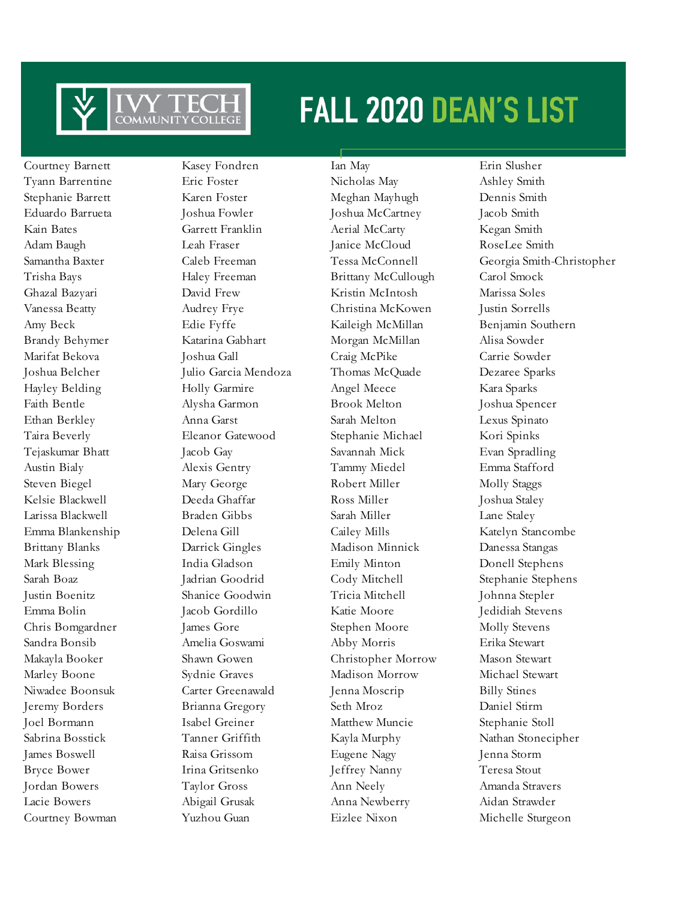

Courtney Barnett Kasey Fondren Ian May Erin Slusher Courtney Bowman Yuzhou Guan Eizlee Nixon Michelle Sturgeon

Tyann Barrentine Eric Foster Nicholas May Ashley Smith Stephanie Barrett Karen Foster Meghan Mayhugh Dennis Smith Eduardo Barrueta Joshua Fowler Joshua McCartney Jacob Smith Kain Bates Garrett Franklin Aerial McCarty Kegan Smith Adam Baugh Leah Fraser Janice McCloud RoseLee Smith Trisha Bays Haley Freeman Brittany McCullough Carol Smock Ghazal Bazyari David Frew Kristin McIntosh Marissa Soles Vanessa Beatty Audrey Frye Christina McKowen Justin Sorrells Amy Beck Edie Fyffe Kaileigh McMillan Benjamin Southern Brandy Behymer Katarina Gabhart Morgan McMillan Alisa Sowder Marifat Bekova Joshua Gall Craig McPike Carrie Sowder Joshua Belcher Julio Garcia Mendoza Thomas McQuade Dezaree Sparks Hayley Belding Holly Garmire Angel Meece Kara Sparks Faith Bentle Alysha Garmon Brook Melton Joshua Spencer Ethan Berkley Anna Garst Sarah Melton Lexus Spinato Taira Beverly Eleanor Gatewood Stephanie Michael Kori Spinks Tejaskumar Bhatt Jacob Gay Savannah Mick Evan Spradling Austin Bialy Alexis Gentry Tammy Miedel Emma Stafford Steven Biegel Mary George Robert Miller Molly Staggs Kelsie Blackwell Deeda Ghaffar Ross Miller Joshua Staley Larissa Blackwell Braden Gibbs Sarah Miller Lane Staley Emma Blankenship Delena Gill Cailey Mills Katelyn Stancombe Brittany Blanks Darrick Gingles Madison Minnick Danessa Stangas Mark Blessing India Gladson Emily Minton Donell Stephens Sarah Boaz Jadrian Goodrid Cody Mitchell Stephanie Stephens Justin Boenitz Shanice Goodwin Tricia Mitchell Johnna Stepler Emma Bolin Jacob Gordillo Katie Moore Jedidiah Stevens Chris Bomgardner James Gore Stephen Moore Molly Stevens Sandra Bonsib Amelia Goswami Abby Morris Erika Stewart Makayla Booker Shawn Gowen Christopher Morrow Mason Stewart Marley Boone Sydnie Graves Madison Morrow Michael Stewart Niwadee Boonsuk Carter Greenawald Jenna Moscrip Billy Stines Jeremy Borders Brianna Gregory Seth Mroz Daniel Stirm Joel Bormann Isabel Greiner Matthew Muncie Stephanie Stoll Sabrina Bosstick Tanner Griffith Kayla Murphy Nathan Stonecipher James Boswell Raisa Grissom Eugene Nagy Jenna Storm Bryce Bower Irina Gritsenko Jeffrey Nanny Teresa Stout Jordan Bowers Taylor Gross Ann Neely Amanda Stravers Lacie Bowers Abigail Grusak Anna Newberry Aidan Strawder

Samantha Baxter Caleb Freeman Tessa McConnell Georgia Smith-Christopher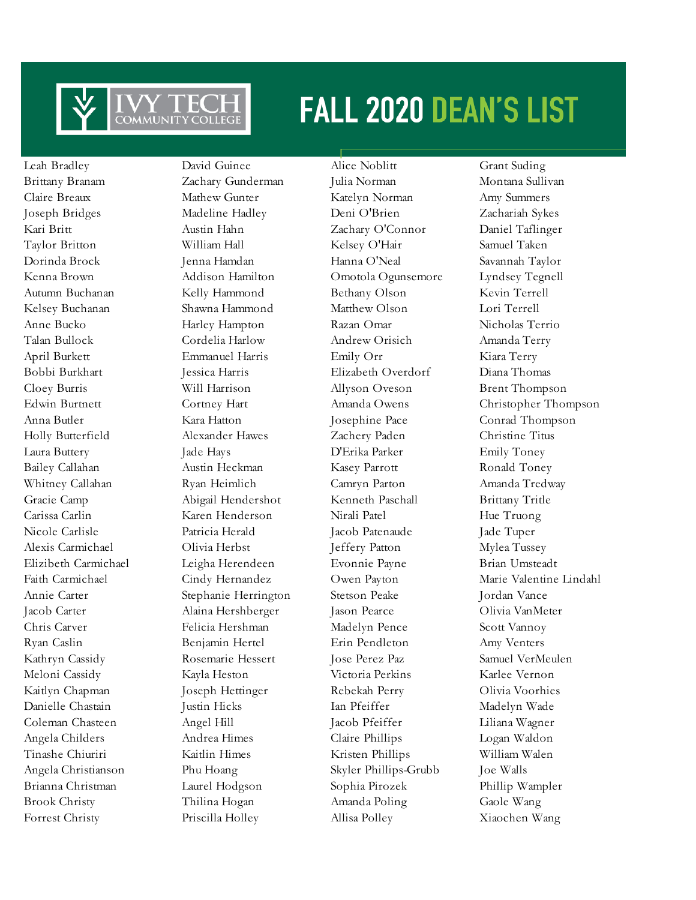

Forrest Christy Priscilla Holley Allisa Polley Xiaochen Wang

Leah Bradley David Guinee Alice Noblitt Grant Suding Brittany Branam Zachary Gunderman Julia Norman Montana Sullivan Claire Breaux Mathew Gunter Katelyn Norman Amy Summers Joseph Bridges Madeline Hadley Deni O'Brien Zachariah Sykes Kari Britt Austin Hahn Zachary O'Connor Daniel Taflinger Taylor Britton **William Hall Kelsey O'Hair** Samuel Taken Dorinda Brock Jenna Hamdan Hanna O'Neal Savannah Taylor Kenna Brown Addison Hamilton Omotola Ogunsemore Lyndsey Tegnell Autumn Buchanan Kelly Hammond Bethany Olson Kevin Terrell Kelsey Buchanan Shawna Hammond Matthew Olson Lori Terrell Anne Bucko Harley Hampton Razan Omar Nicholas Terrio Talan Bullock Cordelia Harlow Andrew Orisich Amanda Terry April Burkett Emmanuel Harris Emily Orr Kiara Terry Bobbi Burkhart Jessica Harris Elizabeth Overdorf Diana Thomas Cloey Burris Will Harrison Allyson Oveson Brent Thompson Anna Butler Kara Hatton Josephine Pace Conrad Thompson Holly Butterfield Alexander Hawes Zachery Paden Christine Titus Laura Buttery Jade Hays D'Erika Parker Emily Toney Bailey Callahan Austin Heckman Kasey Parrott Ronald Toney Whitney Callahan Ryan Heimlich Camryn Parton Amanda Tredway Gracie Camp Abigail Hendershot Kenneth Paschall Brittany Tritle Carissa Carlin Karen Henderson Nirali Patel Hue Truong Nicole Carlisle Patricia Herald Jacob Patenaude Jade Tuper Alexis Carmichael Olivia Herbst Jeffery Patton Mylea Tussey Elizibeth Carmichael Leigha Herendeen Evonnie Payne Brian Umsteadt Annie Carter Stephanie Herrington Stetson Peake Jordan Vance Jacob Carter Alaina Hershberger Jason Pearce Olivia VanMeter Chris Carver Felicia Hershman Madelyn Pence Scott Vannoy Ryan Caslin Benjamin Hertel Erin Pendleton Amy Venters Kathryn Cassidy Rosemarie Hessert Jose Perez Paz Samuel VerMeulen Meloni Cassidy Kayla Heston Victoria Perkins Karlee Vernon Kaitlyn Chapman Joseph Hettinger Rebekah Perry Olivia Voorhies Danielle Chastain Justin Hicks Ian Pfeiffer Madelyn Wade Coleman Chasteen Angel Hill Jacob Pfeiffer Liliana Wagner Angela Childers Andrea Himes Claire Phillips Logan Waldon Tinashe Chiuriri Kaitlin Himes Kristen Phillips William Walen Angela Christianson Phu Hoang Skyler Phillips-Grubb Joe Walls Brianna Christman Laurel Hodgson Sophia Pirozek Phillip Wampler Brook Christy Thilina Hogan Amanda Poling Gaole Wang

Edwin Burtnett Cortney Hart Amanda Owens Christopher Thompson Faith Carmichael Cindy Hernandez Owen Payton Marie Valentine Lindahl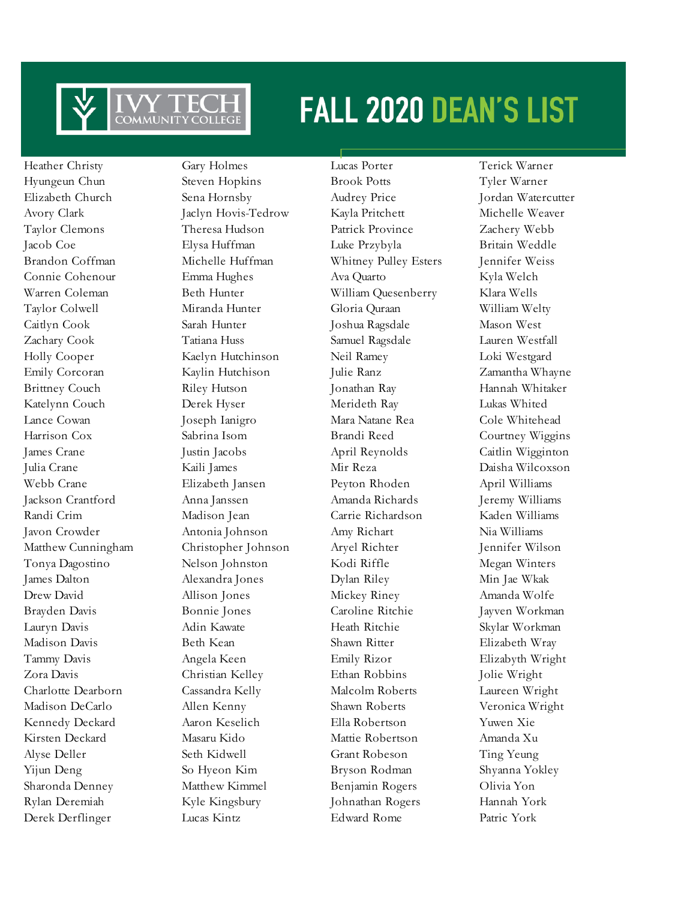

Heather Christy Gary Holmes Lucas Porter Terick Warner Derek Derflinger Lucas Kintz Edward Rome Patric York

Hyungeun Chun Steven Hopkins Brook Potts Tyler Warner Elizabeth Church Sena Hornsby Audrey Price Jordan Watercutter Avory Clark Jaclyn Hovis-Tedrow Kayla Pritchett Michelle Weaver Taylor Clemons Theresa Hudson Patrick Province Zachery Webb Jacob Coe Elysa Huffman Luke Przybyla Britain Weddle Brandon Coffman Michelle Huffman Whitney Pulley Esters Jennifer Weiss Connie Cohenour Emma Hughes Ava Quarto Kyla Welch Warren Coleman Beth Hunter William Quesenberry Klara Wells Taylor Colwell Miranda Hunter Gloria Quraan William Welty Caitlyn Cook Sarah Hunter Joshua Ragsdale Mason West Zachary Cook Tatiana Huss Samuel Ragsdale Lauren Westfall Holly Cooper Kaelyn Hutchinson Neil Ramey Loki Westgard Emily Corcoran Kaylin Hutchison Julie Ranz Zamantha Whayne Brittney Couch Riley Hutson Jonathan Ray Hannah Whitaker Katelynn Couch Derek Hyser Merideth Ray Lukas Whited Lance Cowan Joseph Ianigro Mara Natane Rea Cole Whitehead Harrison Cox Sabrina Isom Brandi Reed Courtney Wiggins James Crane Justin Jacobs April Reynolds Caitlin Wigginton Julia Crane Kaili James Mir Reza Daisha Wilcoxson Webb Crane Elizabeth Jansen Peyton Rhoden April Williams Jackson Crantford Anna Janssen Amanda Richards Jeremy Williams Randi Crim Madison Jean Carrie Richardson Kaden Williams Javon Crowder Antonia Johnson Amy Richart Nia Williams Matthew Cunningham Christopher Johnson Aryel Richter Jennifer Wilson Tonya Dagostino Nelson Johnston Kodi Riffle Megan Winters James Dalton Alexandra Jones Dylan Riley Min Jae Wkak Drew David Allison Jones Mickey Riney Amanda Wolfe Brayden Davis Bonnie Jones Caroline Ritchie Jayven Workman Lauryn Davis Adin Kawate Heath Ritchie Skylar Workman Madison Davis Beth Kean Shawn Ritter Elizabeth Wray Tammy Davis Angela Keen Emily Rizor Elizabyth Wright Zora Davis Christian Kelley Ethan Robbins Jolie Wright Charlotte Dearborn Cassandra Kelly Malcolm Roberts Laureen Wright Madison DeCarlo Allen Kenny Shawn Roberts Veronica Wright Kennedy Deckard Aaron Keselich Ella Robertson Yuwen Xie Kirsten Deckard Masaru Kido Mattie Robertson Amanda Xu Alyse Deller Seth Kidwell Grant Robeson Ting Yeung Yijun Deng So Hyeon Kim Bryson Rodman Shyanna Yokley Sharonda Denney Matthew Kimmel Benjamin Rogers Olivia Yon Rylan Deremiah Kyle Kingsbury Johnathan Rogers Hannah York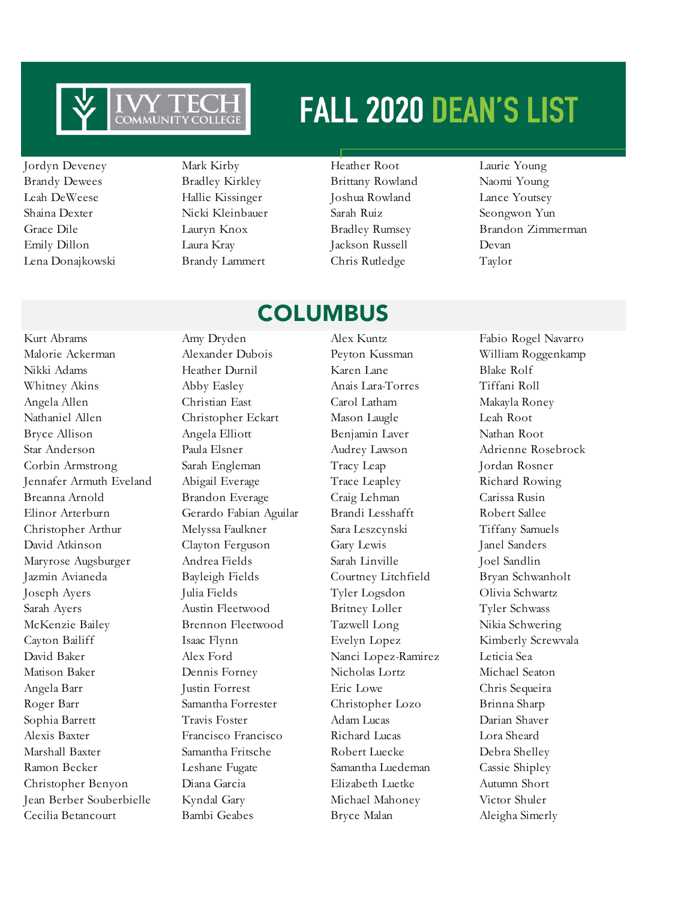

- Brandy Dewees Bradley Kirkley Brittany Rowland Naomi Young Leah DeWeese Hallie Kissinger Joshua Rowland Lance Youtsey Shaina Dexter Nicki Kleinbauer Sarah Ruiz Seongwon Yun Emily Dillon Laura Kray Jackson Russell Devan Lena Donajkowski Brandy Lammert Chris Rutledge Taylor
- Jordyn Deveney Mark Kirby Heather Root Laurie Young
	-

### COLUMBUS

Kurt Abrams Amy Dryden Alex Kuntz Fabio Rogel Navarro Malorie Ackerman Alexander Dubois Peyton Kussman William Roggenkamp Nikki Adams Heather Durnil Karen Lane Blake Rolf Whitney Akins Abby Easley Anais Lara-Torres Tiffani Roll Angela Allen Christian East Carol Latham Makayla Roney Nathaniel Allen Christopher Eckart Mason Laugle Leah Root Bryce Allison Angela Elliott Benjamin Laver Nathan Root Star Anderson Paula Elsner Audrey Lawson Adrienne Rosebrock Corbin Armstrong Sarah Engleman Tracy Leap Jordan Rosner Jennafer Armuth Eveland Abigail Everage Trace Leapley Richard Rowing Breanna Arnold Brandon Everage Craig Lehman Carissa Rusin Elinor Arterburn Gerardo Fabian Aguilar Brandi Lesshafft Robert Sallee Christopher Arthur Melyssa Faulkner Sara Leszcynski Tiffany Samuels David Atkinson Clayton Ferguson Gary Lewis Janel Sanders Maryrose Augsburger Andrea Fields Sarah Linville Joel Sandlin Jazmin Avianeda Bayleigh Fields Courtney Litchfield Bryan Schwanholt Joseph Ayers Julia Fields Tyler Logsdon Olivia Schwartz Sarah Ayers **Austin Fleetwood** Britney Loller Tyler Schwass McKenzie Bailey Brennon Fleetwood Tazwell Long Nikia Schwering Cayton Bailiff Isaac Flynn Evelyn Lopez Kimberly Screwvala David Baker Alex Ford Nanci Lopez-Ramirez Leticia Sea Matison Baker Dennis Forney Nicholas Lortz Michael Seaton Angela Barr Justin Forrest Eric Lowe Chris Sequeira Roger Barr Samantha Forrester Christopher Lozo Brinna Sharp Sophia Barrett Travis Foster Adam Lucas Darian Shaver Alexis Baxter Francisco Francisco Richard Lucas Lora Sheard Marshall Baxter Samantha Fritsche Robert Luecke Debra Shelley Ramon Becker Leshane Fugate Samantha Luedeman Cassie Shipley Christopher Benyon Diana Garcia Elizabeth Luetke Autumn Short Jean Berber Souberbielle Kyndal Gary Michael Mahoney Victor Shuler Cecilia Betancourt Bambi Geabes Bryce Malan Aleigha Simerly

Grace Dile Lauryn Knox Bradley Rumsey Brandon Zimmerman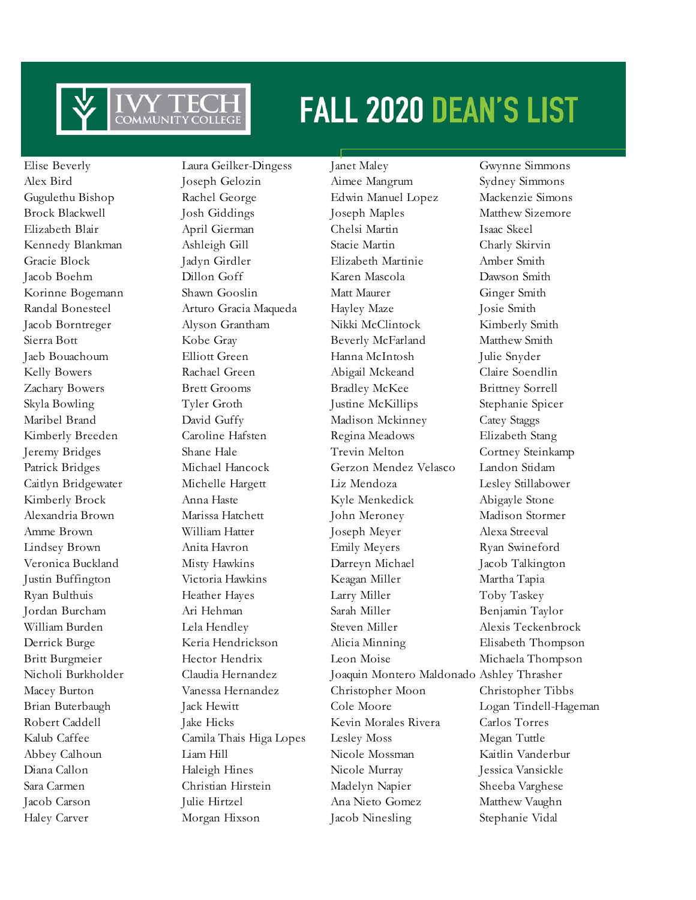

Elise Beverly Laura Geilker-Dingess Janet Maley Gwynne Simmons

Alex Bird Joseph Gelozin Aimee Mangrum Sydney Simmons Gugulethu Bishop Rachel George Edwin Manuel Lopez Mackenzie Simons Brock Blackwell Josh Giddings Joseph Maples Matthew Sizemore Elizabeth Blair April Gierman Chelsi Martin Isaac Skeel Kennedy Blankman Ashleigh Gill Stacie Martin Charly Skirvin Gracie Block Jadyn Girdler Elizabeth Martinie Amber Smith Jacob Boehm Dillon Goff Karen Mascola Dawson Smith Korinne Bogemann Shawn Gooslin Matt Maurer Ginger Smith Randal Bonesteel Arturo Gracia Maqueda Hayley Maze Josie Smith Jacob Borntreger Alyson Grantham Nikki McClintock Kimberly Smith Sierra Bott Kobe Gray Beverly McFarland Matthew Smith Jaeb Bouachoum Elliott Green Hanna McIntosh Julie Snyder Kelly Bowers Rachael Green Abigail Mckeand Claire Soendlin Zachary Bowers Brett Grooms Bradley McKee Brittney Sorrell Skyla Bowling Tyler Groth Justine McKillips Stephanie Spicer Maribel Brand David Guffy Madison Mckinney Catey Staggs Kimberly Breeden Caroline Hafsten Regina Meadows Elizabeth Stang Jeremy Bridges Shane Hale Trevin Melton Cortney Steinkamp Patrick Bridges Michael Hancock Gerzon Mendez Velasco Landon Stidam Caitlyn Bridgewater Michelle Hargett Liz Mendoza Lesley Stillabower Kimberly Brock Anna Haste Kyle Menkedick Abigayle Stone Alexandria Brown Marissa Hatchett John Meroney Madison Stormer Amme Brown William Hatter Joseph Meyer Alexa Streeval Lindsey Brown Anita Havron Emily Meyers Ryan Swineford Veronica Buckland Misty Hawkins Darreyn Michael Jacob Talkington Justin Buffington Victoria Hawkins Keagan Miller Martha Tapia Ryan Bulthuis Heather Hayes Larry Miller Toby Taskey Jordan Burcham Ari Hehman Sarah Miller Benjamin Taylor William Burden Lela Hendley Steven Miller Alexis Teckenbrock Derrick Burge Keria Hendrickson Alicia Minning Elisabeth Thompson Britt Burgmeier Hector Hendrix Leon Moise Michaela Thompson Nicholi Burkholder Claudia Hernandez Joaquin Montero Maldonado Ashley Thrasher Macey Burton Vanessa Hernandez Christopher Moon Christopher Tibbs Brian Buterbaugh Jack Hewitt Cole Moore Logan Tindell-Hageman Robert Caddell Jake Hicks Kevin Morales Rivera Carlos Torres Kalub Caffee Camila Thais Higa Lopes Lesley Moss Megan Tuttle Abbey Calhoun Liam Hill Nicole Mossman Kaitlin Vanderbur Diana Callon Haleigh Hines Nicole Murray Jessica Vansickle Sara Carmen Christian Hirstein Madelyn Napier Sheeba Varghese Jacob Carson Julie Hirtzel Ana Nieto Gomez Matthew Vaughn Haley Carver Morgan Hixson Jacob Ninesling Stephanie Vidal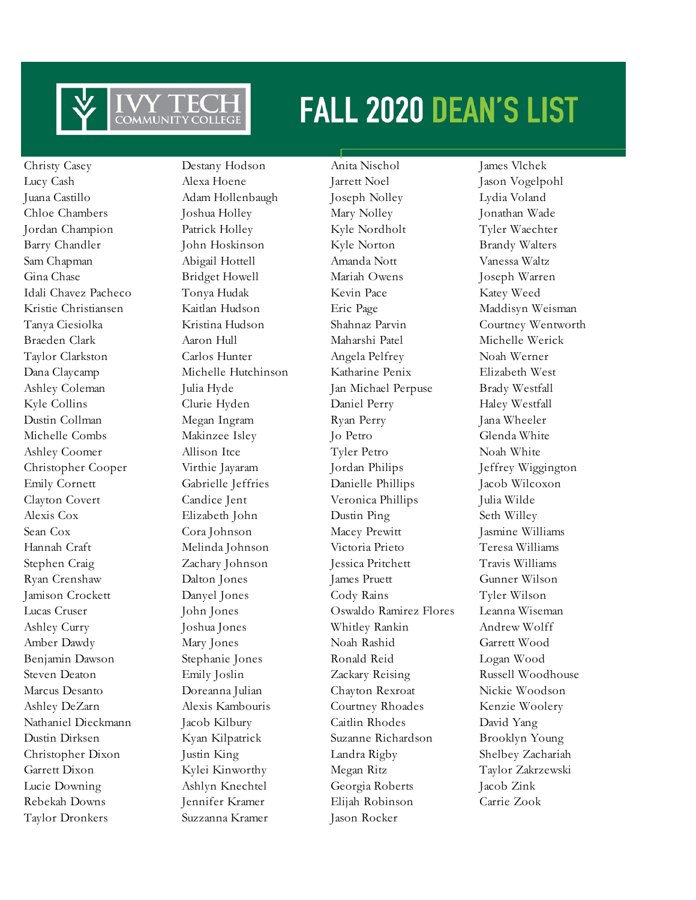

Taylor Dronkers Suzzanna Kramer Jason Rocker

Christy Casey Destany Hodson Anita Nischol James Vlchek

Lucy Cash Alexa Hoene Jarrett Noel Jason Vogelpohl Juana Castillo Adam Hollenbaugh Joseph Nolley Lydia Voland Chloe Chambers Joshua Holley Mary Nolley Jonathan Wade Jordan Champion Patrick Holley Kyle Nordholt Tyler Waechter Barry Chandler **John Hoskinson** Kyle Norton Brandy Walters Sam Chapman Abigail Hottell Amanda Nott Vanessa Waltz Gina Chase Bridget Howell Mariah Owens Joseph Warren Idali Chavez Pacheco Tonya Hudak Kevin Pace Katey Weed Kristie Christiansen Kaitlan Hudson Eric Page Maddisyn Weisman Tanya Ciesiolka Kristina Hudson Shahnaz Parvin Courtney Wentworth Braeden Clark Aaron Hull Maharshi Patel Michelle Werick Taylor Clarkston Carlos Hunter Angela Pelfrey Noah Werner Dana Claycamp Michelle Hutchinson Katharine Penix Elizabeth West Ashley Coleman Julia Hyde Jan Michael Perpuse Brady Westfall Kyle Collins Clurie Hyden Daniel Perry Haley Westfall Dustin Collman Megan Ingram Ryan Perry Jana Wheeler Michelle Combs Makinzee Isley Jo Petro Glenda White Ashley Coomer Allison Itce Tyler Petro Noah White Christopher Cooper Virthie Jayaram Jordan Philips Jeffrey Wiggington Emily Cornett Gabrielle Jeffries Danielle Phillips Jacob Wilcoxon Clayton Covert Candice Jent Veronica Phillips Julia Wilde Alexis Cox Elizabeth John Dustin Ping Seth Willey Sean Cox Cora Johnson Macey Prewitt Jasmine Williams Hannah Craft Melinda Johnson Victoria Prieto Teresa Williams Stephen Craig Zachary Johnson Jessica Pritchett Travis Williams Ryan Crenshaw Dalton Jones James Pruett Gunner Wilson Jamison Crockett Danyel Jones Cody Rains Tyler Wilson Lucas Cruser John Jones Oswaldo Ramirez Flores Leanna Wiseman Ashley Curry Joshua Jones Whitley Rankin Andrew Wolff Amber Dawdy Mary Jones Noah Rashid Garrett Wood Benjamin Dawson Stephanie Jones Ronald Reid Logan Wood Steven Deaton Emily Joslin Zackary Reising Russell Woodhouse Marcus Desanto Doreanna Julian Chayton Rexroat Nickie Woodson Ashley DeZarn Alexis Kambouris Courtney Rhoades Kenzie Woolery Nathaniel Dieckmann Jacob Kilbury Caitlin Rhodes David Yang Dustin Dirksen Kyan Kilpatrick Suzanne Richardson Brooklyn Young Christopher Dixon Justin King Landra Rigby Shelbey Zachariah Garrett Dixon Kylei Kinworthy Megan Ritz Taylor Zakrzewski Lucie Downing Ashlyn Knechtel Georgia Roberts Jacob Zink Rebekah Downs Jennifer Kramer Elijah Robinson Carrie Zook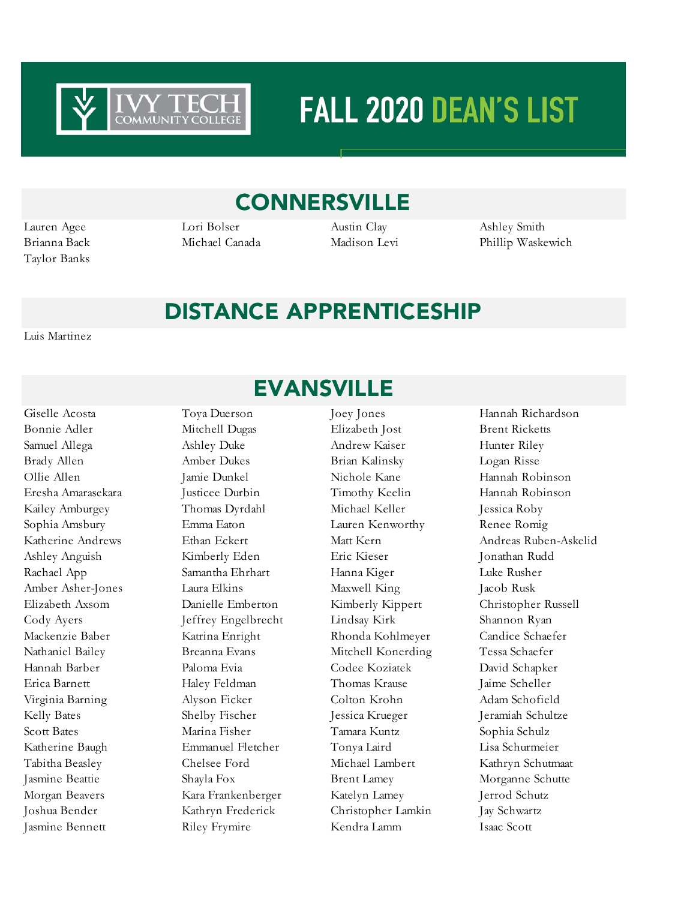

### **CONNERSVILLE**

Taylor Banks

Lauren Agee Lori Bolser Austin Clay Ashley Smith

Brianna Back Michael Canada Madison Levi Phillip Waskewich

### DISTANCE APPRENTICESHIP

Luis Martinez

Jasmine Bennett Riley Frymire Kendra Lamm Isaac Scott

### EVANSVILLE

Bonnie Adler Mitchell Dugas Elizabeth Jost Brent Ricketts Samuel Allega Ashley Duke Andrew Kaiser Hunter Riley Brady Allen Amber Dukes Brian Kalinsky Logan Risse Ollie Allen Jamie Dunkel Nichole Kane Hannah Robinson Eresha Amarasekara Justicee Durbin Timothy Keelin Hannah Robinson Kailey Amburgey Thomas Dyrdahl Michael Keller Jessica Roby Sophia Amsbury Emma Eaton Lauren Kenworthy Renee Romig Ashley Anguish Kimberly Eden Eric Kieser Jonathan Rudd Rachael App Samantha Ehrhart Hanna Kiger Luke Rusher Amber Asher-Jones Laura Elkins Maxwell King Jacob Rusk Elizabeth Axsom Danielle Emberton Kimberly Kippert Christopher Russell Cody Ayers Jeffrey Engelbrecht Lindsay Kirk Shannon Ryan Mackenzie Baber Katrina Enright Rhonda Kohlmeyer Candice Schaefer Nathaniel Bailey Breanna Evans Mitchell Konerding Tessa Schaefer Hannah Barber Paloma Evia Codee Koziatek David Schapker Erica Barnett Haley Feldman Thomas Krause Jaime Scheller Virginia Barning Alyson Ficker Colton Krohn Adam Schofield Kelly Bates Shelby Fischer Jessica Krueger Jeramiah Schultze Scott Bates Marina Fisher Tamara Kuntz Sophia Schulz Katherine Baugh Emmanuel Fletcher Tonya Laird Lisa Schurmeier Tabitha Beasley Chelsee Ford Michael Lambert Kathryn Schutmaat Jasmine Beattie Shayla Fox Brent Lamey Morganne Schutte Morgan Beavers Kara Frankenberger Katelyn Lamey Jerrod Schutz Joshua Bender Kathryn Frederick Christopher Lamkin Jay Schwartz

Giselle Acosta Toya Duerson Joey Jones Hannah Richardson Katherine Andrews Ethan Eckert Matt Kern Matt Kern Andreas Ruben-Askelid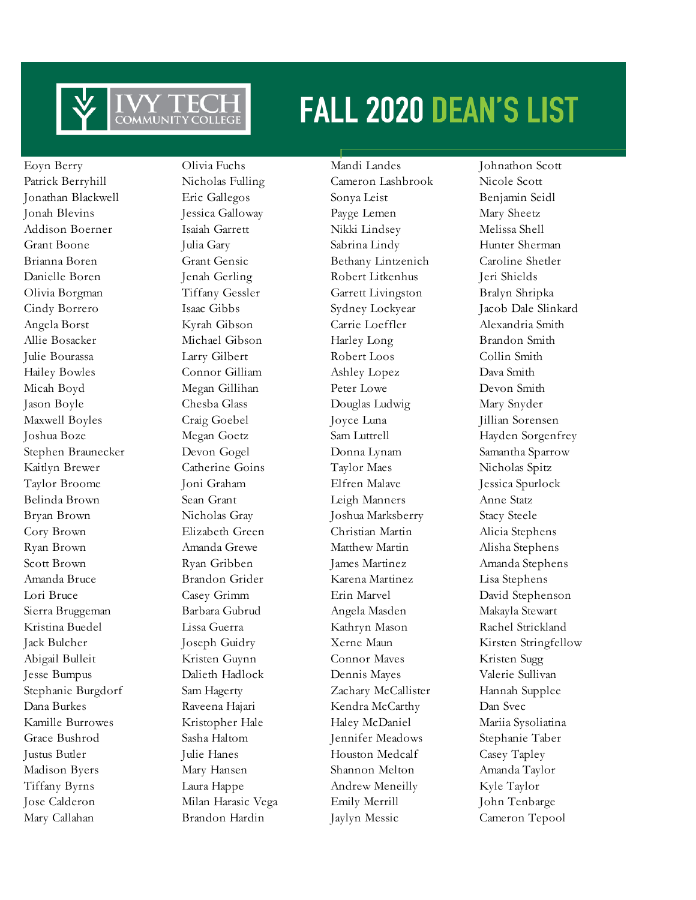

Eoyn Berry Olivia Fuchs Mandi Landes Johnathon Scott Patrick Berryhill Nicholas Fulling Cameron Lashbrook Nicole Scott Jonathan Blackwell Eric Gallegos Sonya Leist Benjamin Seidl Jonah Blevins Jessica Galloway Payge Lemen Mary Sheetz Addison Boerner Isaiah Garrett Nikki Lindsey Melissa Shell Grant Boone Julia Gary Sabrina Lindy Hunter Sherman Brianna Boren Grant Gensic Bethany Lintzenich Caroline Shetler Danielle Boren Jenah Gerling Robert Litkenhus Jeri Shields Olivia Borgman Tiffany Gessler Garrett Livingston Bralyn Shripka Angela Borst Kyrah Gibson Carrie Loeffler Alexandria Smith Allie Bosacker Michael Gibson Harley Long Brandon Smith Julie Bourassa Larry Gilbert Robert Loos Collin Smith Hailey Bowles Connor Gilliam Ashley Lopez Dava Smith Micah Boyd Megan Gillihan Peter Lowe Devon Smith Jason Boyle Chesba Glass Douglas Ludwig Mary Snyder Maxwell Boyles Craig Goebel Joyce Luna Jillian Sorensen Stephen Braunecker Devon Gogel Donna Lynam Samantha Sparrow Kaitlyn Brewer Catherine Goins Taylor Maes Nicholas Spitz Taylor Broome Joni Graham Elfren Malave Jessica Spurlock Belinda Brown Sean Grant Leigh Manners Anne Statz Bryan Brown Nicholas Gray Joshua Marksberry Stacy Steele Cory Brown Elizabeth Green Christian Martin Alicia Stephens Ryan Brown Amanda Grewe Matthew Martin Alisha Stephens Scott Brown Ryan Gribben James Martinez Amanda Stephens Amanda Bruce Brandon Grider Karena Martinez Lisa Stephens Lori Bruce Casey Grimm Erin Marvel David Stephenson Sierra Bruggeman Barbara Gubrud Angela Masden Makayla Stewart Kristina Buedel Lissa Guerra Kathryn Mason Rachel Strickland Abigail Bulleit Kristen Guynn Connor Maves Kristen Sugg Jesse Bumpus Dalieth Hadlock Dennis Mayes Valerie Sullivan Stephanie Burgdorf Sam Hagerty Zachary McCallister Hannah Supplee Dana Burkes Raveena Hajari Kendra McCarthy Dan Svec Kamille Burrowes Kristopher Hale Haley McDaniel Mariia Sysoliatina Grace Bushrod Sasha Haltom Jennifer Meadows Stephanie Taber Justus Butler Julie Hanes Houston Medcalf Casey Tapley Madison Byers Mary Hansen Shannon Melton Amanda Taylor Tiffany Byrns Laura Happe Andrew Meneilly Kyle Taylor Jose Calderon Milan Harasic Vega Emily Merrill John Tenbarge Mary Callahan Brandon Hardin Jaylyn Messic Cameron Tepool

Cindy Borrero Isaac Gibbs Sydney Lockyear Jacob Dale Slinkard Joshua Boze Megan Goetz Sam Luttrell Hayden Sorgenfrey Jack Bulcher Joseph Guidry Xerne Maun Kirsten Stringfellow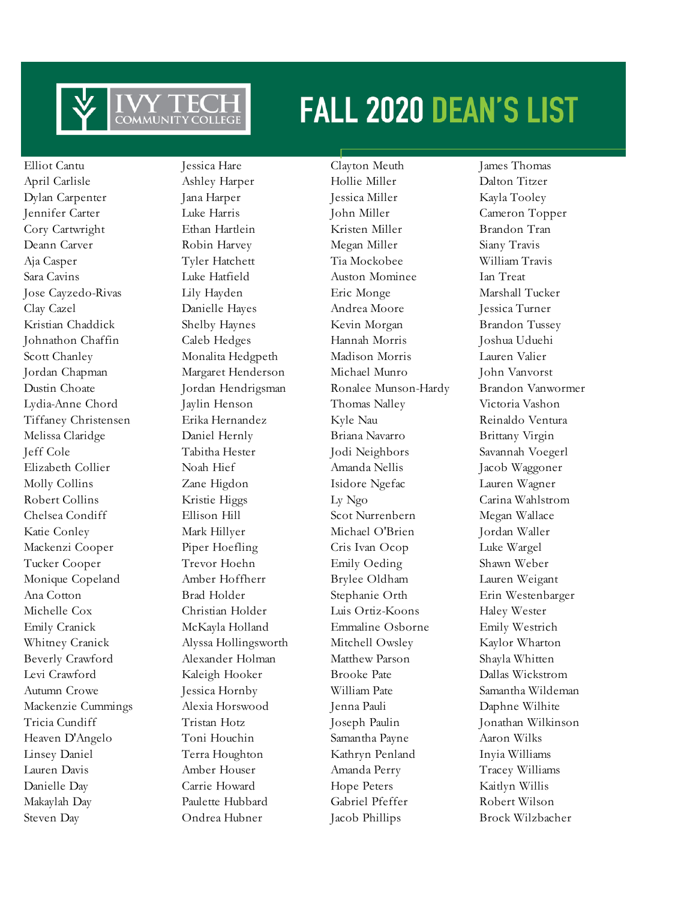

Elliot Cantu Jessica Hare Clayton Meuth James Thomas

April Carlisle Ashley Harper Hollie Miller Dalton Titzer Dylan Carpenter Jana Harper Jessica Miller Kayla Tooley Jennifer Carter Luke Harris John Miller Cameron Topper Cory Cartwright Ethan Hartlein Kristen Miller Brandon Tran Deann Carver Robin Harvey Megan Miller Siany Travis Aja Casper Tyler Hatchett Tia Mockobee William Travis Sara Cavins Luke Hatfield Auston Mominee Ian Treat Jose Cayzedo-Rivas Lily Hayden Eric Monge Marshall Tucker Clay Cazel Danielle Hayes Andrea Moore Jessica Turner Kristian Chaddick Shelby Haynes Kevin Morgan Brandon Tussey Johnathon Chaffin Caleb Hedges Hannah Morris Joshua Uduehi Scott Chanley Monalita Hedgpeth Madison Morris Lauren Valier Jordan Chapman Margaret Henderson Michael Munro John Vanvorst Lydia-Anne Chord Jaylin Henson Thomas Nalley Victoria Vashon Tiffaney Christensen Erika Hernandez Kyle Nau Reinaldo Ventura Melissa Claridge Daniel Hernly Briana Navarro Brittany Virgin Jeff Cole Tabitha Hester Jodi Neighbors Savannah Voegerl Elizabeth Collier Noah Hief Amanda Nellis Jacob Waggoner Molly Collins Zane Higdon Isidore Ngefac Lauren Wagner Robert Collins Kristie Higgs Ly Ngo Carina Wahlstrom Chelsea Condiff Ellison Hill Scot Nurrenbern Megan Wallace Katie Conley Mark Hillyer Michael O'Brien Jordan Waller Mackenzi Cooper Piper Hoefling Cris Ivan Ocop Luke Wargel Tucker Cooper Trevor Hoehn Emily Oeding Shawn Weber Monique Copeland Amber Hoffherr Brylee Oldham Lauren Weigant Ana Cotton Brad Holder Stephanie Orth Erin Westenbarger Michelle Cox Christian Holder Luis Ortiz-Koons Haley Wester Emily Cranick McKayla Holland Emmaline Osborne Emily Westrich Whitney Cranick Alyssa Hollingsworth Mitchell Owsley Kaylor Wharton Beverly Crawford Alexander Holman Matthew Parson Shayla Whitten Levi Crawford Kaleigh Hooker Brooke Pate Dallas Wickstrom Autumn Crowe Jessica Hornby William Pate Samantha Wildeman Mackenzie Cummings Alexia Horswood Jenna Pauli Daphne Wilhite Tricia Cundiff Tristan Hotz Joseph Paulin Jonathan Wilkinson Heaven D'Angelo Toni Houchin Samantha Payne Aaron Wilks Linsey Daniel Terra Houghton Kathryn Penland Inyia Williams Lauren Davis Amber Houser Amanda Perry Tracey Williams Danielle Day Carrie Howard Hope Peters Kaitlyn Willis Makaylah Day Paulette Hubbard Gabriel Pfeffer Robert Wilson Steven Day Ondrea Hubner Jacob Phillips Brock Wilzbacher

Dustin Choate Jordan Hendrigsman Ronalee Munson-Hardy Brandon Vanwormer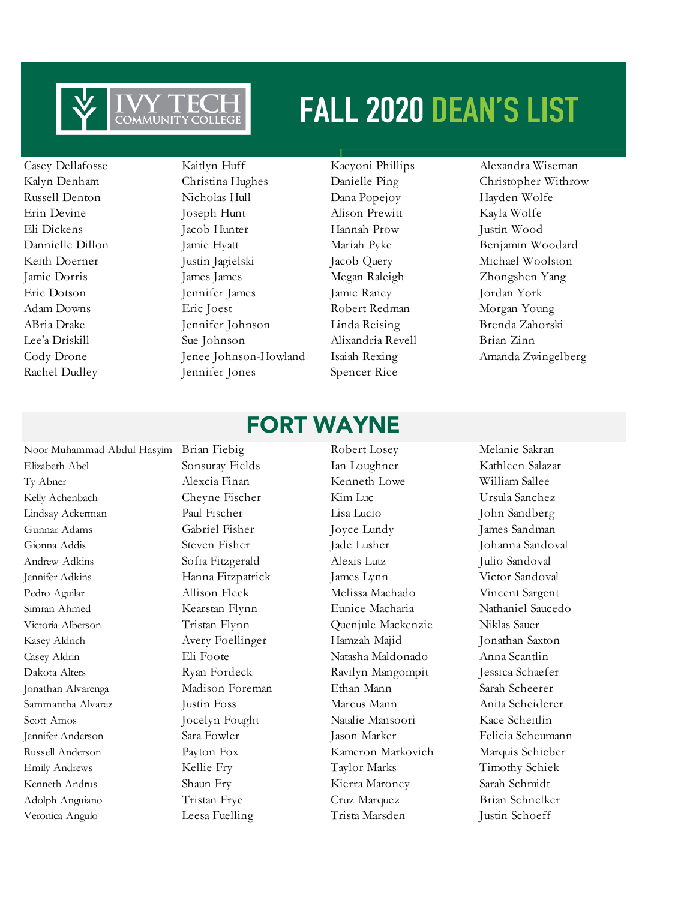

Casey Dellafosse Kaitlyn Huff Kaeyoni Phillips Alexandra Wiseman Russell Denton Nicholas Hull Dana Popejoy Hayden Wolfe Erin Devine **Ioseph Hunt** Alison Prewitt Kayla Wolfe Eli Dickens Jacob Hunter Hannah Prow Justin Wood Dannielle Dillon Jamie Hyatt Mariah Pyke Benjamin Woodard Keith Doerner Justin Jagielski Jacob Query Michael Woolston Jamie Dorris James James Megan Raleigh Zhongshen Yang Eric Dotson Jennifer James Jamie Raney Jordan York Adam Downs **Eric Joest** Robert Redman Morgan Young ABria Drake Jennifer Johnson Linda Reising Brenda Zahorski Lee'a Driskill Sue Johnson Alixandria Revell Brian Zinn Rachel Dudley Jennifer Jones Spencer Rice

Kalyn Denham Christina Hughes Danielle Ping Christopher Withrow Cody Drone Jenee Johnson-Howland Isaiah Rexing Amanda Zwingelberg

### FORT WAYNE

Elizabeth Abel Sonsuray Fields Ian Loughner Kathleen Salazar Ty Abner Alexcia Finan Kenneth Lowe William Sallee Kelly Achenbach Cheyne Fischer Kim Luc Ursula Sanchez Lindsay Ackerman Paul Fischer Lisa Lucio John Sandberg Gunnar Adams Gabriel Fisher Joyce Lundy James Sandman Gionna Addis Steven Fisher Jade Lusher Johanna Sandoval Andrew Adkins Sofia Fitzgerald Alexis Lutz Julio Sandoval Jennifer Adkins Hanna Fitzpatrick James Lynn Victor Sandoval Pedro Aguilar Melissa Machado Vincent Sargent Simran Ahmed Kearstan Flynn Eunice Macharia Nathaniel Saucedo Victoria Alberson Tristan Flynn Quenjule Mackenzie Niklas Sauer Kasey Aldrich Avery Foellinger Hamzah Majid Jonathan Saxton Casey Aldrin Eli Foote Natasha Maldonado Anna Scantlin Dakota Alters Ryan Fordeck Ravilyn Mangompit Jessica Schaefer Jonathan Alvarenga Madison Foreman Ethan Mann Sarah Scheerer Sammantha Alvarez Justin Foss Marcus Mann Anita Scheiderer Scott Amos Jocelyn Fought Natalie Mansoori Kace Scheitlin Jennifer Anderson Sara Fowler Jason Marker Felicia Scheumann Russell Anderson Payton Fox Kameron Markovich Marquis Schieber Emily Andrews Kellie Fry Taylor Marks Timothy Schiek Kenneth Andrus Shaun Fry Kierra Maroney Sarah Schmidt Adolph Anguiano Tristan Frye Cruz Marquez Brian Schnelker

Veronica Angulo Leesa Fuelling Trista Marsden Justin Schoeff

Noor Muhammad Abdul Hasyim Brian Fiebig Robert Losey Melanie Sakran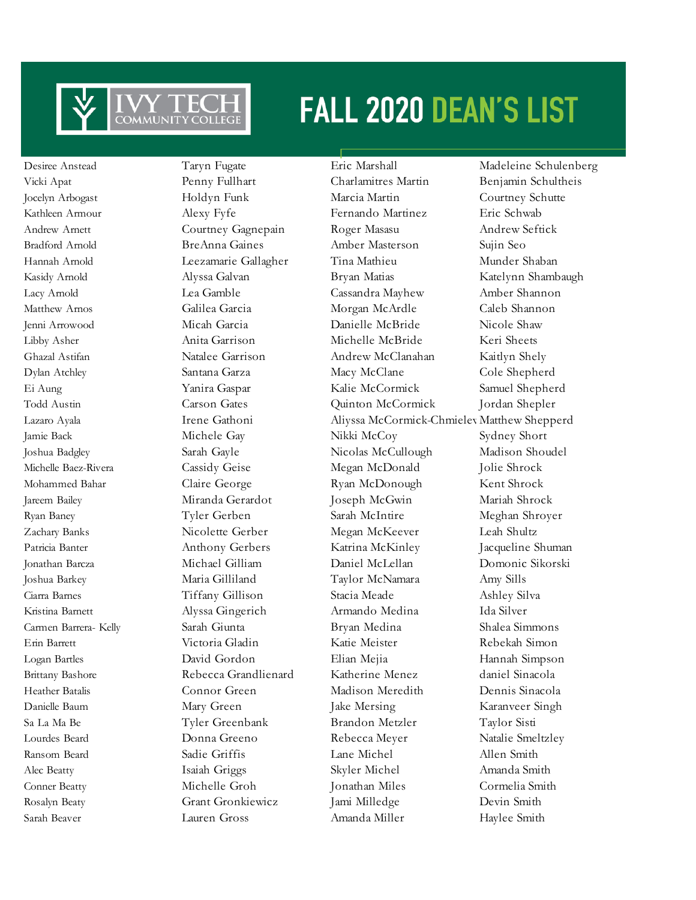

Desiree Anstead Taryn Fugate Eric Marshall Madeleine Schulenberg

Vicki Apat Penny Fullhart Charlamitres Martin Benjamin Schultheis Jocelyn Arbogast Holdyn Funk Marcia Martin Courtney Schutte Kathleen Armour **Alexy Fyfe** Fernando Martinez Eric Schwab Andrew Arnett Courtney Gagnepain Roger Masasu Andrew Seftick Bradford Arnold BreAnna Gaines Amber Masterson Sujin Seo Hannah Arnold Leezamarie Gallagher Tina Mathieu Munder Shaban Kasidy Arnold Alyssa Galvan Bryan Matias Katelynn Shambaugh Lacy Arnold Lea Gamble Cassandra Mayhew Amber Shannon Matthew Arnos Galilea Garcia Morgan McArdle Caleb Shannon Jenni Arrowood Micah Garcia Danielle McBride Nicole Shaw Libby Asher Anita Garrison Michelle McBride Keri Sheets Ghazal Astifan Natalee Garrison Andrew McClanahan Kaitlyn Shely Dylan Atchley Santana Garza Macy McClane Cole Shepherd Ei Aung Yanira Gaspar Kalie McCormick Samuel Shepherd Todd Austin Carson Gates Quinton McCormick Jordan Shepler Lazaro Ayala Irene Gathoni Aliyssa McCormick-Chmieley Matthew Shepperd Jamie Back Michele Gay Nikki McCoy Sydney Short Joshua Badgley Sarah Gayle Nicolas McCullough Madison Shoudel Michelle Baez-Rivera Cassidy Geise Megan McDonald Jolie Shrock Mohammed Bahar Claire George Ryan McDonough Kent Shrock Jareem Bailey Miranda Gerardot Joseph McGwin Mariah Shrock Ryan Baney Tyler Gerben Sarah McIntire Meghan Shroyer Zachary Banks Nicolette Gerber Megan McKeever Leah Shultz Patricia Banter Anthony Gerbers Katrina McKinley Jacqueline Shuman Jonathan Barcza Michael Gilliam Daniel McLellan Domonic Sikorski Joshua Barkey Maria Gilliland Taylor McNamara Amy Sills Ciarra Barnes Tiffany Gillison Stacia Meade Ashley Silva Kristina Barnett Alyssa Gingerich Armando Medina Ida Silver Carmen Barrera- Kelly Sarah Giunta Bryan Medina Shalea Simmons Erin Barrett Victoria Gladin Katie Meister Rebekah Simon Logan Bartles David Gordon Elian Mejia Hannah Simpson Brittany Bashore Rebecca Grandlienard Katherine Menez daniel Sinacola Heather Batalis Connor Green Madison Meredith Dennis Sinacola Danielle Baum Mary Green Jake Mersing Karanveer Singh Sa La Ma Be Tyler Greenbank Brandon Metzler Taylor Sisti Lourdes Beard Donna Greeno Rebecca Meyer Natalie Smeltzley Ransom Beard Sadie Griffis Lane Michel Allen Smith Alec Beatty Isaiah Griggs Skyler Michel Amanda Smith Conner Beatty Michelle Groh Jonathan Miles Cormelia Smith Rosalyn Beaty Grant Gronkiewicz Jami Milledge Devin Smith Sarah Beaver Lauren Gross Amanda Miller Haylee Smith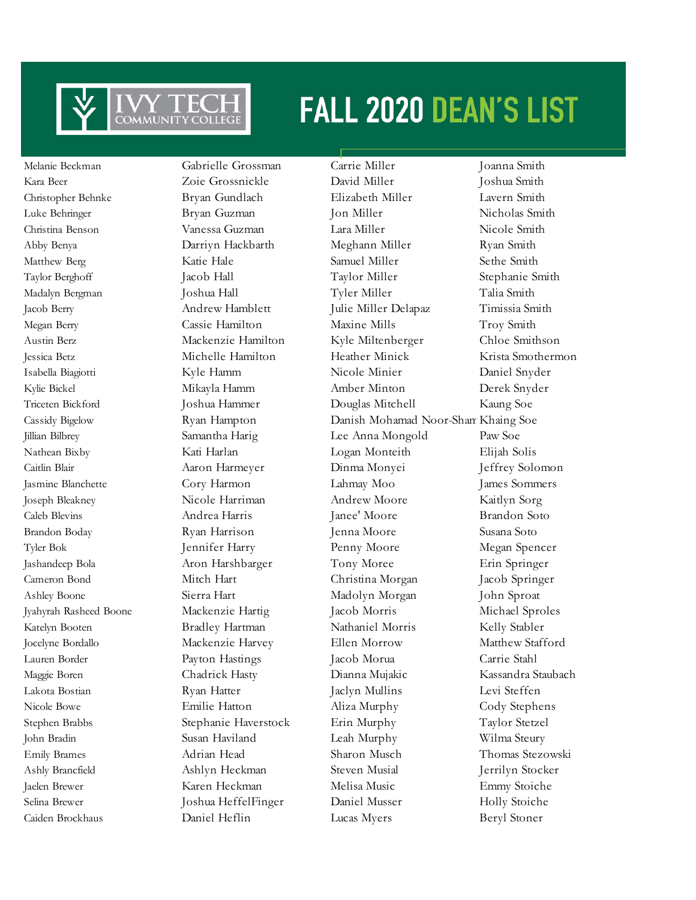

Caiden Brockhaus Daniel Heflin Lucas Myers Beryl Stoner

Melanie Beckman Gabrielle Grossman Carrie Miller Joanna Smith Kara Beer Zoie Grossnickle David Miller Joshua Smith Christopher Behnke Bryan Gundlach Elizabeth Miller Lavern Smith Luke Behringer Bryan Guzman Jon Miller Nicholas Smith Christina Benson Vanessa Guzman Lara Miller Nicole Smith Abby Benya Darriyn Hackbarth Meghann Miller Ryan Smith Matthew Berg **Katie Hale** Samuel Miller Sethe Smith Taylor Berghoff Jacob Hall Taylor Miller Stephanie Smith Madalyn Bergman Joshua Hall Tyler Miller Talia Smith Jacob Berry Andrew Hamblett Julie Miller Delapaz Timissia Smith Megan Berry Cassie Hamilton Maxine Mills Troy Smith Austin Berz Mackenzie Hamilton Kyle Miltenberger Chloe Smithson Jessica Betz Michelle Hamilton Heather Minick Krista Smothermon Isabella Biagiotti Kyle Hamm Nicole Minier Daniel Snyder Kylie Bickel Mikayla Hamm Amber Minton Derek Snyder Triceten Bickford Joshua Hammer Douglas Mitchell Kaung Soe Cassidy Bigelow Ryan Hampton Danish Mohamad Noor-ShamKhaing Soe Jillian Bilbrey Samantha Harig Lee Anna Mongold Paw Soe Nathean Bixby Kati Harlan Logan Monteith Elijah Solis Caitlin Blair Aaron Harmeyer Dinma Monyei Jeffrey Solomon Jasmine Blanchette Cory Harmon Lahmay Moo James Sommers Joseph Bleakney Nicole Harriman Andrew Moore Kaitlyn Sorg Caleb Blevins Andrea Harris Janee' Moore Brandon Soto Brandon Boday Ryan Harrison Jenna Moore Susana Soto Tyler Bok Jennifer Harry Penny Moore Megan Spencer Jashandeep Bola Aron Harshbarger Tony Moree Erin Springer Cameron Bond Mitch Hart Christina Morgan Jacob Springer Ashley Boone Sierra Hart Madolyn Morgan John Sproat Jyahyrah Rasheed Boone Mackenzie Hartig Jacob Morris Michael Sproles Katelyn Booten Bradley Hartman Nathaniel Morris Kelly Stabler Jocelyne Bordallo Mackenzie Harvey Ellen Morrow Matthew Stafford Lauren Border Payton Hastings Jacob Morua Carrie Stahl Maggie Boren Chadrick Hasty Dianna Mujakic Kassandra Staubach Lakota Bostian Ryan Hatter Jaclyn Mullins Levi Steffen Nicole Bowe Emilie Hatton Aliza Murphy Cody Stephens Stephen Brabbs Stephanie Haverstock Erin Murphy Taylor Stetzel John Bradin Susan Haviland Leah Murphy Wilma Steury Emily Brames Adrian Head Sharon Musch Thomas Stezowski Ashly Brancfield Ashlyn Heckman Steven Musial Jerrilyn Stocker Jaelen Brewer Karen Heckman Melisa Music Emmy Stoiche Selina Brewer Joshua HeffelFinger Daniel Musser Holly Stoiche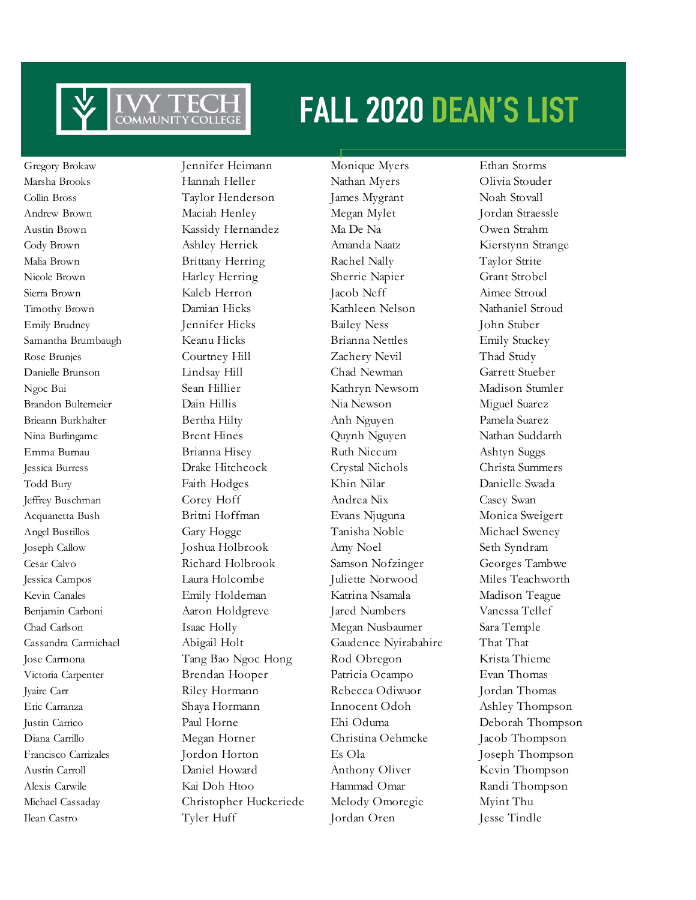

Ilean Castro Tyler Huff Jordan Oren Jesse Tindle

Gregory Brokaw Jennifer Heimann Monique Myers Ethan Storms Marsha Brooks Hannah Heller Nathan Myers Olivia Stouder Collin Bross Taylor Henderson James Mygrant Noah Stovall Andrew Brown **Maciah Henley** Megan Mylet Jordan Straessle Austin Brown Kassidy Hernandez Ma De Na Owen Strahm Cody Brown Ashley Herrick Amanda Naatz Kierstynn Strange Malia Brown Brittany Herring Rachel Nally Taylor Strite Nicole Brown Harley Herring Sherrie Napier Grant Strobel Sierra Brown Kaleb Herron Jacob Neff Aimee Stroud Timothy Brown Damian Hicks Kathleen Nelson Nathaniel Stroud Emily Brudney Jennifer Hicks Bailey Ness John Stuber Samantha Brumbaugh Keanu Hicks Brianna Nettles Emily Stuckey Rose Brunjes Courtney Hill Zachery Nevil Thad Study Danielle Brunson Lindsay Hill Chad Newman Garrett Stueber Ngoc Bui Sean Hillier Kathryn Newsom Madison Stumler Brandon Bultemeier **Dain Hillis Nia Newson** Miguel Suarez Brieann Burkhalter Bertha Hilty Anh Nguyen Pamela Suarez Nina Burlingame Brent Hines Quynh Nguyen Nathan Suddarth Emma Burnau Brianna Hisey Ruth Niccum Ashtyn Suggs Jessica Burress Drake Hitchcock Crystal Nichols Christa Summers Todd Bury Faith Hodges Khin Nilar Danielle Swada Jeffrey Buschman Corey Hoff Andrea Nix Casey Swan Acquanetta Bush Britni Hoffman Evans Njuguna Monica Sweigert Angel Bustillos Gary Hogge Tanisha Noble Michael Sweney Joseph Callow Joshua Holbrook Amy Noel Seth Syndram Cesar Calvo Richard Holbrook Samson Nofzinger Georges Tambwe Jessica Campos Laura Holcombe Juliette Norwood Miles Teachworth Kevin Canales **Emily Holdeman** Katrina Nsamala Madison Teague Benjamin Carboni Aaron Holdgreve Jared Numbers Vanessa Tellef Chad Carlson Isaac Holly Megan Nusbaumer Sara Temple Cassandra Carmichael Abigail Holt Gaudence Nyirabahire That That Jose Carmona Tang Bao Ngoc Hong Rod Obregon Krista Thieme Victoria Carpenter Brendan Hooper Patricia Ocampo Evan Thomas Jyaire Carr Riley Hormann Rebecca Odiwuor Jordan Thomas Eric Carranza Shaya Hormann Innocent Odoh Ashley Thompson Justin Carrico Paul Horne Ehi Oduma Deborah Thompson Diana Carrillo Megan Horner Christina Oehmcke Jacob Thompson Francisco Carrizales Jordon Horton Es Ola Joseph Thompson Austin Carroll Daniel Howard Anthony Oliver Kevin Thompson Alexis Carwile Kai Doh Htoo Hammad Omar Randi Thompson Michael Cassaday Christopher Huckeriede Melody Omoregie Myint Thu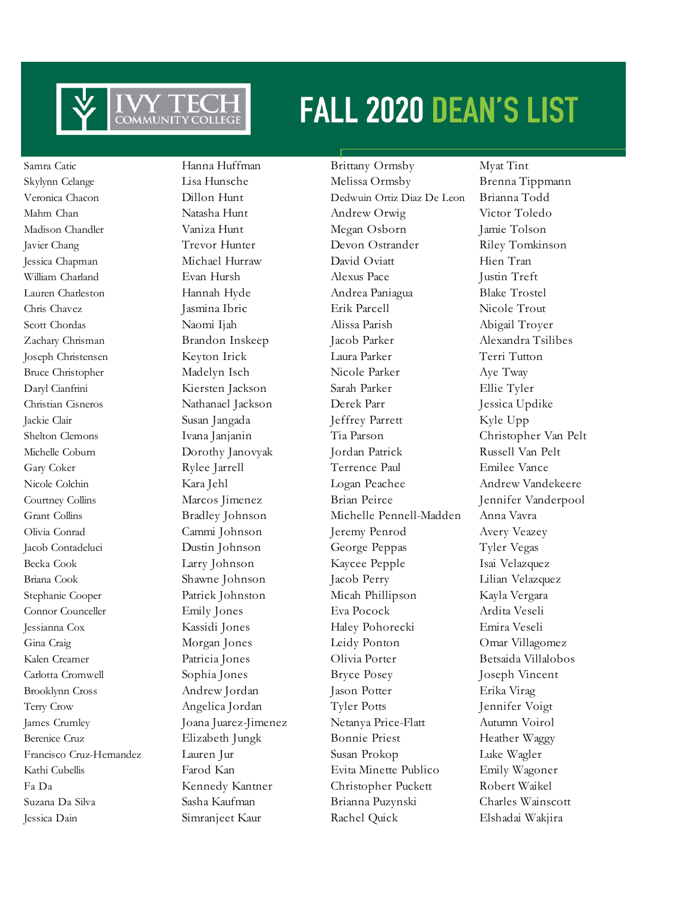

Samra Catic Hanna Huffman Brittany Ormsby Myat Tint

Skylynn Celange Lisa Hunsche Melissa Ormsby Brenna Tippmann Veronica Chacon Dillon Hunt Dedwuin Ortiz Diaz De Leon Brianna Todd Mahm Chan Natasha Hunt Andrew Orwig Victor Toledo Madison Chandler Vaniza Hunt Megan Osborn Jamie Tolson Javier Chang Trevor Hunter Devon Ostrander Riley Tomkinson Jessica Chapman Michael Hurraw David Oviatt Hien Tran William Charland Evan Hursh Alexus Pace Justin Treft Lauren Charleston Hannah Hyde Andrea Paniagua Blake Trostel Chris Chavez Jasmina Ibric Erik Parcell Nicole Trout Scott Chordas Naomi Ijah Alissa Parish Abigail Troyer Zachary Chrisman Brandon Inskeep Jacob Parker Alexandra Tsilibes Joseph Christensen Keyton Irick Laura Parker Terri Tutton Bruce Christopher Madelyn Isch Nicole Parker Aye Tway Daryl Cianfrini Kiersten Jackson Sarah Parker Ellie Tyler Christian Cisneros Nathanael Jackson Derek Parr Jessica Updike Jackie Clair Susan Jangada Jeffrey Parrett Kyle Upp Shelton Clemons Ivana Janjanin Tia Parson Christopher Van Pelt Michelle Coburn Dorothy Janovyak Jordan Patrick Russell Van Pelt Gary Coker Rylee Jarrell Terrence Paul Emilee Vance Nicole Colchin Kara Jehl Logan Peachee Andrew Vandekeere Courtney Collins Marcos Jimenez Brian Peirce Jennifer Vanderpool Grant Collins Bradley Johnson Michelle Pennell-Madden Anna Vavra Olivia Conrad Cammi Johnson Jeremy Penrod Avery Veazey Jacob Contadeluci Dustin Johnson George Peppas Tyler Vegas Becka Cook Larry Johnson Kaycee Pepple Isai Velazquez Briana Cook Shawne Johnson Jacob Perry Lilian Velazquez Stephanie Cooper Patrick Johnston Micah Phillipson Kayla Vergara Connor Counceller Emily Jones Eva Pocock Ardita Veseli Jessianna Cox Kassidi Jones Haley Pohorecki Emira Veseli Gina Craig Morgan Jones Leidy Ponton Omar Villagomez Kalen Creamer Patricia Jones Olivia Porter Betsaida Villalobos Carlotta Cromwell Sophia Jones Bryce Posey Joseph Vincent Brooklynn Cross Andrew Jordan Jason Potter Erika Virag Terry Crow Angelica Jordan Tyler Potts Jennifer Voigt James Crumley Joana Juarez-Jimenez Netanya Price-Flatt Autumn Voirol Berenice Cruz Elizabeth Jungk Bonnie Priest Heather Waggy Francisco Cruz-Hernandez Lauren Jur Susan Prokop Luke Wagler Kathi Cubellis Farod Kan Evita Minette Publico Emily Wagoner Fa Da Kennedy Kantner Christopher Puckett Robert Waikel Suzana Da Silva Sasha Kaufman Brianna Puzynski Charles Wainscott Jessica Dain Simranjeet Kaur Rachel Quick Elshadai Wakjira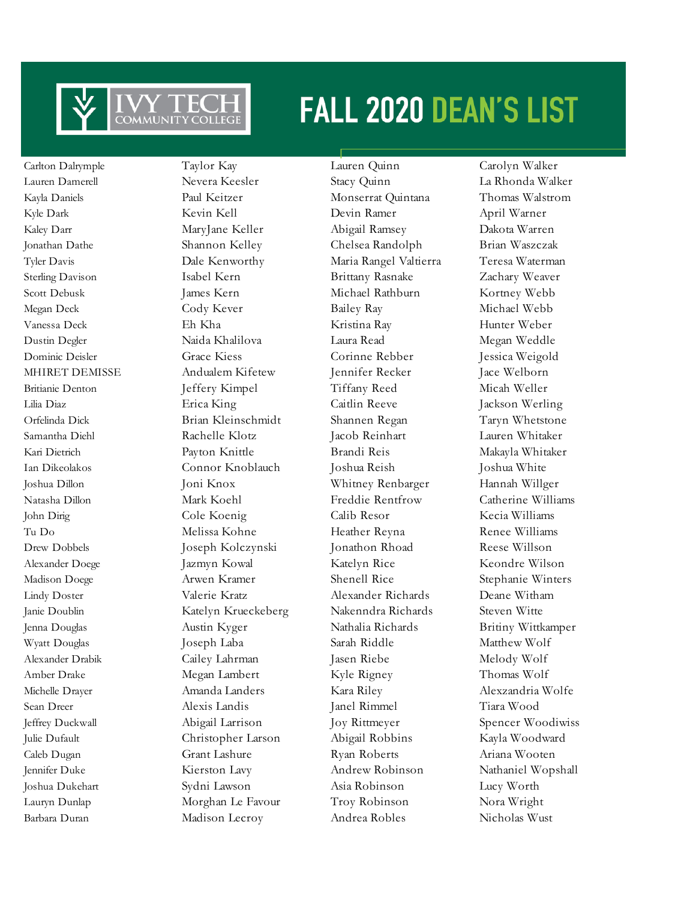

Carlton Dalrymple Taylor Kay Lauren Quinn Carolyn Walker Barbara Duran Madison Lecroy Andrea Robles Nicholas Wust

Lauren Damerell Nevera Keesler Stacy Quinn La Rhonda Walker Kayla Daniels Paul Keitzer Monserrat Quintana Thomas Walstrom Kyle Dark Kevin Kell Devin Ramer April Warner Kaley Darr MaryJane Keller Abigail Ramsey Dakota Warren Jonathan Dathe Shannon Kelley Chelsea Randolph Brian Waszczak Tyler Davis Dale Kenworthy Maria Rangel Valtierra Teresa Waterman Sterling Davison Isabel Kern Brittany Rasnake Zachary Weaver Scott Debusk James Kern Michael Rathburn Kortney Webb Megan Deck Cody Kever Bailey Ray Michael Webb Vanessa Deck Eh Kha Kristina Ray Hunter Weber Dustin Degler Naida Khalilova Laura Read Megan Weddle Dominic Deisler Grace Kiess Corinne Rebber Jessica Weigold MHIRET DEMISSE Andualem Kifetew Jennifer Recker Jace Welborn Britianie Denton Jeffery Kimpel Tiffany Reed Micah Weller Lilia Diaz Erica King Caitlin Reeve Jackson Werling Orfelinda Dick Brian Kleinschmidt Shannen Regan Taryn Whetstone Samantha Diehl Rachelle Klotz Jacob Reinhart Lauren Whitaker Kari Dietrich Payton Knittle Brandi Reis Makayla Whitaker Ian Dikeolakos Connor Knoblauch Joshua Reish Joshua White Joshua Dillon Joni Knox Whitney Renbarger Hannah Willger Natasha Dillon Mark Koehl Freddie Rentfrow Catherine Williams John Dirig Cole Koenig Calib Resor Kecia Williams Tu Do Melissa Kohne Heather Reyna Renee Williams Drew Dobbels Joseph Kolczynski Jonathon Rhoad Reese Willson Alexander Doege Jazmyn Kowal Katelyn Rice Keondre Wilson Madison Doege Arwen Kramer Shenell Rice Stephanie Winters Lindy Doster Valerie Kratz Alexander Richards Deane Witham Janie Doublin Katelyn Krueckeberg Nakenndra Richards Steven Witte Jenna Douglas Austin Kyger Nathalia Richards Britiny Wittkamper Wyatt Douglas Joseph Laba Sarah Riddle Matthew Wolf Alexander Drabik Cailey Lahrman Jasen Riebe Melody Wolf Amber Drake Megan Lambert Kyle Rigney Thomas Wolf Michelle Drayer Amanda Landers Kara Riley Alexzandria Wolfe Sean Dreer Alexis Landis Janel Rimmel Tiara Wood Jeffrey Duckwall Abigail Larrison Joy Rittmeyer Spencer Woodiwiss Julie Dufault Christopher Larson Abigail Robbins Kayla Woodward Caleb Dugan Grant Lashure Ryan Roberts Ariana Wooten Jennifer Duke Kierston Lavy Andrew Robinson Nathaniel Wopshall Joshua Dukehart Sydni Lawson Asia Robinson Lucy Worth Lauryn Dunlap Morghan Le Favour Troy Robinson Nora Wright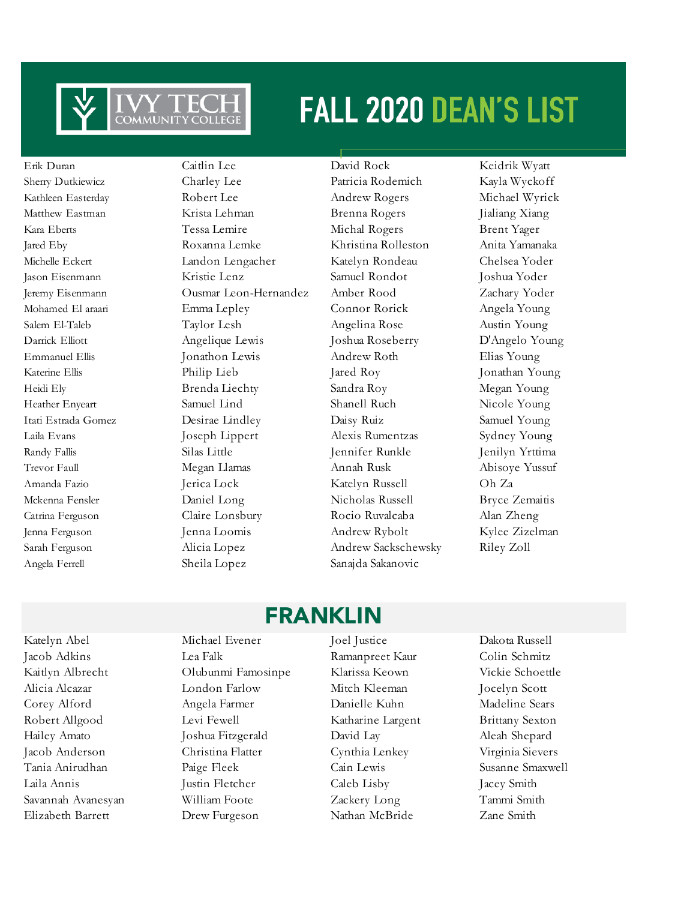

Angela Ferrell Sheila Lopez Sanajda Sakanovic

Sherry Dutkiewicz Charley Lee Patricia Rodemich Kayla Wyckoff Kathleen Easterday Robert Lee Andrew Rogers Michael Wyrick Matthew Eastman Krista Lehman Brenna Rogers Jialiang Xiang Kara Eberts Tessa Lemire Michal Rogers Brent Yager Jared Eby Roxanna Lemke Khristina Rolleston Anita Yamanaka Michelle Eckert Landon Lengacher Katelyn Rondeau Chelsea Yoder Jason Eisenmann Kristie Lenz Samuel Rondot Joshua Yoder Jeremy Eisenmann Ousmar Leon-Hernandez Amber Rood Zachary Yoder Mohamed El araari Emma Lepley Connor Rorick Angela Young Salem El-Taleb Taylor Lesh Angelina Rose Austin Young Darrick Elliott Angelique Lewis Joshua Roseberry D'Angelo Young Emmanuel Ellis Jonathon Lewis Andrew Roth Elias Young Katerine Ellis Philip Lieb Jared Roy Jonathan Young Heidi Ely Brenda Liechty Sandra Roy Megan Young Heather Enyeart Samuel Lind Shanell Ruch Nicole Young Itati Estrada Gomez Desirae Lindley Daisy Ruiz Samuel Young Laila Evans Joseph Lippert Alexis Rumentzas Sydney Young Randy Fallis Silas Little Jennifer Runkle Jenilyn Yrttima Trevor Faull Megan Llamas Annah Rusk Abisoye Yussuf Amanda Fazio Jerica Lock Katelyn Russell Oh Za Mckenna Fensler Daniel Long Nicholas Russell Bryce Zemaitis Catrina Ferguson Claire Lonsbury Rocio Ruvalcaba Alan Zheng Jenna Ferguson Jenna Loomis Andrew Rybolt Kylee Zizelman Sarah Ferguson Alicia Lopez Andrew Sackschewsky Riley Zoll

Erik Duran Caitlin Lee David Rock Keidrik Wyatt

### FRANKLIN

Jacob Adkins Lea Falk Ramanpreet Kaur Colin Schmitz Kaitlyn Albrecht Olubunmi Famosinpe Klarissa Keown Vickie Schoettle Alicia Alcazar London Farlow Mitch Kleeman Jocelyn Scott Corey Alford Angela Farmer Danielle Kuhn Madeline Sears Robert Allgood Levi Fewell Katharine Largent Brittany Sexton Hailey Amato Joshua Fitzgerald David Lay Aleah Shepard Jacob Anderson Christina Flatter Cynthia Lenkey Virginia Sievers Tania Anirudhan Paige Fleek Cain Lewis Susanne Smaxwell Laila Annis Justin Fletcher Caleb Lisby Jacey Smith Savannah Avanesyan William Foote Zackery Long Tammi Smith

Katelyn Abel Michael Evener Joel Justice Dakota Russell Elizabeth Barrett Drew Furgeson Nathan McBride Zane Smith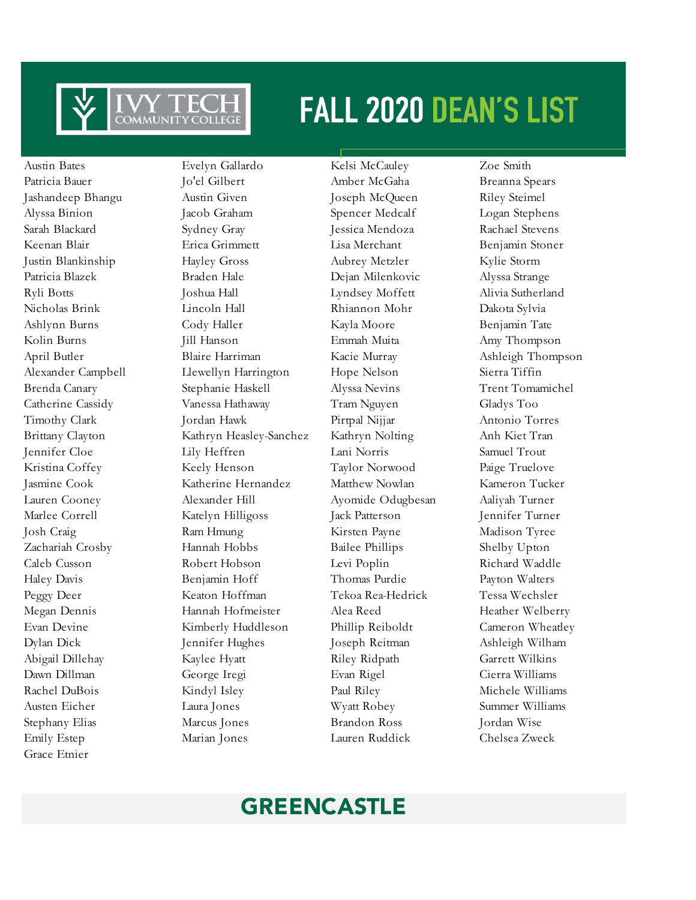

Grace Etnier

Austin Bates Evelyn Gallardo Kelsi McCauley Zoe Smith Patricia Bauer **Io'el Gilbert** Amber McGaha Breanna Spears Jashandeep Bhangu Austin Given Joseph McQueen Riley Steimel Alyssa Binion Jacob Graham Spencer Medcalf Logan Stephens Sarah Blackard Sydney Gray Jessica Mendoza Rachael Stevens Keenan Blair **Erica Grimmett** Lisa Merchant Benjamin Stoner Justin Blankinship Hayley Gross Aubrey Metzler Kylie Storm Patricia Blazek Braden Hale Dejan Milenkovic Alyssa Strange Ryli Botts Joshua Hall Lyndsey Moffett Alivia Sutherland Nicholas Brink Lincoln Hall Rhiannon Mohr Dakota Sylvia Ashlynn Burns Cody Haller Kayla Moore Benjamin Tate Kolin Burns Jill Hanson Emmah Muita Amy Thompson April Butler **Blaire Harriman** Kacie Murray Ashleigh Thompson Alexander Campbell Llewellyn Harrington Hope Nelson Sierra Tiffin Brenda Canary Stephanie Haskell Alyssa Nevins Trent Tomamichel Catherine Cassidy Vanessa Hathaway Tram Nguyen Gladys Too Timothy Clark Jordan Hawk Pirtpal Nijjar Antonio Torres Brittany Clayton Kathryn Heasley-Sanchez Kathryn Nolting Anh Kiet Tran Jennifer Cloe Lily Heffren Lani Norris Samuel Trout Kristina Coffey Keely Henson Taylor Norwood Paige Truelove Jasmine Cook Katherine Hernandez Matthew Nowlan Kameron Tucker Lauren Cooney Alexander Hill Ayomide Odugbesan Aaliyah Turner Marlee Correll Katelyn Hilligoss Jack Patterson Jennifer Turner Josh Craig Ram Hmung Kirsten Payne Madison Tyree Zachariah Crosby Hannah Hobbs Bailee Phillips Shelby Upton Caleb Cusson Robert Hobson Levi Poplin Richard Waddle Haley Davis Benjamin Hoff Thomas Purdie Payton Walters Peggy Deer Keaton Hoffman Tekoa Rea-Hedrick Tessa Wechsler Megan Dennis Hannah Hofmeister Alea Reed Heather Welberry Evan Devine Kimberly Huddleson Phillip Reiboldt Cameron Wheatley Dylan Dick Jennifer Hughes Joseph Reitman Ashleigh Wilham Abigail Dillehay Kaylee Hyatt Riley Ridpath Garrett Wilkins Dawn Dillman George Iregi Evan Rigel Cierra Williams Rachel DuBois Kindyl Isley Paul Riley Michele Williams Austen Eicher Laura Jones Wyatt Robey Summer Williams Stephany Elias Marcus Jones Brandon Ross Jordan Wise Emily Estep Marian Jones Lauren Ruddick Chelsea Zweck

### GREENCASTLE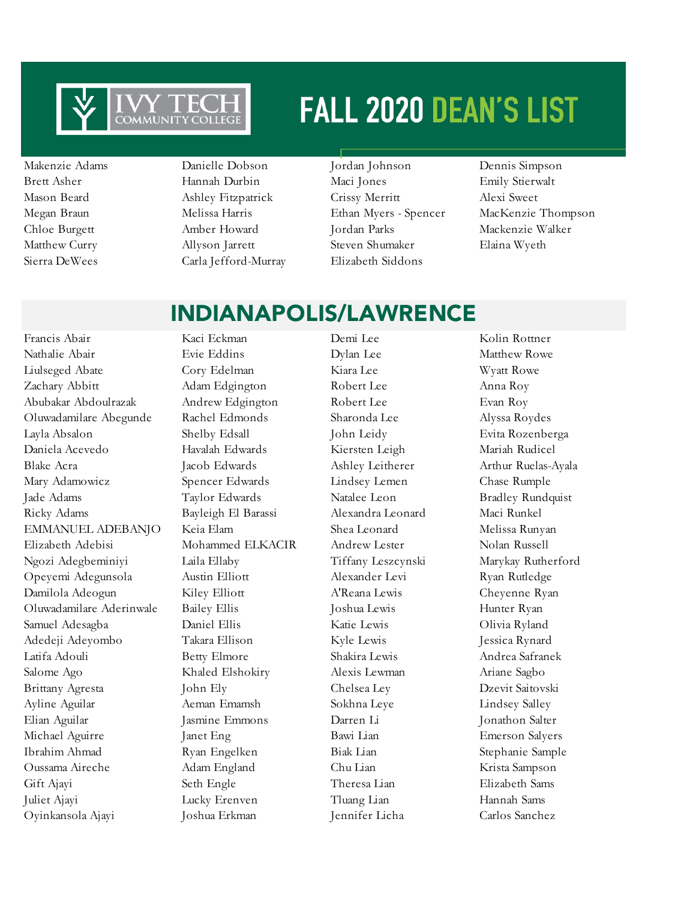

Sierra DeWees Carla Jefford-Murray Elizabeth Siddons

Makenzie Adams Danielle Dobson Jordan Johnson Dennis Simpson Brett Asher Hannah Durbin Maci Jones Emily Stierwalt Mason Beard Ashley Fitzpatrick Crissy Merritt Alexi Sweet Chloe Burgett Amber Howard Jordan Parks Mackenzie Walker Matthew Curry Allyson Jarrett Steven Shumaker Elaina Wyeth

Megan Braun Melissa Harris Ethan Myers - Spencer MacKenzie Thompson

Nathalie Abair Evie Eddins Dylan Lee Matthew Rowe Liulseged Abate Cory Edelman Kiara Lee Wyatt Rowe Zachary Abbitt Adam Edgington Robert Lee Anna Roy Abubakar Abdoulrazak Andrew Edgington Robert Lee Evan Roy Oluwadamilare Abegunde Rachel Edmonds Sharonda Lee Alyssa Roydes Layla Absalon Shelby Edsall John Leidy Evita Rozenberga Daniela Acevedo Havalah Edwards Kiersten Leigh Mariah Rudicel Blake Acra Jacob Edwards Ashley Leitherer Arthur Ruelas-Ayala Mary Adamowicz Spencer Edwards Lindsey Lemen Chase Rumple Jade Adams Taylor Edwards Natalee Leon Bradley Rundquist Ricky Adams Bayleigh El Barassi Alexandra Leonard Maci Runkel EMMANUEL ADEBANJO Keia Elam Shea Leonard Melissa Runyan Elizabeth Adebisi Mohammed ELKACIR Andrew Lester Nolan Russell Ngozi Adegbeminiyi Laila Ellaby Tiffany Leszcynski Marykay Rutherford Opeyemi Adegunsola Austin Elliott Alexander Levi Ryan Rutledge Damilola Adeogun Kiley Elliott A'Reana Lewis Cheyenne Ryan Oluwadamilare Aderinwale Bailey Ellis Joshua Lewis Hunter Ryan Samuel Adesagba Daniel Ellis Katie Lewis Olivia Ryland Adedeji Adeyombo Takara Ellison Kyle Lewis Jessica Rynard Latifa Adouli Betty Elmore Shakira Lewis Andrea Safranek Salome Ago Khaled Elshokiry Alexis Lewman Ariane Sagbo Brittany Agresta John Ely Chelsea Ley Dzevit Saitovski Ayline Aguilar Aeman Emamsh Sokhna Leye Lindsey Salley Elian Aguilar Jasmine Emmons Darren Li Jonathon Salter Michael Aguirre Janet Eng Bawi Lian Emerson Salyers Ibrahim Ahmad Ryan Engelken Biak Lian Stephanie Sample Oussama Aireche Adam England Chu Lian Krista Sampson Gift Ajayi Seth Engle Theresa Lian Elizabeth Sams Juliet Ajayi Lucky Erenven Tluang Lian Hannah Sams Oyinkansola Ajayi Joshua Erkman Jennifer Licha Carlos Sanchez

Francis Abair Kaci Eckman Demi Lee Kolin Rottner

### INDIANAPOLIS/LAWRENCE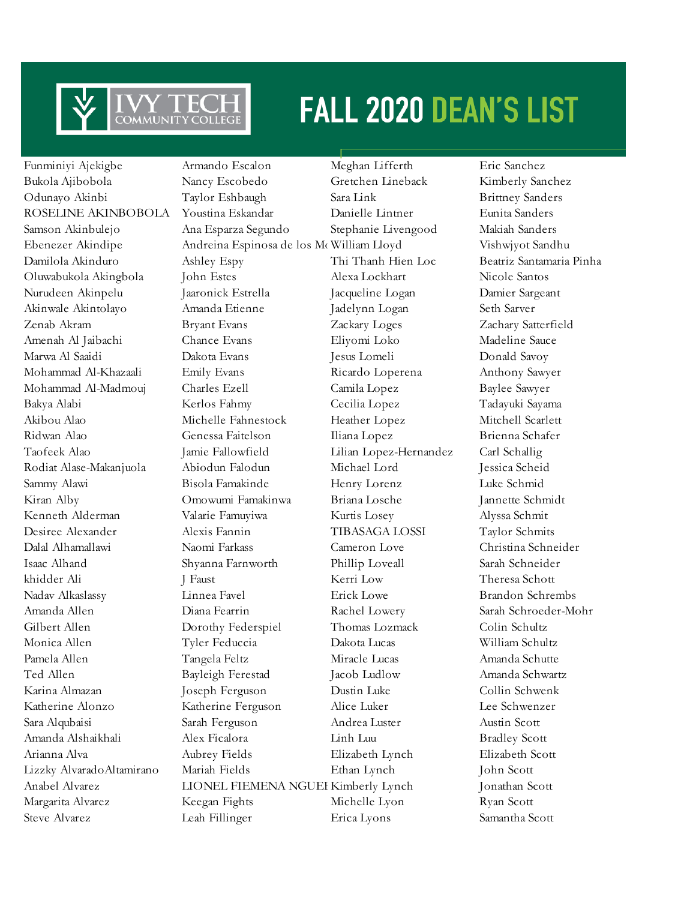

Funminiyi Ajekigbe Armando Escalon Meghan Lifferth Eric Sanchez

Bukola Ajibobola Nancy Escobedo Gretchen Lineback Kimberly Sanchez Odunayo Akinbi Taylor Eshbaugh Sara Link Brittney Sanders ROSELINE AKINBOBOLA Youstina Eskandar Danielle Lintner Eunita Sanders Samson Akinbulejo Ana Esparza Segundo Stephanie Livengood Makiah Sanders Ebenezer Akindipe Andreina Espinosa de los Mc William Lloyd Vishwjyot Sandhu Damilola Akinduro Ashley Espy Thi Thanh Hien Loc Beatriz Santamaria Pinha Oluwabukola Akingbola John Estes Alexa Lockhart Nicole Santos Nurudeen Akinpelu Jaaronick Estrella Jacqueline Logan Damier Sargeant Akinwale Akintolayo Amanda Etienne Jadelynn Logan Seth Sarver Zenab Akram Bryant Evans Zackary Loges Zachary Satterfield Amenah Al Jaibachi Chance Evans Eliyomi Loko Madeline Sauce Marwa Al Saaidi Dakota Evans Jesus Lomeli Donald Savoy Mohammad Al-Khazaali Emily Evans Ricardo Loperena Anthony Sawyer Mohammad Al-Madmouj Charles Ezell Camila Lopez Baylee Sawyer Bakya Alabi Kerlos Fahmy Cecilia Lopez Tadayuki Sayama Akibou Alao Michelle Fahnestock Heather Lopez Mitchell Scarlett Ridwan Alao Genessa Faitelson Iliana Lopez Brienna Schafer Taofeek Alao Jamie Fallowfield Lilian Lopez-Hernandez Carl Schallig Rodiat Alase-Makanjuola Abiodun Falodun Michael Lord Jessica Scheid Sammy Alawi Bisola Famakinde Henry Lorenz Luke Schmid Kiran Alby Omowumi Famakinwa Briana Losche Jannette Schmidt Kenneth Alderman Valarie Famuyiwa Kurtis Losey Alyssa Schmit Desiree Alexander Alexis Fannin TIBASAGA LOSSI Taylor Schmits Dalal Alhamallawi Naomi Farkass Cameron Love Christina Schneider Isaac Alhand Shyanna Farnworth Phillip Loveall Sarah Schneider khidder Ali J Faust J Faust Kerri Low Theresa Schott Nadav Alkaslassy Linnea Favel Erick Lowe Brandon Schrembs Amanda Allen Diana Fearrin Rachel Lowery Sarah Schroeder-Mohr Gilbert Allen Dorothy Federspiel Thomas Lozmack Colin Schultz Monica Allen Tyler Feduccia Dakota Lucas William Schultz Pamela Allen Tangela Feltz Miracle Lucas Amanda Schutte Ted Allen Bayleigh Ferestad Jacob Ludlow Amanda Schwartz Karina Almazan Joseph Ferguson Dustin Luke Collin Schwenk Katherine Alonzo Katherine Ferguson Alice Luker Lee Schwenzer Sara Alqubaisi Sarah Ferguson Andrea Luster Austin Scott Amanda Alshaikhali Alex Ficalora Linh Luu Bradley Scott Arianna Alva Aubrey Fields Elizabeth Lynch Elizabeth Scott Lizzky AlvaradoAltamirano Mariah Fields Ethan Lynch John Scott Anabel Alvarez **LIONEL FIEMENA NGUEFACK Kimberly Lynch** Jonathan Scott Margarita Alvarez Keegan Fights Michelle Lyon Ryan Scott Steve Alvarez Leah Fillinger Erica Lyons Samantha Scott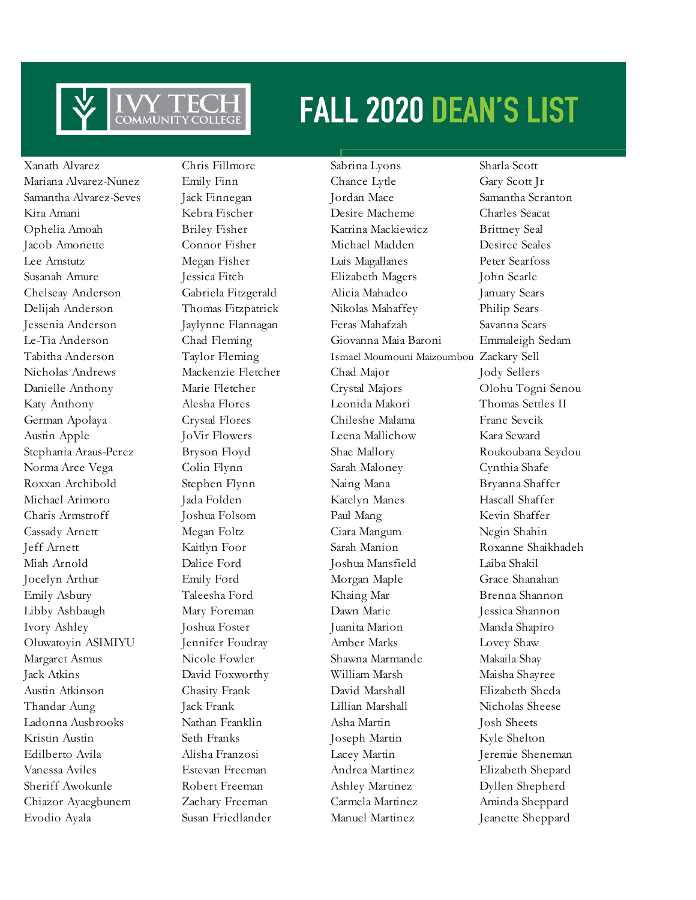

Xanath Alvarez Chris Fillmore Sabrina Lyons Sharla Scott

Evodio Ayala Susan Friedlander Manuel Martinez Jeanette Sheppard

Mariana Alvarez-Nunez Emily Finn Chance Lytle Gary Scott Jr Samantha Alvarez-Seves Jack Finnegan Jordan Mace Samantha Scranton Kira Amani Kebra Fischer Desire Macheme Charles Seacat Ophelia Amoah Briley Fisher Katrina Mackiewicz Brittney Seal Jacob Amonette Connor Fisher Michael Madden Desiree Seales Lee Amstutz Megan Fisher Luis Magallanes Peter Searfoss Susanah Amure Jessica Fitch Elizabeth Magers John Searle Chelseay Anderson Gabriela Fitzgerald Alicia Mahadeo January Sears Delijah Anderson Thomas Fitzpatrick Nikolas Mahaffey Philip Sears Jessenia Anderson Jaylynne Flannagan Feras Mahafzah Savanna Sears Le-Tia Anderson Chad Fleming Giovanna Maia Baroni Emmaleigh Sedam Tabitha Anderson Taylor Fleming Ismael Moumouni Maizoumbou Zackary Sell Nicholas Andrews Mackenzie Fletcher Chad Major Jody Sellers Danielle Anthony Marie Fletcher Crystal Majors Olohu Togni Senou Katy Anthony Alesha Flores Leonida Makori Thomas Settles II German Apolaya Crystal Flores Chileshe Malama Franc Sevcik Austin Apple JoVir Flowers Leena Mallichow Kara Seward Stephania Araus-Perez Bryson Floyd Shae Mallory Roukoubana Seydou Norma Arce Vega Colin Flynn Sarah Maloney Cynthia Shafe Roxxan Archibold Stephen Flynn Naing Mana Bryanna Shaffer Michael Arimoro Jada Folden Katelyn Manes Hascall Shaffer Charis Armstroff Joshua Folsom Paul Mang Kevin Shaffer Cassady Arnett Megan Foltz Ciara Mangum Negin Shahin Jeff Arnett Kaitlyn Foor Sarah Manion Roxanne Shaikhadeh Miah Arnold Dalice Ford Joshua Mansfield Laiba Shakil Jocelyn Arthur **Emily Ford** Morgan Maple Grace Shanahan Emily Asbury Taleesha Ford Khaing Mar Brenna Shannon Libby Ashbaugh Mary Foreman Dawn Marie Jessica Shannon Ivory Ashley Joshua Foster Juanita Marion Manda Shapiro Oluwatoyin ASIMIYU Jennifer Foudray Amber Marks Lovey Shaw Margaret Asmus Nicole Fowler Shawna Marmande Makaila Shay Jack Atkins David Foxworthy William Marsh Maisha Shayree Austin Atkinson Chasity Frank David Marshall Elizabeth Sheda Thandar Aung Jack Frank Lillian Marshall Nicholas Sheese Ladonna Ausbrooks Nathan Franklin Asha Martin Josh Sheets Kristin Austin Seth Franks Joseph Martin Kyle Shelton Edilberto Avila Alisha Franzosi Lacey Martin Jeremie Sheneman Vanessa Aviles Estevan Freeman Andrea Martinez Elizabeth Shepard Sheriff Awokunle Robert Freeman Ashley Martinez Dyllen Shepherd Chiazor Ayaegbunem Zachary Freeman Carmela Martinez Aminda Sheppard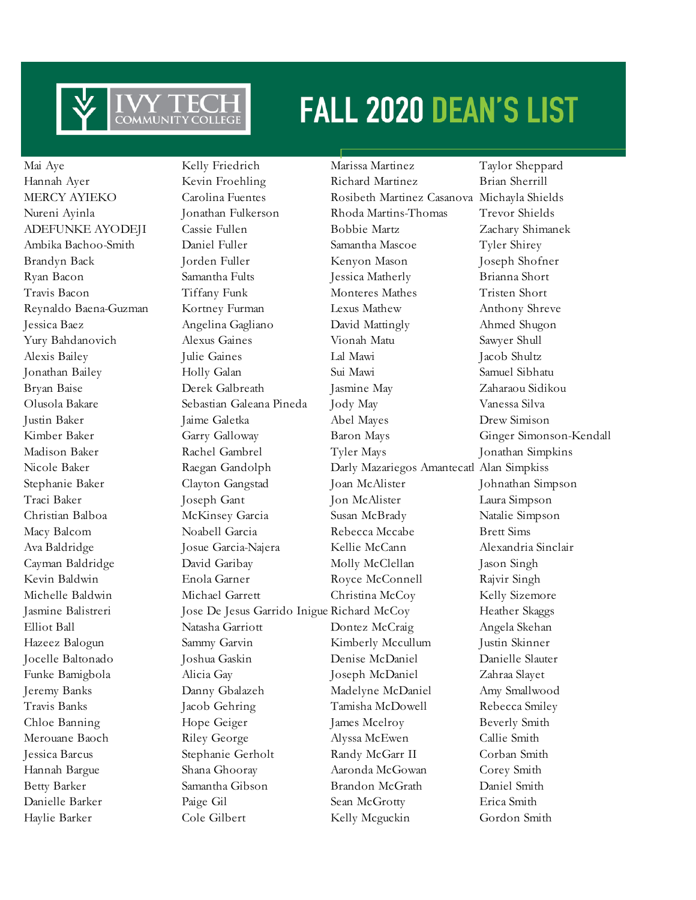

Haylie Barker Cole Gilbert Kelly Mcguckin Gordon Smith

Mai Aye Kelly Friedrich Marissa Martinez Taylor Sheppard Hannah Ayer Kevin Froehling Richard Martinez Brian Sherrill MERCY AYIEKO Carolina Fuentes Rosibeth Martinez Casanova Michayla Shields Nureni Ayinla Jonathan Fulkerson Rhoda Martins-Thomas Trevor Shields ADEFUNKE AYODEJI Cassie Fullen Bobbie Martz Zachary Shimanek Ambika Bachoo-Smith Daniel Fuller Samantha Mascoe Tyler Shirey Brandyn Back Jorden Fuller Kenyon Mason Joseph Shofner Ryan Bacon Samantha Fults Jessica Matherly Brianna Short Travis Bacon Tiffany Funk Monteres Mathes Tristen Short Reynaldo Baena-Guzman Kortney Furman Lexus Mathew Anthony Shreve Jessica Baez Angelina Gagliano David Mattingly Ahmed Shugon Yury Bahdanovich Alexus Gaines Vionah Matu Sawyer Shull Alexis Bailey Julie Gaines Lal Mawi Jacob Shultz Jonathan Bailey Holly Galan Sui Mawi Samuel Sibhatu Bryan Baise Derek Galbreath Jasmine May Zaharaou Sidikou Olusola Bakare Sebastian Galeana Pineda Jody May Vanessa Silva Justin Baker Jaime Galetka Abel Mayes Drew Simison Kimber Baker Garry Galloway Baron Mays Ginger Simonson-Kendall Madison Baker Rachel Gambrel Tyler Mays Jonathan Simpkins Nicole Baker Raegan Gandolph Darly Mazariegos Amantecatl Alan Simpkiss Stephanie Baker Clayton Gangstad Joan McAlister Johnathan Simpson Traci Baker Joseph Gant Jon McAlister Laura Simpson Christian Balboa McKinsey Garcia Susan McBrady Natalie Simpson Macy Balcom Noabell Garcia Rebecca Mccabe Brett Sims Ava Baldridge Josue Garcia-Najera Kellie McCann Alexandria Sinclair Cayman Baldridge David Garibay Molly McClellan Jason Singh Kevin Baldwin Enola Garner Royce McConnell Rajvir Singh Michelle Baldwin Michael Garrett Christina McCoy Kelly Sizemore Jasmine Balistreri Jose De Jesus Garrido Inigue Richard McCoy Heather Skaggs Elliot Ball Natasha Garriott Dontez McCraig Angela Skehan Hazeez Balogun Sammy Garvin Kimberly Mccullum Justin Skinner Jocelle Baltonado Joshua Gaskin Denise McDaniel Danielle Slauter Funke Bamigbola Alicia Gay Joseph McDaniel Zahraa Slayet Jeremy Banks Danny Gbalazeh Madelyne McDaniel Amy Smallwood Travis Banks Jacob Gehring Tamisha McDowell Rebecca Smiley Chloe Banning Hope Geiger James Mcelroy Beverly Smith Merouane Baoch Riley George Alyssa McEwen Callie Smith Jessica Barcus Stephanie Gerholt Randy McGarr II Corban Smith Hannah Bargue Shana Ghooray Aaronda McGowan Corey Smith Betty Barker Samantha Gibson Brandon McGrath Daniel Smith Danielle Barker Paige Gil Sean McGrotty Erica Smith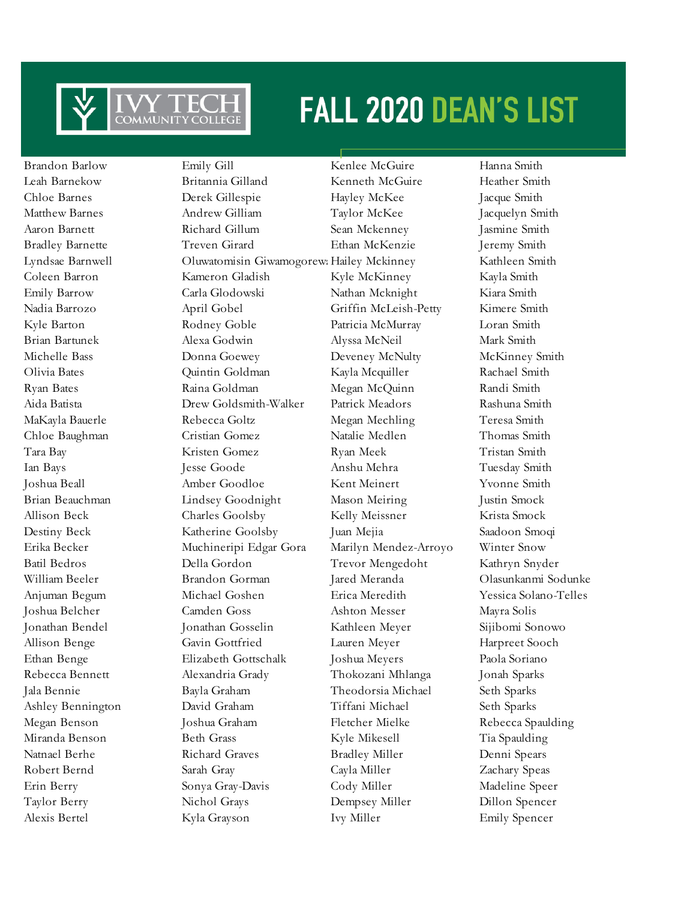

Brandon Barlow Emily Gill Kenlee McGuire Hanna Smith Leah Barnekow Britannia Gilland Kenneth McGuire Heather Smith Chloe Barnes Derek Gillespie Hayley McKee Jacque Smith Matthew Barnes Andrew Gilliam Taylor McKee Jacquelyn Smith Aaron Barnett Richard Gillum Sean Mckenney Jasmine Smith Bradley Barnette Treven Girard Ethan McKenzie Jeremy Smith Lyndsae Barnwell **Coluwatomisin Giwamogorew: Hailey Mckinney** Kathleen Smith Coleen Barron Kameron Gladish Kyle McKinney Kayla Smith Emily Barrow Carla Glodowski Nathan Mcknight Kiara Smith Nadia Barrozo April Gobel Griffin McLeish-Petty Kimere Smith Kyle Barton Rodney Goble Patricia McMurray Loran Smith Brian Bartunek Alexa Godwin Alyssa McNeil Mark Smith Michelle Bass **Donna Goewey** Deveney McNulty McKinney Smith Olivia Bates Quintin Goldman Kayla Mcquiller Rachael Smith Ryan Bates Raina Goldman Megan McQuinn Randi Smith Aida Batista Drew Goldsmith-Walker Patrick Meadors Rashuna Smith MaKayla Bauerle Rebecca Goltz Megan Mechling Teresa Smith Chloe Baughman Cristian Gomez Natalie Medlen Thomas Smith Tara Bay Kristen Gomez Ryan Meek Tristan Smith Ian Bays Jesse Goode Anshu Mehra Tuesday Smith Joshua Beall Amber Goodloe Kent Meinert Yvonne Smith Brian Beauchman Lindsey Goodnight Mason Meiring Justin Smock Allison Beck Charles Goolsby Kelly Meissner Krista Smock Destiny Beck Katherine Goolsby Juan Mejia Saadoon Smoqi Erika Becker Muchineripi Edgar Gora Marilyn Mendez-Arroyo Winter Snow Batil Bedros Della Gordon Trevor Mengedoht Kathryn Snyder William Beeler Brandon Gorman Jared Meranda Olasunkanmi Sodunke Anjuman Begum Michael Goshen Erica Meredith Yessica Solano-Telles Joshua Belcher Camden Goss Ashton Messer Mayra Solis Jonathan Bendel Jonathan Gosselin Kathleen Meyer Sijibomi Sonowo Allison Benge Gavin Gottfried Lauren Meyer Harpreet Sooch Ethan Benge Elizabeth Gottschalk Joshua Meyers Paola Soriano Rebecca Bennett Alexandria Grady Thokozani Mhlanga Jonah Sparks Jala Bennie Bayla Graham Theodorsia Michael Seth Sparks Ashley Bennington David Graham Tiffani Michael Seth Sparks Megan Benson Joshua Graham Fletcher Mielke Rebecca Spaulding Miranda Benson Beth Grass Kyle Mikesell Tia Spaulding Natnael Berhe Richard Graves Bradley Miller Denni Spears Robert Bernd Sarah Gray Cayla Miller Zachary Speas Erin Berry Sonya Gray-Davis Cody Miller Madeline Speer Taylor Berry Nichol Grays Dempsey Miller Dillon Spencer Alexis Bertel Kyla Grayson Ivy Miller Emily Spencer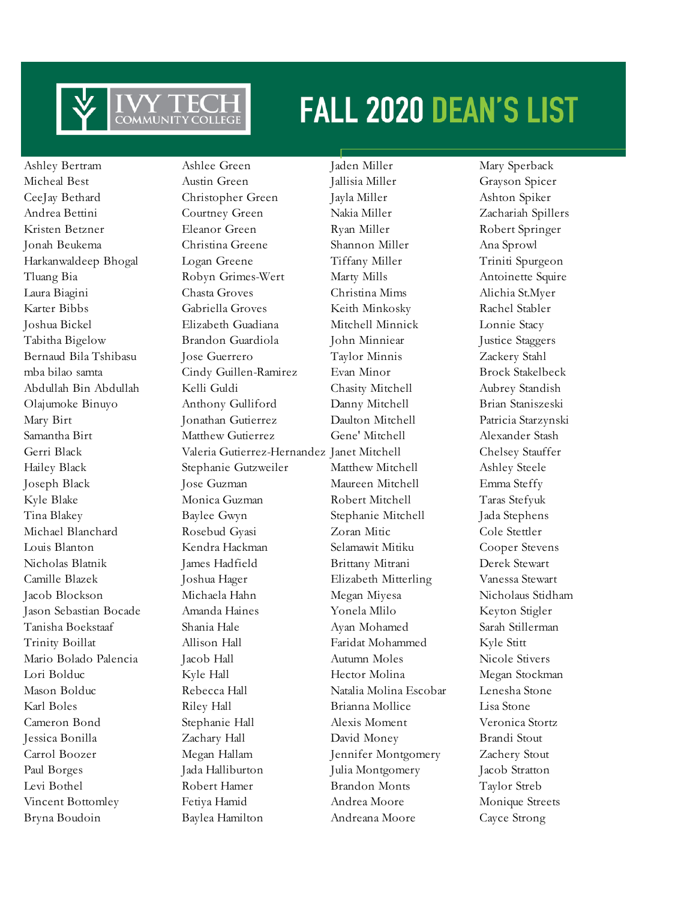

Bryna Boudoin Baylea Hamilton Andreana Moore Cayce Strong

Ashley Bertram Ashlee Green Jaden Miller Mary Sperback Micheal Best Austin Green Jallisia Miller Grayson Spicer CeeJay Bethard Christopher Green Jayla Miller Ashton Spiker Andrea Bettini Courtney Green Nakia Miller Zachariah Spillers Kristen Betzner Eleanor Green Ryan Miller Robert Springer Jonah Beukema Christina Greene Shannon Miller Ana Sprowl Harkanwaldeep Bhogal Logan Greene Tiffany Miller Triniti Spurgeon Tluang Bia Robyn Grimes-Wert Marty Mills Antoinette Squire Laura Biagini Chasta Groves Christina Mims Alichia St.Myer Karter Bibbs Gabriella Groves Keith Minkosky Rachel Stabler Joshua Bickel Elizabeth Guadiana Mitchell Minnick Lonnie Stacy Tabitha Bigelow Brandon Guardiola John Minniear Justice Staggers Bernaud Bila Tshibasu Jose Guerrero Taylor Minnis Zackery Stahl mba bilao samta Cindy Guillen-Ramirez Evan Minor Brock Stakelbeck Abdullah Bin Abdullah Kelli Guldi Chasity Mitchell Aubrey Standish Olajumoke Binuyo Anthony Gulliford Danny Mitchell Brian Staniszeski Mary Birt Jonathan Gutierrez Daulton Mitchell Patricia Starzynski Samantha Birt Matthew Gutierrez Gene' Mitchell Alexander Stash Gerri Black Valeria Gutierrez-Hernandez Janet Mitchell Chelsey Stauffer Hailey Black Stephanie Gutzweiler Matthew Mitchell Ashley Steele Joseph Black Jose Guzman Maureen Mitchell Emma Steffy Kyle Blake Monica Guzman Robert Mitchell Taras Stefyuk Tina Blakey Baylee Gwyn Stephanie Mitchell Jada Stephens Michael Blanchard Rosebud Gyasi Zoran Mitic Cole Stettler Louis Blanton Kendra Hackman Selamawit Mitiku Cooper Stevens Nicholas Blatnik James Hadfield Brittany Mitrani Derek Stewart Camille Blazek Joshua Hager Elizabeth Mitterling Vanessa Stewart Jacob Blockson Michaela Hahn Megan Miyesa Nicholaus Stidham Jason Sebastian Bocade Amanda Haines Yonela Mlilo Keyton Stigler Tanisha Boekstaaf Shania Hale Ayan Mohamed Sarah Stillerman Trinity Boillat Allison Hall Faridat Mohammed Kyle Stitt Mario Bolado Palencia Jacob Hall Autumn Moles Nicole Stivers Lori Bolduc Kyle Hall Hector Molina Megan Stockman Mason Bolduc Rebecca Hall Natalia Molina Escobar Lenesha Stone Karl Boles Riley Hall Brianna Mollice Lisa Stone Cameron Bond Stephanie Hall Alexis Moment Veronica Stortz Jessica Bonilla Zachary Hall David Money Brandi Stout Carrol Boozer Megan Hallam Jennifer Montgomery Zachery Stout Paul Borges Jada Halliburton Julia Montgomery Jacob Stratton Levi Bothel Robert Hamer Brandon Monts Taylor Streb Vincent Bottomley Fetiya Hamid Andrea Moore Monique Streets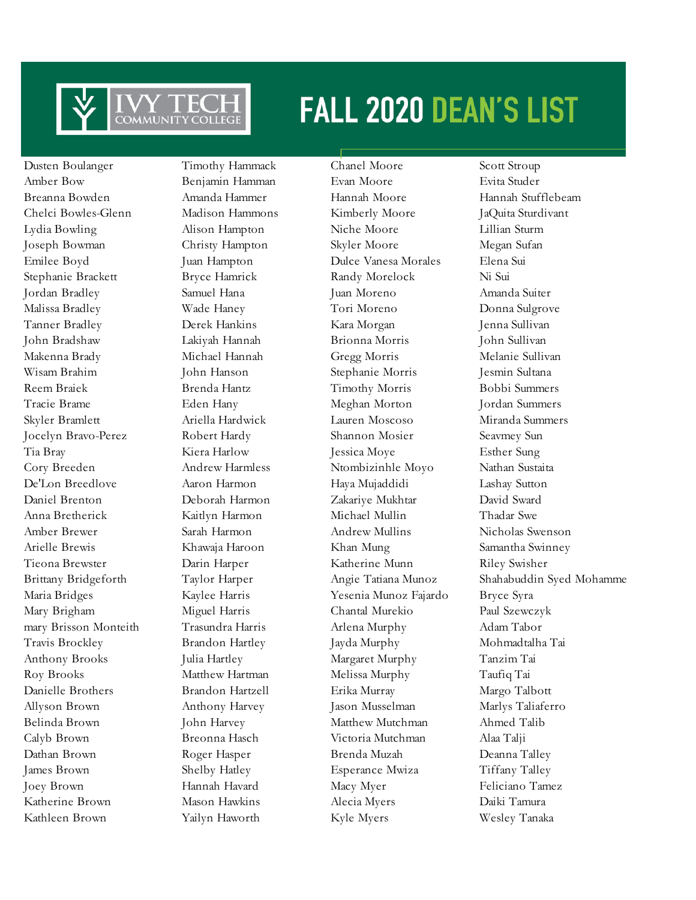

Dusten Boulanger Timothy Hammack Chanel Moore Scott Stroup Amber Bow Benjamin Hamman Evan Moore Evita Studer Breanna Bowden Amanda Hammer Hannah Moore Hannah Stufflebeam Chelci Bowles-Glenn Madison Hammons Kimberly Moore JaQuita Sturdivant Lydia Bowling Alison Hampton Niche Moore Lillian Sturm Joseph Bowman Christy Hampton Skyler Moore Megan Sufan Emilee Boyd Juan Hampton Dulce Vanesa Morales Elena Sui Stephanie Brackett Bryce Hamrick Randy Morelock Ni Sui Jordan Bradley Samuel Hana Juan Moreno Amanda Suiter Malissa Bradley Wade Haney Tori Moreno Donna Sulgrove Tanner Bradley Derek Hankins Kara Morgan Jenna Sullivan John Bradshaw Lakiyah Hannah Brionna Morris John Sullivan Makenna Brady Michael Hannah Gregg Morris Melanie Sullivan Wisam Brahim John Hanson Stephanie Morris Jesmin Sultana Reem Braiek Brenda Hantz Timothy Morris Bobbi Summers Tracie Brame Eden Hany Meghan Morton Jordan Summers Skyler Bramlett Ariella Hardwick Lauren Moscoso Miranda Summers Jocelyn Bravo-Perez Robert Hardy Shannon Mosier Seavmey Sun Tia Bray Kiera Harlow Jessica Moye Esther Sung Cory Breeden Andrew Harmless Ntombizinhle Moyo Nathan Sustaita De'Lon Breedlove Aaron Harmon Haya Mujaddidi Lashay Sutton Daniel Brenton Deborah Harmon Zakariye Mukhtar David Sward Anna Bretherick Kaitlyn Harmon Michael Mullin Thadar Swe Amber Brewer Sarah Harmon Andrew Mullins Nicholas Swenson Arielle Brewis Khawaja Haroon Khan Mung Samantha Swinney Tieona Brewster Darin Harper Katherine Munn Riley Swisher Maria Bridges Kaylee Harris Yesenia Munoz Fajardo Bryce Syra Mary Brigham Miguel Harris Chantal Murekio Paul Szewczyk mary Brisson Monteith Trasundra Harris Arlena Murphy Adam Tabor Travis Brockley Brandon Hartley Jayda Murphy Mohmadtalha Tai Anthony Brooks Julia Hartley Margaret Murphy Tanzim Tai Roy Brooks Matthew Hartman Melissa Murphy Taufiq Tai Danielle Brothers Brandon Hartzell Erika Murray Margo Talbott Allyson Brown Anthony Harvey Jason Musselman Marlys Taliaferro Belinda Brown John Harvey Matthew Mutchman Ahmed Talib Calyb Brown Breonna Hasch Victoria Mutchman Alaa Talji Dathan Brown Roger Hasper Brenda Muzah Deanna Talley James Brown Shelby Hatley Esperance Mwiza Tiffany Talley Joey Brown Hannah Havard Macy Myer Feliciano Tamez Katherine Brown Mason Hawkins Alecia Myers Daiki Tamura Kathleen Brown Yailyn Haworth Kyle Myers Wesley Tanaka

Brittany Bridgeforth Taylor Harper Angie Tatiana Munoz Shahabuddin Syed Mohamme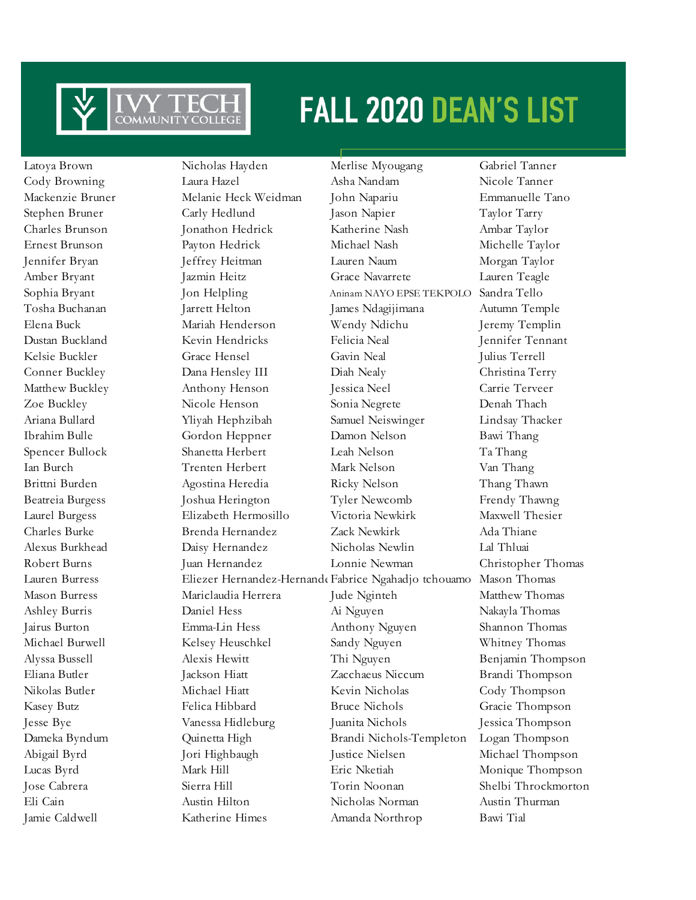

Latoya Brown Nicholas Hayden Merlise Myougang Gabriel Tanner Cody Browning Laura Hazel Asha Nandam Nicole Tanner Mackenzie Bruner Melanie Heck Weidman John Napariu Emmanuelle Tano Stephen Bruner Carly Hedlund Jason Napier Taylor Tarry Charles Brunson Jonathon Hedrick Katherine Nash Ambar Taylor Ernest Brunson Payton Hedrick Michael Nash Michelle Taylor Jennifer Bryan Jeffrey Heitman Lauren Naum Morgan Taylor Amber Bryant Jazmin Heitz Grace Navarrete Lauren Teagle Sophia Bryant Jon Helpling Aninam NAYO EPSE TEKPOLO Sandra Tello Tosha Buchanan Jarrett Helton James Ndagijimana Autumn Temple Elena Buck Mariah Henderson Wendy Ndichu Jeremy Templin Dustan Buckland Kevin Hendricks Felicia Neal Jennifer Tennant Kelsie Buckler Grace Hensel Gavin Neal Julius Terrell Conner Buckley Dana Hensley III Diah Nealy Christina Terry Matthew Buckley Anthony Henson Jessica Neel Carrie Terveer Zoe Buckley Nicole Henson Sonia Negrete Denah Thach Ariana Bullard Yliyah Hephzibah Samuel Neiswinger Lindsay Thacker Ibrahim Bulle Gordon Heppner Damon Nelson Bawi Thang Spencer Bullock Shanetta Herbert Leah Nelson Ta Thang Ian Burch Trenten Herbert Mark Nelson Van Thang Brittni Burden Agostina Heredia Ricky Nelson Thang Thawn Beatreia Burgess Joshua Herington Tyler Newcomb Frendy Thawng Laurel Burgess Elizabeth Hermosillo Victoria Newkirk Maxwell Thesier Charles Burke Brenda Hernandez Zack Newkirk Ada Thiane Alexus Burkhead Daisy Hernandez Nicholas Newlin Lal Thluai Robert Burns Juan Hernandez Lonnie Newman Christopher Thomas Lauren Burress Eliezer Hernandez-Hernande Fabrice Ngahadjo tchouamo Mason Thomas Mason Burress Mariclaudia Herrera Jude Nginteh Matthew Thomas Ashley Burris Daniel Hess Ai Nguyen Nakayla Thomas Jairus Burton Emma-Lin Hess Anthony Nguyen Shannon Thomas Michael Burwell Kelsey Heuschkel Sandy Nguyen Whitney Thomas Alyssa Bussell Alexis Hewitt Thi Nguyen Benjamin Thompson Eliana Butler Jackson Hiatt Zacchaeus Niccum Brandi Thompson Nikolas Butler Michael Hiatt Kevin Nicholas Cody Thompson Kasey Butz Felica Hibbard Bruce Nichols Gracie Thompson Jesse Bye Vanessa Hidleburg Juanita Nichols Jessica Thompson Dameka Byndum Quinetta High Brandi Nichols-Templeton Logan Thompson Abigail Byrd Jori Highbaugh Justice Nielsen Michael Thompson Lucas Byrd Mark Hill Eric Nketiah Monique Thompson Jose Cabrera Sierra Hill Torin Noonan Shelbi Throckmorton Eli Cain Austin Hilton Nicholas Norman Austin Thurman

Jamie Caldwell Katherine Himes Amanda Northrop Bawi Tial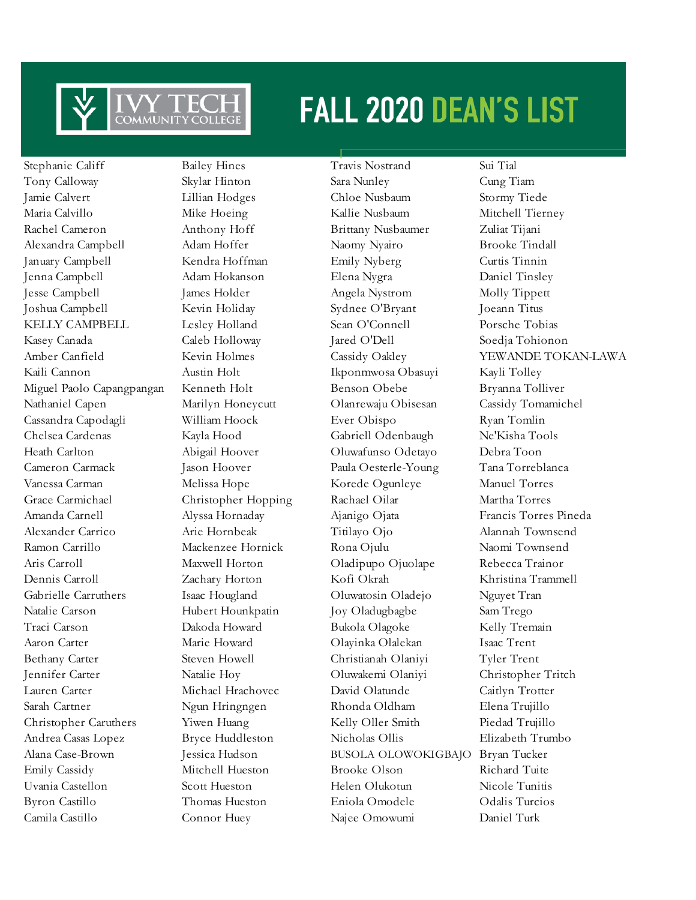

Stephanie Califf Bailey Hines Travis Nostrand Sui Tial

Tony Calloway Skylar Hinton Sara Nunley Cung Tiam Jamie Calvert Lillian Hodges Chloe Nusbaum Stormy Tiede Maria Calvillo Mike Hoeing Kallie Nusbaum Mitchell Tierney Rachel Cameron Anthony Hoff Brittany Nusbaumer Zuliat Tijani Alexandra Campbell Adam Hoffer Naomy Nyairo Brooke Tindall January Campbell Kendra Hoffman Emily Nyberg Curtis Tinnin Jenna Campbell Adam Hokanson Elena Nygra Daniel Tinsley Jesse Campbell James Holder Angela Nystrom Molly Tippett Joshua Campbell Kevin Holiday Sydnee O'Bryant Joeann Titus KELLY CAMPBELL Lesley Holland Sean O'Connell Porsche Tobias Kasey Canada Caleb Holloway Jared O'Dell Soedja Tohionon Kaili Cannon Austin Holt Ikponmwosa Obasuyi Kayli Tolley Miguel Paolo Capangpangan Kenneth Holt Benson Obebe Bryanna Tolliver Nathaniel Capen Marilyn Honeycutt Olanrewaju Obisesan Cassidy Tomamichel Cassandra Capodagli William Hoock Ever Obispo Ryan Tomlin Chelsea Cardenas Kayla Hood Gabriell Odenbaugh Ne'Kisha Tools Heath Carlton Abigail Hoover Oluwafunso Odetayo Debra Toon Cameron Carmack Jason Hoover Paula Oesterle-Young Tana Torreblanca Vanessa Carman Melissa Hope Korede Ogunleye Manuel Torres Grace Carmichael Christopher Hopping Rachael Oilar Martha Torres Amanda Carnell Alyssa Hornaday Ajanigo Ojata Francis Torres Pineda Alexander Carrico Arie Hornbeak Titilayo Ojo Alannah Townsend Ramon Carrillo Mackenzee Hornick Rona Ojulu Naomi Townsend Aris Carroll Maxwell Horton Oladipupo Ojuolape Rebecca Trainor Dennis Carroll Zachary Horton Kofi Okrah Khristina Trammell Gabrielle Carruthers Isaac Hougland Oluwatosin Oladejo Nguyet Tran Natalie Carson Hubert Hounkpatin Joy Oladugbagbe Sam Trego Traci Carson Dakoda Howard Bukola Olagoke Kelly Tremain Aaron Carter Marie Howard Olayinka Olalekan Isaac Trent Bethany Carter Steven Howell Christianah Olaniyi Tyler Trent Jennifer Carter Natalie Hoy Oluwakemi Olaniyi Christopher Tritch Lauren Carter Michael Hrachovec David Olatunde Caitlyn Trotter Sarah Cartner Ngun Hringngen Rhonda Oldham Elena Trujillo Christopher Caruthers Yiwen Huang Kelly Oller Smith Piedad Trujillo Andrea Casas Lopez Bryce Huddleston Nicholas Ollis Elizabeth Trumbo Alana Case-Brown Jessica Hudson BUSOLA OLOWOKIGBAJO Bryan Tucker Emily Cassidy Mitchell Hueston Brooke Olson Richard Tuite Uvania Castellon Scott Hueston Helen Olukotun Nicole Tunitis Byron Castillo Thomas Hueston Eniola Omodele Odalis Turcios Camila Castillo Connor Huey Najee Omowumi Daniel Turk

Amber Canfield Kevin Holmes Cassidy Oakley YEWANDE TOKAN-LAWA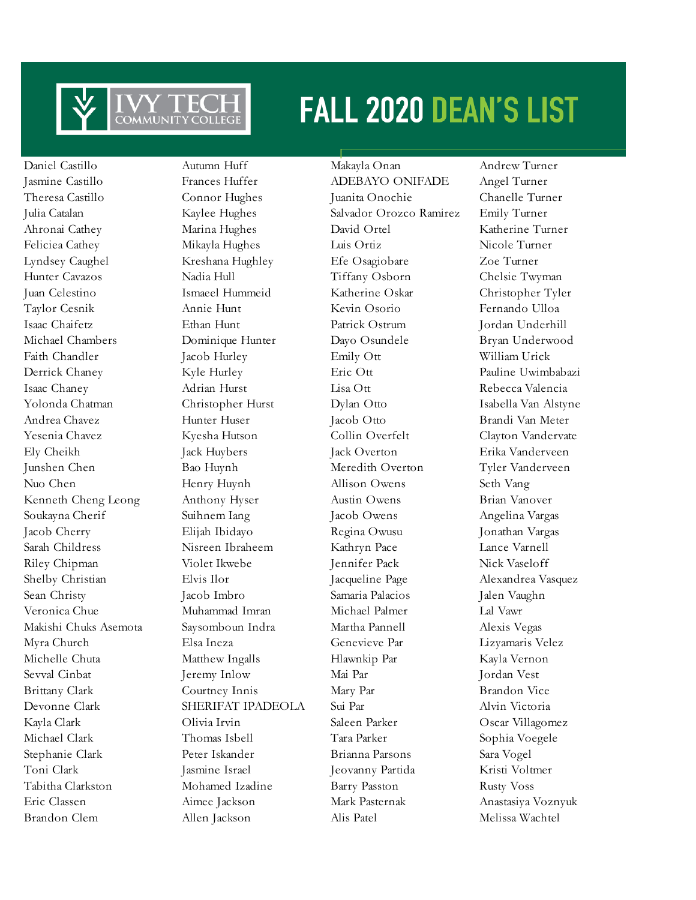

Daniel Castillo Autumn Huff Makayla Onan Andrew Turner Brandon Clem Allen Jackson Alis Patel Melissa Wachtel

Jasmine Castillo Frances Huffer ADEBAYO ONIFADE Angel Turner Theresa Castillo Connor Hughes Juanita Onochie Chanelle Turner Julia Catalan Kaylee Hughes Salvador Orozco Ramirez Emily Turner Ahronai Cathey Marina Hughes David Ortel Katherine Turner Feliciea Cathey Mikayla Hughes Luis Ortiz Nicole Turner Lyndsey Caughel Kreshana Hughley Efe Osagiobare Zoe Turner Hunter Cavazos Nadia Hull Tiffany Osborn Chelsie Twyman Juan Celestino Ismaeel Hummeid Katherine Oskar Christopher Tyler Taylor Cesnik Annie Hunt Kevin Osorio Fernando Ulloa Isaac Chaifetz Ethan Hunt Patrick Ostrum Jordan Underhill Michael Chambers Dominique Hunter Dayo Osundele Bryan Underwood Faith Chandler **Jacob Hurley** Emily Ott William Urick Derrick Chaney Kyle Hurley Eric Ott Pauline Uwimbabazi Isaac Chaney Adrian Hurst Lisa Ott Rebecca Valencia Yolonda Chatman Christopher Hurst Dylan Otto Isabella Van Alstyne Andrea Chavez Hunter Huser Jacob Otto Brandi Van Meter Yesenia Chavez Kyesha Hutson Collin Overfelt Clayton Vandervate Ely Cheikh Jack Huybers Jack Overton Erika Vanderveen Junshen Chen Bao Huynh Meredith Overton Tyler Vanderveen Nuo Chen Henry Huynh Allison Owens Seth Vang Kenneth Cheng Leong Anthony Hyser Austin Owens Brian Vanover Soukayna Cherif Suihnem Iang Jacob Owens Angelina Vargas Jacob Cherry Elijah Ibidayo Regina Owusu Jonathan Vargas Sarah Childress Nisreen Ibraheem Kathryn Pace Lance Varnell Riley Chipman Violet Ikwebe Jennifer Pack Nick Vaseloff Shelby Christian Elvis Ilor Jacqueline Page Alexandrea Vasquez Sean Christy Jacob Imbro Samaria Palacios Jalen Vaughn Veronica Chue Muhammad Imran Michael Palmer Lal Vawr Makishi Chuks Asemota Saysomboun Indra Martha Pannell Alexis Vegas Myra Church Elsa Ineza Genevieve Par Lizyamaris Velez Michelle Chuta Matthew Ingalls Hlawnkip Par Kayla Vernon Sevval Cinbat Jeremy Inlow Mai Par Jordan Vest Brittany Clark Courtney Innis Mary Par Brandon Vice Devonne Clark SHERIFAT IPADEOLA Sui Par Alvin Victoria Kayla Clark Olivia Irvin Saleen Parker Oscar Villagomez Michael Clark Thomas Isbell Tara Parker Sophia Voegele Stephanie Clark Peter Iskander Brianna Parsons Sara Vogel Toni Clark Jasmine Israel Jeovanny Partida Kristi Voltmer Tabitha Clarkston Mohamed Izadine Barry Passton Rusty Voss Eric Classen Aimee Jackson Mark Pasternak Anastasiya Voznyuk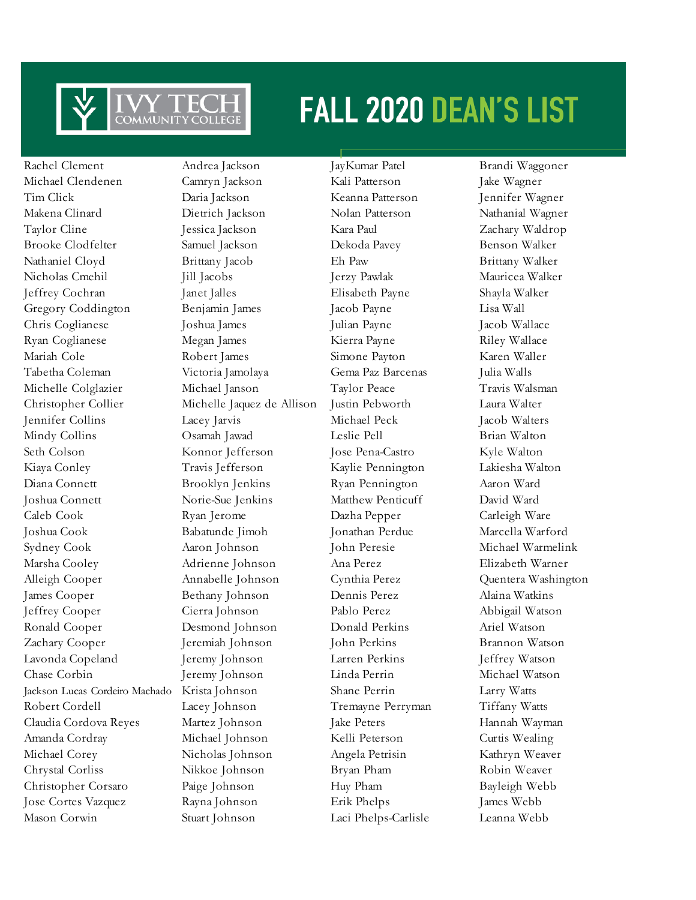

Rachel Clement Andrea Jackson JayKumar Patel Brandi Waggoner Michael Clendenen Camryn Jackson Kali Patterson Jake Wagner Tim Click Daria Jackson Keanna Patterson Jennifer Wagner Makena Clinard Dietrich Jackson Nolan Patterson Nathanial Wagner Taylor Cline Jessica Jackson Kara Paul Zachary Waldrop Brooke Clodfelter Samuel Jackson Dekoda Pavey Benson Walker Nathaniel Cloyd Brittany Jacob Eh Paw Brittany Walker Nicholas Cmehil Jill Jacobs Jerzy Pawlak Mauricea Walker Jeffrey Cochran Janet Jalles Elisabeth Payne Shayla Walker Gregory Coddington Benjamin James Jacob Payne Lisa Wall Chris Coglianese Joshua James Julian Payne Jacob Wallace Ryan Coglianese Megan James Kierra Payne Riley Wallace Mariah Cole Robert James Simone Payton Karen Waller Tabetha Coleman Victoria Jamolaya Gema Paz Barcenas Julia Walls Michelle Colglazier Michael Janson Taylor Peace Travis Walsman Christopher Collier Michelle Jaquez de Allison Justin Pebworth Laura Walter Jennifer Collins Lacey Jarvis Michael Peck Jacob Walters Mindy Collins Osamah Jawad Leslie Pell Brian Walton Seth Colson Konnor Jefferson Jose Pena-Castro Kyle Walton Kiaya Conley Travis Jefferson Kaylie Pennington Lakiesha Walton Diana Connett Brooklyn Jenkins Ryan Pennington Aaron Ward Joshua Connett Norie-Sue Jenkins Matthew Penticuff David Ward Caleb Cook Ryan Jerome Dazha Pepper Carleigh Ware Joshua Cook Babatunde Jimoh Jonathan Perdue Marcella Warford Sydney Cook Aaron Johnson John Peresie Michael Warmelink Marsha Cooley Adrienne Johnson Ana Perez Elizabeth Warner Alleigh Cooper Annabelle Johnson Cynthia Perez Quentera Washington James Cooper Bethany Johnson Dennis Perez Alaina Watkins Jeffrey Cooper Cierra Johnson Pablo Perez Abbigail Watson Ronald Cooper Desmond Johnson Donald Perkins Ariel Watson Zachary Cooper Jeremiah Johnson John Perkins Brannon Watson Lavonda Copeland Jeremy Johnson Larren Perkins Jeffrey Watson Chase Corbin Jeremy Johnson Linda Perrin Michael Watson Jackson Lucas Cordeiro Machado Krista Johnson Shane Perrin Larry Watts Robert Cordell **Lacey Johnson** Tremayne Perryman Tiffany Watts Claudia Cordova Reyes Martez Johnson Jake Peters Hannah Wayman Amanda Cordray Michael Johnson Kelli Peterson Curtis Wealing Michael Corey Nicholas Johnson Angela Petrisin Kathryn Weaver Chrystal Corliss Nikkoe Johnson Bryan Pham Robin Weaver Christopher Corsaro Paige Johnson Huy Pham Bayleigh Webb Jose Cortes Vazquez Rayna Johnson Erik Phelps James Webb Mason Corwin Stuart Johnson Laci Phelps-Carlisle Leanna Webb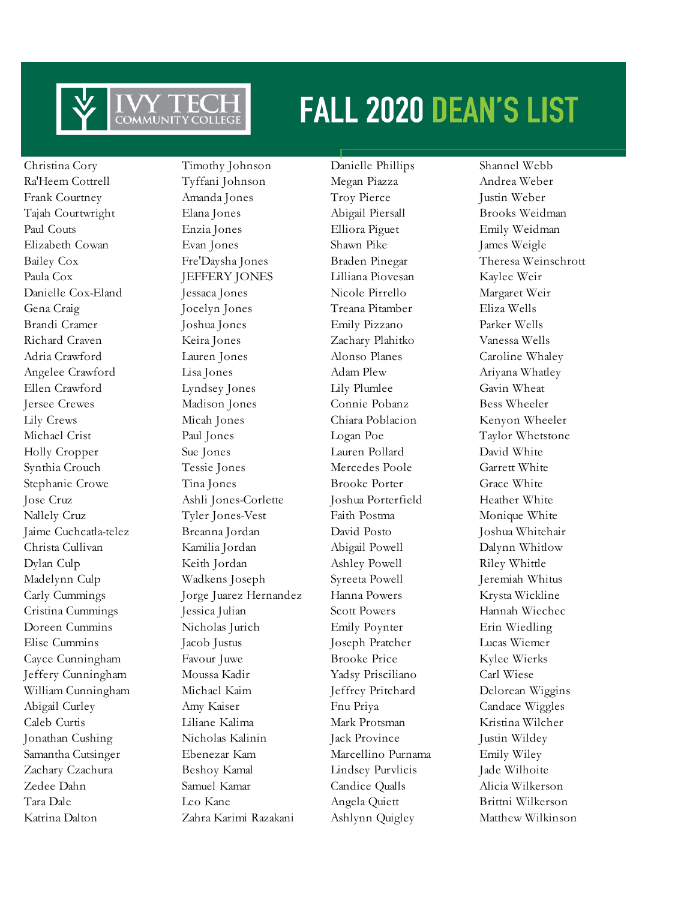

Christina Cory Timothy Johnson Danielle Phillips Shannel Webb Katrina Dalton Zahra Karimi Razakani Ashlynn Quigley Matthew Wilkinson

Ra'Heem Cottrell Tyffani Johnson Megan Piazza Andrea Weber Frank Courtney Amanda Jones Troy Pierce Justin Weber Tajah Courtwright Elana Jones Abigail Piersall Brooks Weidman Paul Couts Enzia Jones Elliora Piguet Emily Weidman Elizabeth Cowan Evan Jones Shawn Pike James Weigle Bailey Cox Fre'Daysha Jones Braden Pinegar Theresa Weinschrott Paula Cox **JEFFERY JONES** Lilliana Piovesan Kaylee Weir Danielle Cox-Eland Jessaca Jones Nicole Pirrello Margaret Weir Gena Craig Jocelyn Jones Treana Pitamber Eliza Wells Brandi Cramer Joshua Jones Emily Pizzano Parker Wells Richard Craven Keira Jones Zachary Plahitko Vanessa Wells Adria Crawford Lauren Jones Alonso Planes Caroline Whaley Angelee Crawford Lisa Jones Adam Plew Ariyana Whatley Ellen Crawford Lyndsey Jones Lily Plumlee Gavin Wheat Jersee Crewes Madison Jones Connie Pobanz Bess Wheeler Lily Crews Micah Jones Chiara Poblacion Kenyon Wheeler Michael Crist Paul Jones Logan Poe Taylor Whetstone Holly Cropper Sue Jones Lauren Pollard David White Synthia Crouch Tessie Jones Mercedes Poole Garrett White Stephanie Crowe Tina Jones Brooke Porter Grace White Jose Cruz Ashli Jones-Corlette Joshua Porterfield Heather White Nallely Cruz Tyler Jones-Vest Faith Postma Monique White Jaime Cuchcatla-telez Breanna Jordan David Posto Joshua Whitehair Christa Cullivan Kamilia Jordan Abigail Powell Dalynn Whitlow Dylan Culp Keith Jordan Ashley Powell Riley Whittle Madelynn Culp Wadkens Joseph Syreeta Powell Jeremiah Whitus Carly Cummings Jorge Juarez Hernandez Hanna Powers Krysta Wickline Cristina Cummings Jessica Julian Scott Powers Hannah Wiechec Doreen Cummins Nicholas Jurich Emily Poynter Erin Wiedling Elise Cummins Jacob Justus Joseph Pratcher Lucas Wiemer Cayce Cunningham Favour Juwe Brooke Price Kylee Wierks Jeffery Cunningham Moussa Kadir Yadsy Prisciliano Carl Wiese William Cunningham Michael Kaim Jeffrey Pritchard Delorean Wiggins Abigail Curley Amy Kaiser Fnu Priya Candace Wiggles Caleb Curtis Liliane Kalima Mark Protsman Kristina Wilcher Jonathan Cushing Nicholas Kalinin Jack Province Justin Wildey Samantha Cutsinger Ebenezar Kam Marcellino Purnama Emily Wiley Zachary Czachura Beshoy Kamal Lindsey Purvlicis Jade Wilhoite Zedee Dahn Samuel Kamar Candice Qualls Alicia Wilkerson Tara Dale Leo Kane Angela Quiett Brittni Wilkerson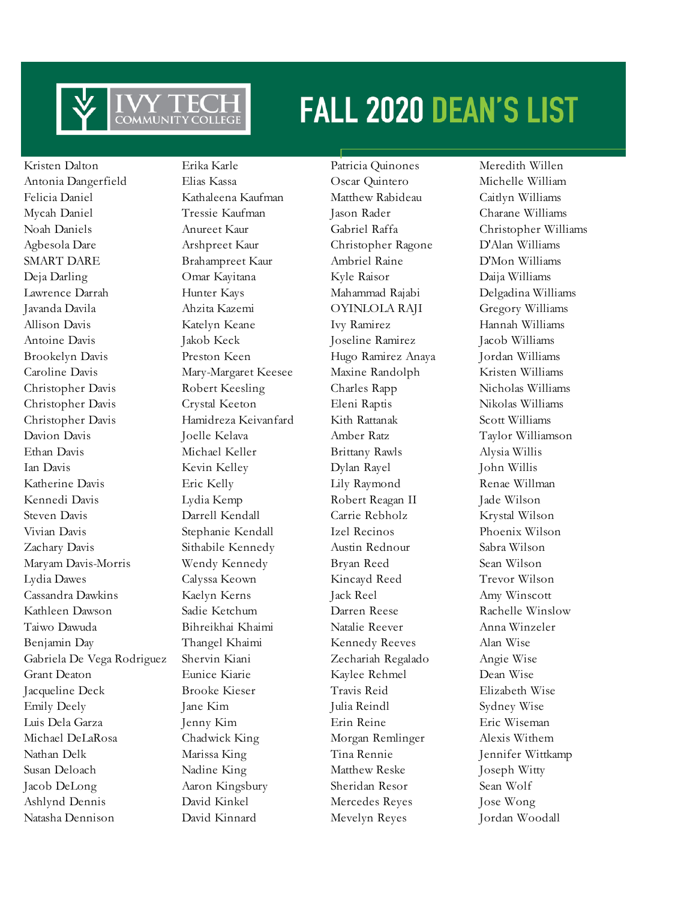

Kristen Dalton Erika Karle Patricia Quinones Meredith Willen Antonia Dangerfield Elias Kassa Oscar Quintero Michelle William Felicia Daniel Kathaleena Kaufman Matthew Rabideau Caitlyn Williams Mycah Daniel Tressie Kaufman Jason Rader Charane Williams Noah Daniels Anureet Kaur Gabriel Raffa Christopher Williams Agbesola Dare Arshpreet Kaur Christopher Ragone D'Alan Williams SMART DARE Brahampreet Kaur Ambriel Raine D'Mon Williams Deja Darling Omar Kayitana Kyle Raisor Daija Williams Lawrence Darrah Hunter Kays Mahammad Rajabi Delgadina Williams Javanda Davila Ahzita Kazemi OYINLOLA RAJI Gregory Williams Allison Davis Katelyn Keane Ivy Ramirez Hannah Williams Antoine Davis Jakob Keck Joseline Ramirez Jacob Williams Brookelyn Davis Preston Keen Hugo Ramirez Anaya Jordan Williams Caroline Davis Mary-Margaret Keesee Maxine Randolph Kristen Williams Christopher Davis Robert Keesling Charles Rapp Nicholas Williams Christopher Davis Crystal Keeton Eleni Raptis Nikolas Williams Christopher Davis Hamidreza Keivanfard Kith Rattanak Scott Williams Davion Davis Joelle Kelava Amber Ratz Taylor Williamson Ethan Davis Michael Keller Brittany Rawls Alysia Willis Ian Davis Kevin Kelley Dylan Rayel John Willis Katherine Davis Eric Kelly Lily Raymond Renae Willman Kennedi Davis Lydia Kemp Robert Reagan II Jade Wilson Steven Davis Darrell Kendall Carrie Rebholz Krystal Wilson Vivian Davis Stephanie Kendall Izel Recinos Phoenix Wilson Zachary Davis Sithabile Kennedy Austin Rednour Sabra Wilson Maryam Davis-Morris Wendy Kennedy Bryan Reed Sean Wilson Lydia Dawes Calyssa Keown Kincayd Reed Trevor Wilson Cassandra Dawkins Kaelyn Kerns Jack Reel Amy Winscott Kathleen Dawson Sadie Ketchum Darren Reese Rachelle Winslow Taiwo Dawuda Bihreikhai Khaimi Natalie Reever Anna Winzeler Benjamin Day Thangel Khaimi Kennedy Reeves Alan Wise Gabriela De Vega Rodriguez Shervin Kiani Zechariah Regalado Angie Wise Grant Deaton Eunice Kiarie Kaylee Rehmel Dean Wise Jacqueline Deck Brooke Kieser Travis Reid Elizabeth Wise Emily Deely **Jane Kim** Julia Reindl Sydney Wise Luis Dela Garza Jenny Kim Erin Reine Eric Wiseman Michael DeLaRosa Chadwick King Morgan Remlinger Alexis Withem Nathan Delk Marissa King Tina Rennie Jennifer Wittkamp Susan Deloach Nadine King Matthew Reske Joseph Witty Jacob DeLong Aaron Kingsbury Sheridan Resor Sean Wolf Ashlynd Dennis David Kinkel Mercedes Reyes Jose Wong Natasha Dennison David Kinnard Mevelyn Reyes Jordan Woodall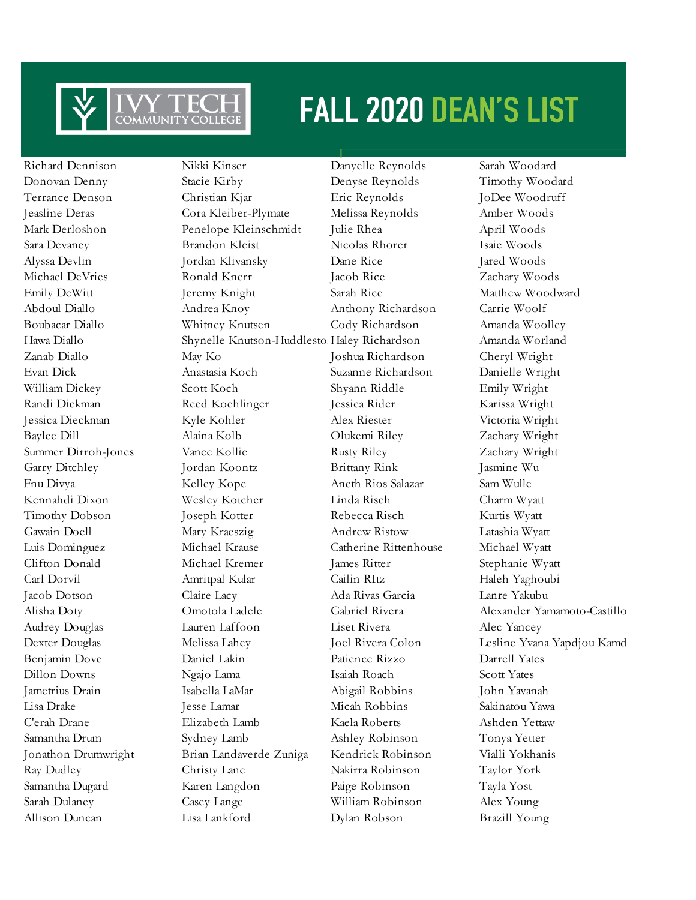

Richard Dennison Nikki Kinser Danyelle Reynolds Sarah Woodard Donovan Denny Stacie Kirby Denyse Reynolds Timothy Woodard Terrance Denson Christian Kjar Eric Reynolds JoDee Woodruff Jeasline Deras Cora Kleiber-Plymate Melissa Reynolds Amber Woods Mark Derloshon Penelope Kleinschmidt Julie Rhea April Woods Sara Devaney Brandon Kleist Nicolas Rhorer Isaie Woods Alyssa Devlin Jordan Klivansky Dane Rice Jared Woods Michael DeVries Ronald Knerr Jacob Rice Zachary Woods Emily DeWitt Jeremy Knight Sarah Rice Matthew Woodward Abdoul Diallo Andrea Knoy Anthony Richardson Carrie Woolf Boubacar Diallo Whitney Knutsen Cody Richardson Amanda Woolley Hawa Diallo Shynelle Knutson-Huddlesto Haley Richardson Amanda Worland Zanab Diallo May Ko Joshua Richardson Cheryl Wright Evan Dick Anastasia Koch Suzanne Richardson Danielle Wright William Dickey Scott Koch Shyann Riddle Emily Wright Randi Dickman Reed Koehlinger Jessica Rider Karissa Wright Jessica Dieckman Kyle Kohler Alex Riester Victoria Wright Baylee Dill Alaina Kolb Olukemi Riley Zachary Wright Summer Dirroh-Jones Vanee Kollie Rusty Riley 2achary Wright Garry Ditchley Jordan Koontz Brittany Rink Jasmine Wu Fnu Divya Kelley Kope Aneth Rios Salazar Sam Wulle Kennahdi Dixon Wesley Kotcher Linda Risch Charm Wyatt Timothy Dobson Joseph Kotter Rebecca Risch Kurtis Wyatt Gawain Doell Mary Kraeszig Andrew Ristow Latashia Wyatt Luis Dominguez Michael Krause Catherine Rittenhouse Michael Wyatt Clifton Donald Michael Kremer James Ritter Stephanie Wyatt Carl Dorvil Amritpal Kular Cailin RItz Haleh Yaghoubi Jacob Dotson Claire Lacy Ada Rivas Garcia Lanre Yakubu Audrey Douglas Lauren Laffoon Liset Rivera Alec Yancey Benjamin Dove Daniel Lakin Patience Rizzo Darrell Yates Dillon Downs Ngajo Lama Isaiah Roach Scott Yates Jametrius Drain Isabella LaMar Abigail Robbins John Yavanah Lisa Drake Jesse Lamar Micah Robbins Sakinatou Yawa C'erah Drane Elizabeth Lamb Kaela Roberts Ashden Yettaw Samantha Drum Sydney Lamb Ashley Robinson Tonya Yetter Jonathon Drumwright Brian Landaverde Zuniga Kendrick Robinson Vialli Yokhanis Ray Dudley Christy Lane Nakirra Robinson Taylor York Samantha Dugard Karen Langdon Paige Robinson Tayla Yost Sarah Dulaney Casey Lange William Robinson Alex Young Allison Duncan Lisa Lankford Dylan Robson Brazill Young

Alisha Doty Omotola Ladele Gabriel Rivera Alexander Yamamoto-Castillo Dexter Douglas Melissa Lahey Joel Rivera Colon Lesline Yvana Yapdjou Kamd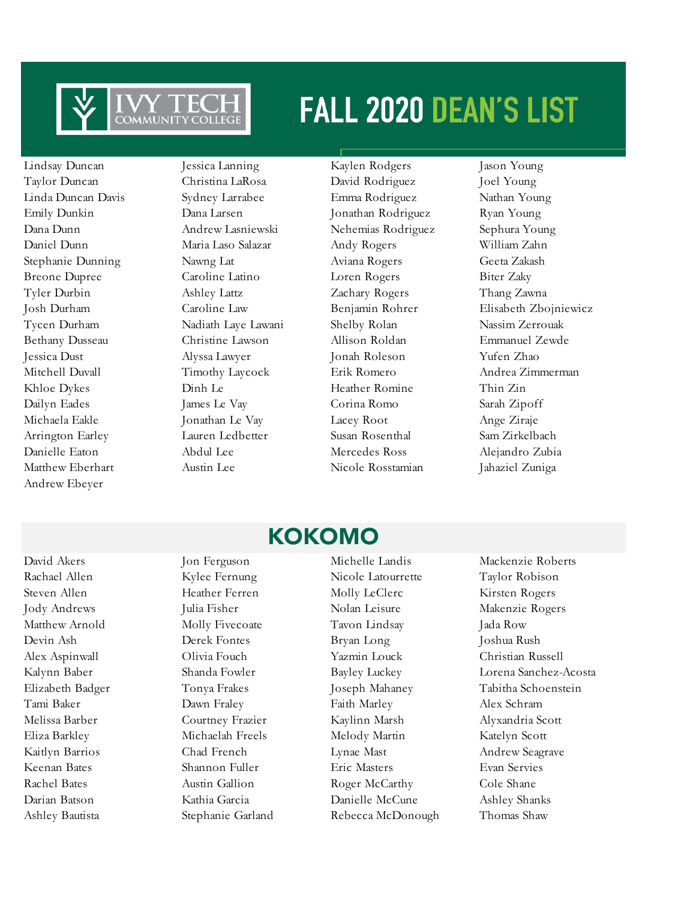

Andrew Ebeyer

Lindsay Duncan Jessica Lanning Kaylen Rodgers Jason Young Taylor Duncan Christina LaRosa David Rodriguez Joel Young Linda Duncan Davis Sydney Larrabee Emma Rodriguez Nathan Young Emily Dunkin Dana Larsen Jonathan Rodriguez Ryan Young Dana Dunn Andrew Lasniewski Nehemias Rodriguez Sephura Young Daniel Dunn Maria Laso Salazar Andy Rogers William Zahn Stephanie Dunning Nawng Lat Aviana Rogers Geeta Zakash Breone Dupree Caroline Latino Loren Rogers Biter Zaky Tyler Durbin Ashley Lattz Zachary Rogers Thang Zawna Tycen Durham Nadiath Laye Lawani Shelby Rolan Nassim Zerrouak Bethany Dusseau Christine Lawson Allison Roldan Emmanuel Zewde Jessica Dust Alyssa Lawyer Jonah Roleson Yufen Zhao Khloe Dykes Dinh Le Heather Romine Thin Zin Dailyn Eades James Le Vay Corina Romo Sarah Zipoff Michaela Eakle Jonathan Le Vay Lacey Root Ange Ziraje Arrington Earley Lauren Ledbetter Susan Rosenthal Sam Zirkelbach Danielle Eaton Abdul Lee Mercedes Ross Alejandro Zubia Matthew Eberhart Austin Lee Nicole Rosstamian Jahaziel Zuniga

Josh Durham Caroline Law Benjamin Rohrer Elisabeth Zbojniewicz Mitchell Duvall Timothy Laycock Erik Romero Andrea Zimmerman

### KOKOMO

Rachael Allen Kylee Fernung Nicole Latourrette Taylor Robison Steven Allen Heather Ferren Molly LeClerc Kirsten Rogers Jody Andrews Julia Fisher Nolan Leisure Makenzie Rogers Matthew Arnold Molly Fivecoate Tavon Lindsay Jada Row Devin Ash Derek Fontes Bryan Long Joshua Rush Alex Aspinwall Olivia Fouch Yazmin Louck Christian Russell Tami Baker Dawn Fraley Faith Marley Alex Schram Melissa Barber Courtney Frazier Kaylinn Marsh Alyxandria Scott Eliza Barkley Michaelah Freels Melody Martin Katelyn Scott Kaitlyn Barrios Chad French Lynae Mast Andrew Seagrave Keenan Bates Shannon Fuller Eric Masters Evan Servies Rachel Bates **Austin Gallion** Roger McCarthy Cole Shane Darian Batson Kathia Garcia Danielle McCune Ashley Shanks Ashley Bautista Stephanie Garland Rebecca McDonough Thomas Shaw

David Akers Jon Ferguson Michelle Landis Mackenzie Roberts Kalynn Baber Shanda Fowler Bayley Luckey Lorena Sanchez-Acosta Elizabeth Badger Tonya Frakes Joseph Mahaney Tabitha Schoenstein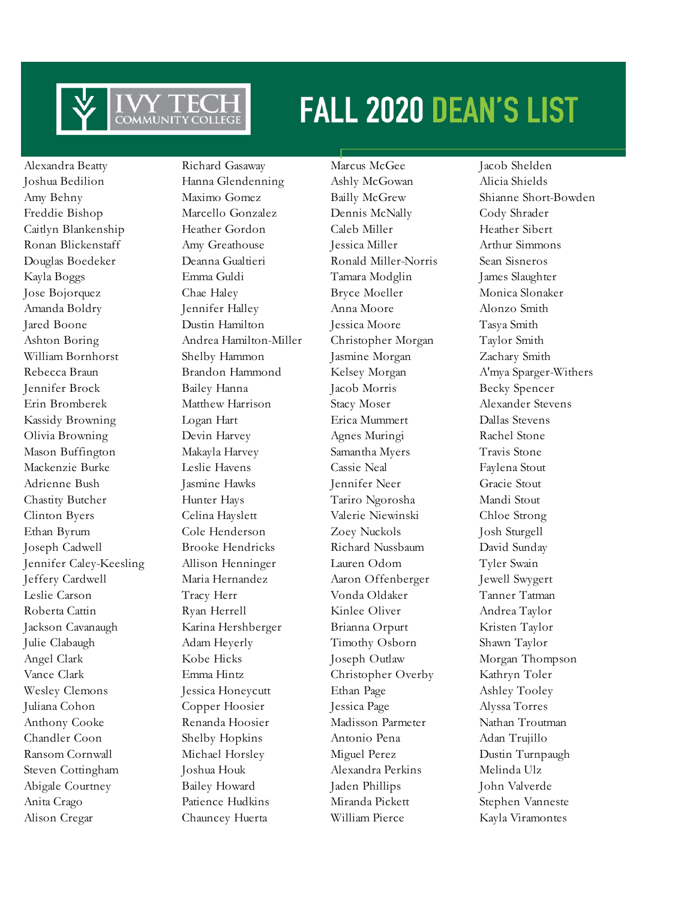

Alexandra Beatty Richard Gasaway Marcus McGee Jacob Shelden Joshua Bedilion Hanna Glendenning Ashly McGowan Alicia Shields Amy Behny Maximo Gomez Bailly McGrew Shianne Short-Bowden Freddie Bishop Marcello Gonzalez Dennis McNally Cody Shrader Caitlyn Blankenship Heather Gordon Caleb Miller Heather Sibert Ronan Blickenstaff Amy Greathouse Jessica Miller Arthur Simmons Douglas Boedeker Deanna Gualtieri Ronald Miller-Norris Sean Sisneros Kayla Boggs Emma Guldi Tamara Modglin James Slaughter Jose Bojorquez Chae Haley Bryce Moeller Monica Slonaker Amanda Boldry Jennifer Halley Anna Moore Alonzo Smith Jared Boone Dustin Hamilton Jessica Moore Tasya Smith Ashton Boring Andrea Hamilton-Miller Christopher Morgan Taylor Smith William Bornhorst Shelby Hammon Jasmine Morgan Zachary Smith Rebecca Braun Brandon Hammond Kelsey Morgan A'mya Sparger-Withers Jennifer Brock Bailey Hanna Jacob Morris Becky Spencer Erin Bromberek Matthew Harrison Stacy Moser Alexander Stevens Kassidy Browning Logan Hart Erica Mummert Dallas Stevens Olivia Browning Devin Harvey Agnes Muringi Rachel Stone Mason Buffington Makayla Harvey Samantha Myers Travis Stone Mackenzie Burke Leslie Havens Cassie Neal Faylena Stout Adrienne Bush Jasmine Hawks Jennifer Neer Gracie Stout Chastity Butcher Hunter Hays Tariro Ngorosha Mandi Stout Clinton Byers Celina Hayslett Valerie Niewinski Chloe Strong Ethan Byrum Cole Henderson Zoey Nuckols Josh Sturgell Joseph Cadwell Brooke Hendricks Richard Nussbaum David Sunday Jennifer Caley-Keesling Allison Henninger Lauren Odom Tyler Swain Jeffery Cardwell Maria Hernandez Aaron Offenberger Jewell Swygert Leslie Carson Tracy Herr Vonda Oldaker Tanner Tatman Roberta Cattin **Ryan Herrell** Kinlee Oliver Andrea Taylor Jackson Cavanaugh Karina Hershberger Brianna Orpurt Kristen Taylor Julie Clabaugh Adam Heyerly Timothy Osborn Shawn Taylor Angel Clark Kobe Hicks Joseph Outlaw Morgan Thompson Vance Clark Emma Hintz Christopher Overby Kathryn Toler Wesley Clemons Jessica Honeycutt Ethan Page Ashley Tooley Juliana Cohon Copper Hoosier Jessica Page Alyssa Torres Anthony Cooke Renanda Hoosier Madisson Parmeter Nathan Troutman Chandler Coon Shelby Hopkins Antonio Pena Adan Trujillo Ransom Cornwall Michael Horsley Miguel Perez Dustin Turnpaugh Steven Cottingham Joshua Houk Alexandra Perkins Melinda Ulz Abigale Courtney Bailey Howard Jaden Phillips John Valverde Anita Crago Patience Hudkins Miranda Pickett Stephen Vanneste Alison Cregar Chauncey Huerta William Pierce Kayla Viramontes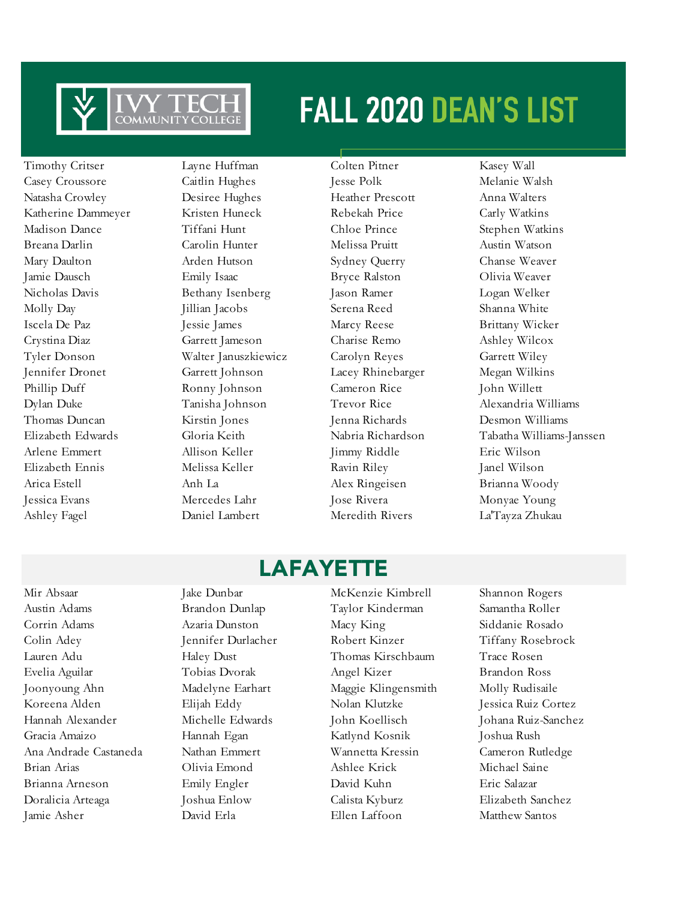

Timothy Critser Layne Huffman Colten Pitner Kasey Wall Casey Croussore Caitlin Hughes Jesse Polk Melanie Walsh Natasha Crowley Desiree Hughes Heather Prescott Anna Walters Katherine Dammeyer Kristen Huneck Rebekah Price Carly Watkins Madison Dance Tiffani Hunt Chloe Prince Stephen Watkins Breana Darlin Carolin Hunter Melissa Pruitt Austin Watson Mary Daulton Arden Hutson Sydney Querry Chanse Weaver Jamie Dausch Emily Isaac Bryce Ralston Olivia Weaver Nicholas Davis Bethany Isenberg Jason Ramer Logan Welker Molly Day Jillian Jacobs Serena Reed Shanna White Iscela De Paz Jessie James Marcy Reese Brittany Wicker Crystina Diaz Garrett Jameson Charise Remo Ashley Wilcox Tyler Donson Walter Januszkiewicz Carolyn Reyes Garrett Wiley Jennifer Dronet Garrett Johnson Lacey Rhinebarger Megan Wilkins Phillip Duff Ronny Johnson Cameron Rice John Willett Dylan Duke Tanisha Johnson Trevor Rice Alexandria Williams Thomas Duncan Kirstin Jones Jenna Richards Desmon Williams Arlene Emmert Allison Keller Jimmy Riddle Eric Wilson Elizabeth Ennis Melissa Keller Ravin Riley Janel Wilson Arica Estell Anh La Alex Ringeisen Brianna Woody Jessica Evans Mercedes Lahr Jose Rivera Monyae Young Ashley Fagel Daniel Lambert Meredith Rivers La'Tayza Zhukau

Elizabeth Edwards Gloria Keith Nabria Richardson Tabatha Williams-Janssen

### **LAFAYETTE**

Austin Adams Brandon Dunlap Taylor Kinderman Samantha Roller Corrin Adams Azaria Dunston Macy King Siddanie Rosado Colin Adey Jennifer Durlacher Robert Kinzer Tiffany Rosebrock Lauren Adu Haley Dust Thomas Kirschbaum Trace Rosen Evelia Aguilar Tobias Dvorak Angel Kizer Brandon Ross Joonyoung Ahn Madelyne Earhart Maggie Klingensmith Molly Rudisaile Koreena Alden Elijah Eddy Nolan Klutzke Jessica Ruiz Cortez Hannah Alexander Michelle Edwards John Koellisch Johana Ruiz-Sanchez Gracia Amaizo Hannah Egan Katlynd Kosnik Joshua Rush Ana Andrade Castaneda Nathan Emmert Wannetta Kressin Cameron Rutledge Brian Arias Olivia Emond Ashlee Krick Michael Saine Brianna Arneson Emily Engler David Kuhn Eric Salazar Doralicia Arteaga Joshua Enlow Calista Kyburz Elizabeth Sanchez Jamie Asher David Erla Ellen Laffoon Matthew Santos

Mir Absaar Jake Dunbar McKenzie Kimbrell Shannon Rogers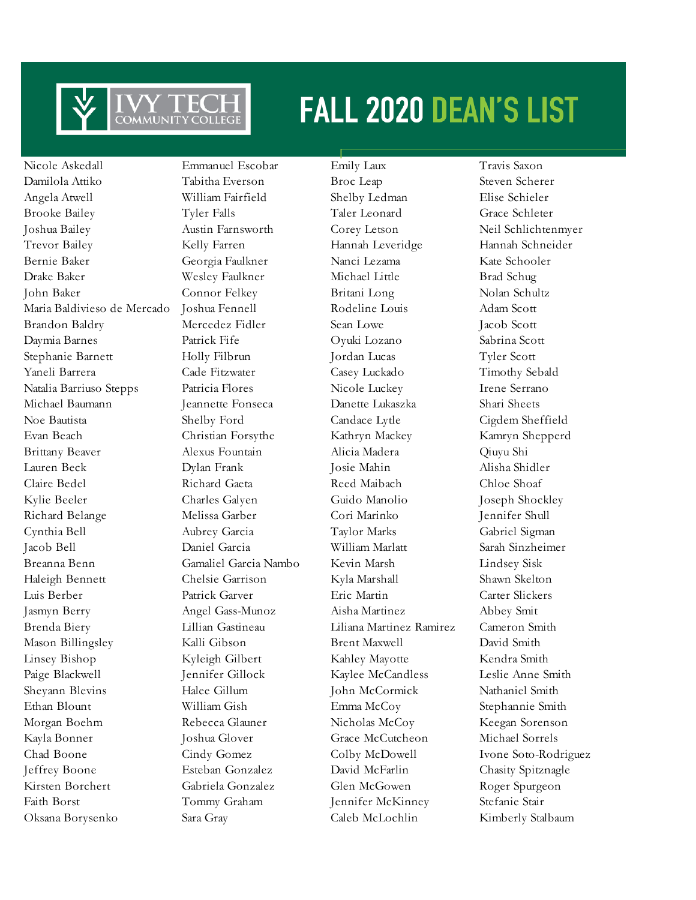

Damilola Attiko Tabitha Everson Broc Leap Steven Scherer Angela Atwell William Fairfield Shelby Ledman Elise Schieler Brooke Bailey Tyler Falls Taler Leonard Grace Schleter Joshua Bailey Austin Farnsworth Corey Letson Neil Schlichtenmyer Trevor Bailey Kelly Farren Hannah Leveridge Hannah Schneider Bernie Baker Georgia Faulkner Nanci Lezama Kate Schooler Drake Baker Wesley Faulkner Michael Little Brad Schug John Baker Connor Felkey Britani Long Nolan Schultz Maria Baldivieso de Mercado Joshua Fennell Rodeline Louis Adam Scott Brandon Baldry **Mercedez Fidler** Sean Lowe Jacob Scott Daymia Barnes Patrick Fife Oyuki Lozano Sabrina Scott Stephanie Barnett Holly Filbrun Jordan Lucas Tyler Scott Yaneli Barrera Cade Fitzwater Casey Luckado Timothy Sebald Natalia Barriuso Stepps Patricia Flores Nicole Luckey Irene Serrano Michael Baumann Jeannette Fonseca Danette Lukaszka Shari Sheets Noe Bautista Shelby Ford Candace Lytle Cigdem Sheffield Evan Beach Christian Forsythe Kathryn Mackey Kamryn Shepperd Brittany Beaver Alexus Fountain Alicia Madera Qiuyu Shi Lauren Beck Dylan Frank Josie Mahin Alisha Shidler Claire Bedel Richard Gaeta Reed Maibach Chloe Shoaf Kylie Beeler Charles Galyen Guido Manolio Joseph Shockley Richard Belange Melissa Garber Cori Marinko Jennifer Shull Cynthia Bell Aubrey Garcia Taylor Marks Gabriel Sigman Jacob Bell Daniel Garcia William Marlatt Sarah Sinzheimer Breanna Benn Gamaliel Garcia Nambo Kevin Marsh Lindsey Sisk Haleigh Bennett Chelsie Garrison Kyla Marshall Shawn Skelton Luis Berber Patrick Garver Eric Martin Carter Slickers Jasmyn Berry Angel Gass-Munoz Aisha Martinez Abbey Smit Brenda Biery Lillian Gastineau Liliana Martinez Ramirez Cameron Smith Mason Billingsley Kalli Gibson Brent Maxwell David Smith Linsey Bishop Kyleigh Gilbert Kahley Mayotte Kendra Smith Paige Blackwell Jennifer Gillock Kaylee McCandless Leslie Anne Smith Sheyann Blevins Halee Gillum John McCormick Nathaniel Smith Ethan Blount William Gish Emma McCoy Stephannie Smith Morgan Boehm Rebecca Glauner Nicholas McCoy Keegan Sorenson Kayla Bonner Joshua Glover Grace McCutcheon Michael Sorrels Chad Boone Cindy Gomez Colby McDowell Ivone Soto-Rodriguez Jeffrey Boone Esteban Gonzalez David McFarlin Chasity Spitznagle Kirsten Borchert Gabriela Gonzalez Glen McGowen Roger Spurgeon Faith Borst Tommy Graham Jennifer McKinney Stefanie Stair Oksana Borysenko Sara Gray Caleb McLochlin Kimberly Stalbaum

Nicole Askedall Emmanuel Escobar Emily Laux Travis Saxon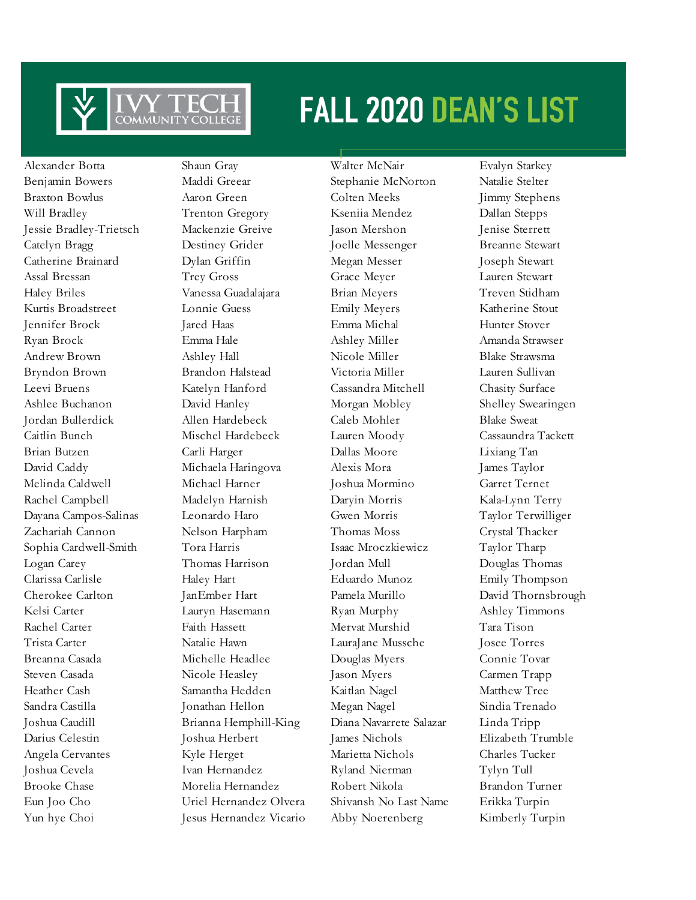

Alexander Botta Shaun Gray Walter McNair Evalyn Starkey Yun hye Choi Jesus Hernandez Vicario Abby Noerenberg Kimberly Turpin

Benjamin Bowers Maddi Greear Stephanie McNorton Natalie Stelter Braxton Bowlus Aaron Green Colten Meeks Jimmy Stephens Will Bradley Trenton Gregory Kseniia Mendez Dallan Stepps Jessie Bradley-Trietsch Mackenzie Greive Jason Mershon Jenise Sterrett Catelyn Bragg Destiney Grider Joelle Messenger Breanne Stewart Catherine Brainard Dylan Griffin Megan Messer Joseph Stewart Assal Bressan Trey Gross Grace Meyer Lauren Stewart Haley Briles Vanessa Guadalajara Brian Meyers Treven Stidham Kurtis Broadstreet Lonnie Guess Emily Meyers Katherine Stout Jennifer Brock Jared Haas Emma Michal Hunter Stover Ryan Brock Emma Hale Ashley Miller Amanda Strawser Andrew Brown Ashley Hall Nicole Miller Blake Strawsma Bryndon Brown Brandon Halstead Victoria Miller Lauren Sullivan Leevi Bruens Katelyn Hanford Cassandra Mitchell Chasity Surface Ashlee Buchanon David Hanley Morgan Mobley Shelley Swearingen Jordan Bullerdick Allen Hardebeck Caleb Mohler Blake Sweat Caitlin Bunch Mischel Hardebeck Lauren Moody Cassaundra Tackett Brian Butzen Carli Harger Dallas Moore Lixiang Tan David Caddy Michaela Haringova Alexis Mora James Taylor Melinda Caldwell Michael Harner Joshua Mormino Garret Ternet Rachel Campbell Madelyn Harnish Daryin Morris Kala-Lynn Terry Dayana Campos-Salinas Leonardo Haro Gwen Morris Taylor Terwilliger Zachariah Cannon Nelson Harpham Thomas Moss Crystal Thacker Sophia Cardwell-Smith Tora Harris Isaac Mroczkiewicz Taylor Tharp Logan Carey Thomas Harrison Jordan Mull Douglas Thomas Clarissa Carlisle Haley Hart Eduardo Munoz Emily Thompson Cherokee Carlton JanEmber Hart Pamela Murillo David Thornsbrough Kelsi Carter Lauryn Hasemann Ryan Murphy Ashley Timmons Rachel Carter Faith Hassett Mervat Murshid Tara Tison Trista Carter Natalie Hawn LauraJane Mussche Josee Torres Breanna Casada Michelle Headlee Douglas Myers Connie Tovar Steven Casada Nicole Heasley Jason Myers Carmen Trapp Heather Cash Samantha Hedden Kaitlan Nagel Matthew Tree Sandra Castilla Jonathan Hellon Megan Nagel Sindia Trenado Joshua Caudill Brianna Hemphill-King Diana Navarrete Salazar Linda Tripp Darius Celestin Joshua Herbert James Nichols Elizabeth Trumble Angela Cervantes Kyle Herget Marietta Nichols Charles Tucker Joshua Cevela Ivan Hernandez Ryland Nierman Tylyn Tull Brooke Chase Morelia Hernandez Robert Nikola Brandon Turner Eun Joo Cho Uriel Hernandez Olvera Shivansh No Last Name Erikka Turpin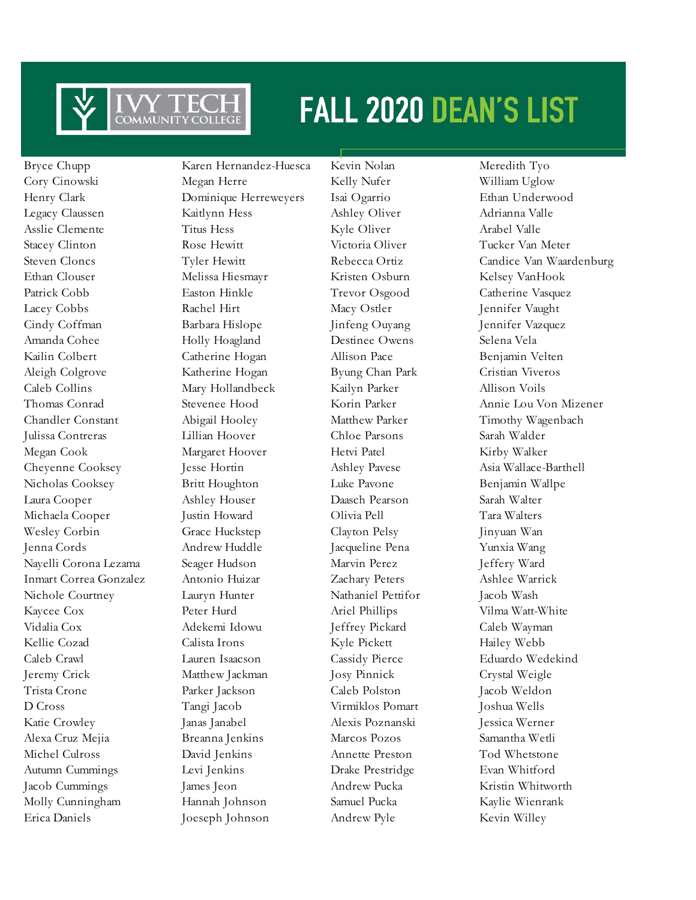

Bryce Chupp Karen Hernandez-Huesca Kevin Nolan Meredith Tyo Erica Daniels Joeseph Johnson Andrew Pyle Kevin Willey

Cory Cinowski Megan Herre Kelly Nufer William Uglow Henry Clark Dominique Herreweyers Isai Ogarrio Ethan Underwood Legacy Claussen Kaitlynn Hess Ashley Oliver Adrianna Valle Asslie Clemente Titus Hess Kyle Oliver Arabel Valle Stacey Clinton Rose Hewitt Victoria Oliver Tucker Van Meter Ethan Clouser Melissa Hiesmayr Kristen Osburn Kelsey VanHook Patrick Cobb **Easton Hinkle** Trevor Osgood Catherine Vasquez Lacey Cobbs Rachel Hirt Macy Ostler Jennifer Vaught Cindy Coffman Barbara Hislope Jinfeng Ouyang Jennifer Vazquez Amanda Cohee Holly Hoagland Destinee Owens Selena Vela Kailin Colbert Catherine Hogan Allison Pace Benjamin Velten Aleigh Colgrove Katherine Hogan Byung Chan Park Cristian Viveros Caleb Collins Mary Hollandbeck Kailyn Parker Allison Voils Chandler Constant Abigail Hooley Matthew Parker Timothy Wagenbach Julissa Contreras Lillian Hoover Chloe Parsons Sarah Walder Megan Cook Margaret Hoover Hetvi Patel Kirby Walker Cheyenne Cooksey Jesse Hortin Ashley Pavese Asia Wallace-Barthell Nicholas Cooksey Britt Houghton Luke Pavone Benjamin Wallpe Laura Cooper Ashley Houser Daasch Pearson Sarah Walter Michaela Cooper Justin Howard Olivia Pell Tara Walters Wesley Corbin Grace Huckstep Clayton Pelsy Jinyuan Wan Jenna Cords Andrew Huddle Jacqueline Pena Yunxia Wang Nayelli Corona Lezama Seager Hudson Marvin Perez Jeffery Ward Inmart Correa Gonzalez Antonio Huizar Zachary Peters Ashlee Warrick Nichole Courtney Lauryn Hunter Nathaniel Pettifor Jacob Wash Kaycee Cox **Peter Hurd** Ariel Phillips Vilma Watt-White Vidalia Cox Adekemi Idowu Jeffrey Pickard Caleb Wayman Kellie Cozad Calista Irons Kyle Pickett Hailey Webb Caleb Crawl Lauren Isaacson Cassidy Pierce Eduardo Wedekind Jeremy Crick Matthew Jackman Josy Pinnick Crystal Weigle Trista Crone Parker Jackson Caleb Polston Jacob Weldon D Cross Tangi Jacob Virmiklos Pomart Joshua Wells Katie Crowley Janas Janabel Alexis Poznanski Jessica Werner Alexa Cruz Mejia Breanna Jenkins Marcos Pozos Samantha Wetli Michel Culross David Jenkins Annette Preston Tod Whetstone Autumn Cummings Levi Jenkins Drake Prestridge Evan Whitford Jacob Cummings James Jeon Andrew Pucka Kristin Whitworth Molly Cunningham Hannah Johnson Samuel Pucka Kaylie Wienrank

Steven Cloncs Tyler Hewitt Rebecca Ortiz Candice Van Waardenburg Thomas Conrad Stevenee Hood Korin Parker Annie Lou Von Mizener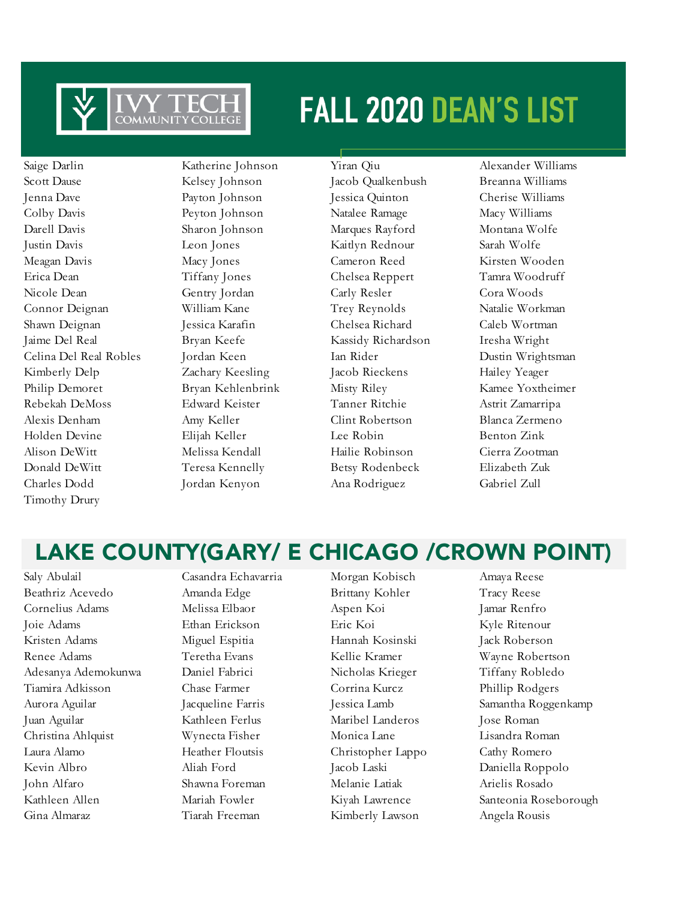

Saige Darlin Katherine Johnson Yiran Qiu Alexander Williams Scott Dause Kelsey Johnson Jacob Qualkenbush Breanna Williams Jenna Dave Payton Johnson Jessica Quinton Cherise Williams Colby Davis Peyton Johnson Natalee Ramage Macy Williams Darell Davis Sharon Johnson Marques Rayford Montana Wolfe Justin Davis Leon Jones Kaitlyn Rednour Sarah Wolfe Meagan Davis Macy Jones Cameron Reed Kirsten Wooden Erica Dean Tiffany Jones Chelsea Reppert Tamra Woodruff Nicole Dean Gentry Jordan Carly Resler Cora Woods Connor Deignan William Kane Trey Reynolds Natalie Workman Shawn Deignan Jessica Karafin Chelsea Richard Caleb Wortman Jaime Del Real Bryan Keefe Kassidy Richardson Iresha Wright Celina Del Real Robles Jordan Keen Ian Rider Dustin Wrightsman Kimberly Delp Zachary Keesling Jacob Rieckens Hailey Yeager Philip Demoret Bryan Kehlenbrink Misty Riley Kamee Yoxtheimer Rebekah DeMoss Edward Keister Tanner Ritchie Astrit Zamarripa Alexis Denham Amy Keller Clint Robertson Blanca Zermeno Holden Devine Elijah Keller Lee Robin Benton Zink Alison DeWitt Melissa Kendall Hailie Robinson Cierra Zootman Donald DeWitt Teresa Kennelly Betsy Rodenbeck Elizabeth Zuk Charles Dodd Jordan Kenyon Ana Rodriguez Gabriel Zull Timothy Drury

### LAKE COUNTY(GARY/ E CHICAGO /CROWN POINT)

Beathriz Acevedo Amanda Edge Brittany Kohler Tracy Reese Cornelius Adams Melissa Elbaor Aspen Koi Jamar Renfro Joie Adams Ethan Erickson Eric Koi Kyle Ritenour Kristen Adams Miguel Espitia Hannah Kosinski Jack Roberson Renee Adams Teretha Evans Kellie Kramer Wayne Robertson Adesanya Ademokunwa Daniel Fabrici Nicholas Krieger Tiffany Robledo Tiamira Adkisson Chase Farmer Corrina Kurcz Phillip Rodgers Aurora Aguilar Jacqueline Farris Jessica Lamb Samantha Roggenkamp Juan Aguilar Kathleen Ferlus Maribel Landeros Jose Roman Christina Ahlquist Wynecta Fisher Monica Lane Lisandra Roman Laura Alamo Heather Floutsis Christopher Lappo Cathy Romero Kevin Albro Aliah Ford Jacob Laski Daniella Roppolo John Alfaro Shawna Foreman Melanie Latiak Arielis Rosado

Saly Abulail Casandra Echavarria Morgan Kobisch Amaya Reese Gina Almaraz Tiarah Freeman Kimberly Lawson Angela Rousis

Kathleen Allen Mariah Fowler Kiyah Lawrence Santeonia Roseborough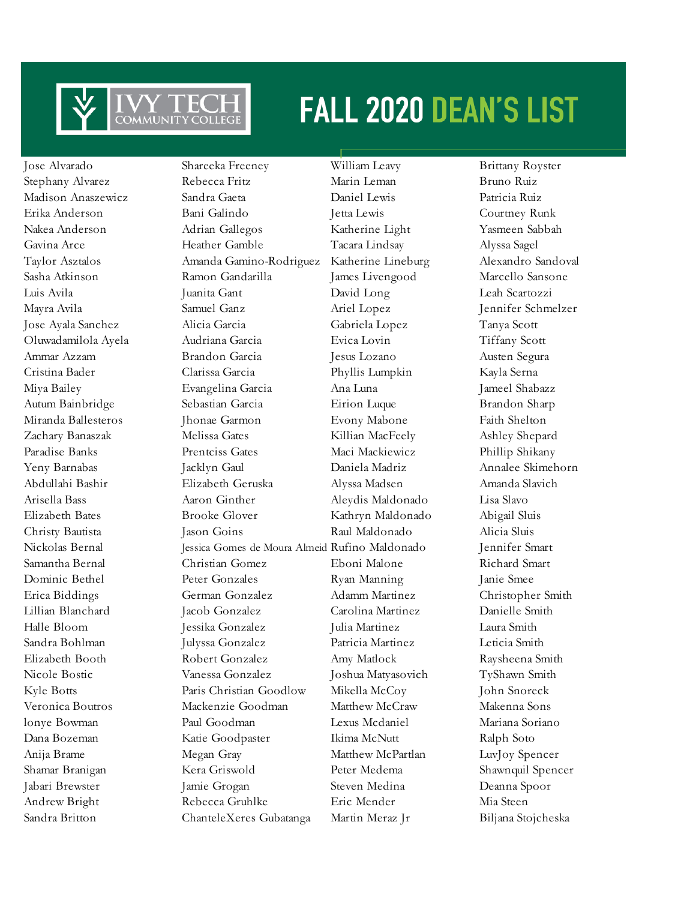

Sandra Britton ChanteleXeres Gubatanga Martin Meraz Jr Biljana Stojcheska

Jose Alvarado Shareeka Freeney William Leavy Brittany Royster Stephany Alvarez Rebecca Fritz Marin Leman Bruno Ruiz Madison Anaszewicz Sandra Gaeta Daniel Lewis Patricia Ruiz Erika Anderson Bani Galindo Jetta Lewis Courtney Runk Nakea Anderson Adrian Gallegos Katherine Light Yasmeen Sabbah Gavina Arce Heather Gamble Tacara Lindsay Alyssa Sagel Taylor Asztalos Amanda Gamino-Rodriguez Katherine Lineburg Alexandro Sandoval Sasha Atkinson Ramon Gandarilla James Livengood Marcello Sansone Luis Avila Juanita Gant David Long Leah Scartozzi Mayra Avila Samuel Ganz Ariel Lopez Jennifer Schmelzer Jose Ayala Sanchez Alicia Garcia Gabriela Lopez Tanya Scott Oluwadamilola Ayela Audriana Garcia Evica Lovin Tiffany Scott Ammar Azzam Brandon Garcia Jesus Lozano Austen Segura Cristina Bader Clarissa Garcia Phyllis Lumpkin Kayla Serna Miya Bailey Evangelina Garcia Ana Luna Jameel Shabazz Autum Bainbridge Sebastian Garcia Eirion Luque Brandon Sharp Miranda Ballesteros Jhonae Garmon Evony Mabone Faith Shelton Zachary Banaszak Melissa Gates Killian MacFeely Ashley Shepard Paradise Banks Prentciss Gates Maci Mackiewicz Phillip Shikany Yeny Barnabas Jacklyn Gaul Daniela Madriz Annalee Skimehorn Abdullahi Bashir Elizabeth Geruska Alyssa Madsen Amanda Slavich Arisella Bass Aaron Ginther Aleydis Maldonado Lisa Slavo Elizabeth Bates Brooke Glover Kathryn Maldonado Abigail Sluis Christy Bautista Jason Goins Raul Maldonado Alicia Sluis Nickolas Bernal Jessica Gomes de Moura Almeid Rufino Maldonado Jennifer Smart Samantha Bernal Christian Gomez Eboni Malone Richard Smart Dominic Bethel Peter Gonzales Ryan Manning Janie Smee Erica Biddings German Gonzalez Adamm Martinez Christopher Smith Lillian Blanchard Jacob Gonzalez Carolina Martinez Danielle Smith Halle Bloom Jessika Gonzalez Julia Martinez Laura Smith Sandra Bohlman Julyssa Gonzalez Patricia Martinez Leticia Smith Elizabeth Booth Robert Gonzalez Amy Matlock Raysheena Smith Nicole Bostic Vanessa Gonzalez Joshua Matyasovich TyShawn Smith Kyle Botts **Paris Christian Goodlow** Mikella McCoy John Snoreck Veronica Boutros Mackenzie Goodman Matthew McCraw Makenna Sons lonye Bowman Paul Goodman Lexus Mcdaniel Mariana Soriano Dana Bozeman Katie Goodpaster Ikima McNutt Ralph Soto Anija Brame Megan Gray Matthew McPartlan LuvJoy Spencer Shamar Branigan Kera Griswold Peter Medema Shawnquil Spencer Jabari Brewster Jamie Grogan Steven Medina Deanna Spoor Andrew Bright Rebecca Gruhlke Eric Mender Mia Steen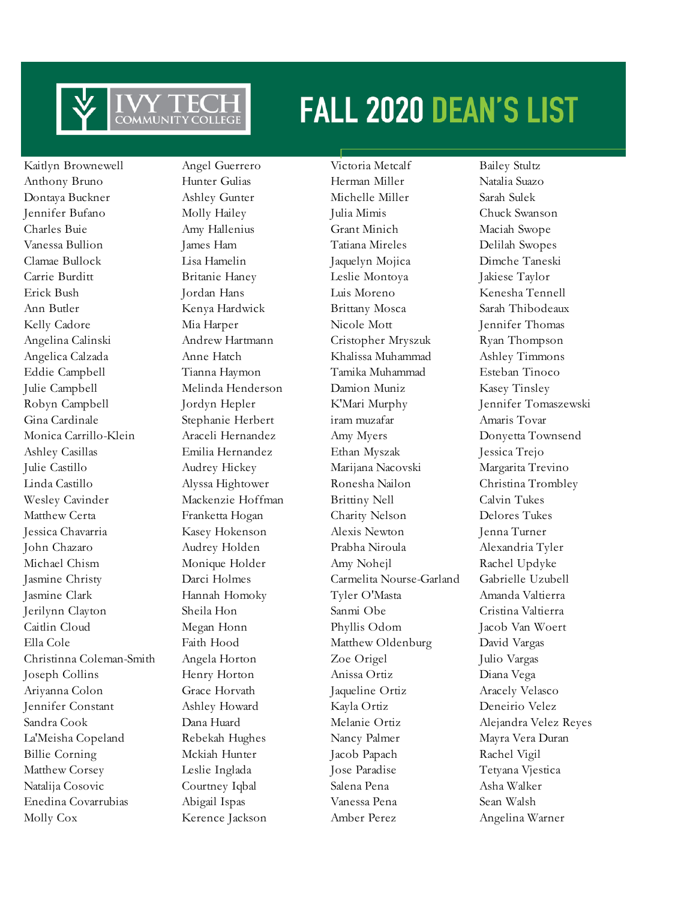

Kaitlyn Brownewell Angel Guerrero Victoria Metcalf Bailey Stultz Anthony Bruno Hunter Gulias Herman Miller Natalia Suazo Dontaya Buckner Ashley Gunter Michelle Miller Sarah Sulek Jennifer Bufano Molly Hailey Julia Mimis Chuck Swanson Charles Buie Amy Hallenius Grant Minich Maciah Swope Vanessa Bullion James Ham Tatiana Mireles Delilah Swopes Clamae Bullock Lisa Hamelin Jaquelyn Mojica Dimche Taneski Carrie Burditt Britanie Haney Leslie Montoya Jakiese Taylor Erick Bush Jordan Hans Luis Moreno Kenesha Tennell Ann Butler Kenya Hardwick Brittany Mosca Sarah Thibodeaux Kelly Cadore Mia Harper Nicole Mott Jennifer Thomas Angelina Calinski Andrew Hartmann Cristopher Mryszuk Ryan Thompson Angelica Calzada Anne Hatch Khalissa Muhammad Ashley Timmons Eddie Campbell Tianna Haymon Tamika Muhammad Esteban Tinoco Julie Campbell Melinda Henderson Damion Muniz Kasey Tinsley Robyn Campbell Jordyn Hepler K'Mari Murphy Jennifer Tomaszewski Gina Cardinale Stephanie Herbert iram muzafar Amaris Tovar Monica Carrillo-Klein Araceli Hernandez Amy Myers Donyetta Townsend Ashley Casillas Emilia Hernandez Ethan Myszak Jessica Trejo Julie Castillo Audrey Hickey Marijana Nacovski Margarita Trevino Linda Castillo Alyssa Hightower Ronesha Nailon Christina Trombley Wesley Cavinder Mackenzie Hoffman Brittiny Nell Calvin Tukes Matthew Certa Franketta Hogan Charity Nelson Delores Tukes Jessica Chavarria Kasey Hokenson Alexis Newton Jenna Turner John Chazaro Audrey Holden Prabha Niroula Alexandria Tyler Michael Chism Monique Holder Amy Nohejl Rachel Updyke Jasmine Christy Darci Holmes Carmelita Nourse-Garland Gabrielle Uzubell Jasmine Clark Hannah Homoky Tyler O'Masta Amanda Valtierra Jerilynn Clayton Sheila Hon Sanmi Obe Cristina Valtierra Caitlin Cloud Megan Honn Phyllis Odom Jacob Van Woert Ella Cole Faith Hood Matthew Oldenburg David Vargas Christinna Coleman-Smith Angela Horton Zoe Origel Julio Vargas Joseph Collins Henry Horton Anissa Ortiz Diana Vega Ariyanna Colon Grace Horvath Jaqueline Ortiz Aracely Velasco Jennifer Constant Ashley Howard Kayla Ortiz Deneirio Velez Sandra Cook Dana Huard Melanie Ortiz Alejandra Velez Reyes La'Meisha Copeland Rebekah Hughes Nancy Palmer Mayra Vera Duran Billie Corning Mckiah Hunter Jacob Papach Rachel Vigil Matthew Corsey Leslie Inglada Jose Paradise Tetyana Vjestica Natalija Cosovic Courtney Iqbal Salena Pena Asha Walker Enedina Covarrubias Abigail Ispas Vanessa Pena Sean Walsh Molly Cox Kerence Jackson Amber Perez Angelina Warner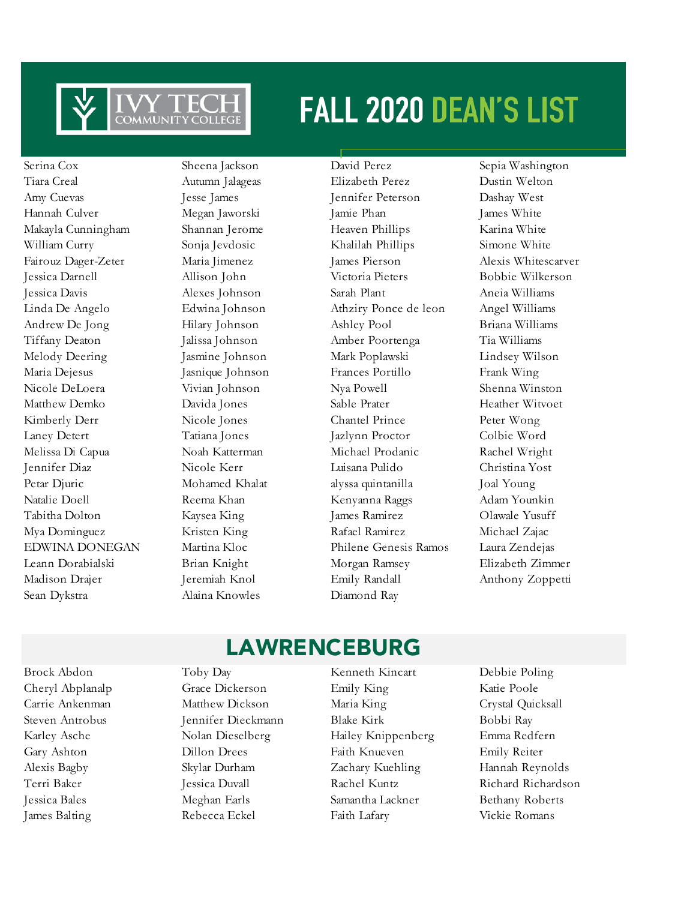

Serina Cox Sheena Jackson David Perez Sepia Washington Sean Dykstra Alaina Knowles Diamond Ray

Tiara Creal Autumn Jalageas Elizabeth Perez Dustin Welton Amy Cuevas Jesse James Jennifer Peterson Dashay West Hannah Culver Megan Jaworski Jamie Phan James White Makayla Cunningham Shannan Jerome Heaven Phillips Karina White William Curry Sonja Jevdosic Khalilah Phillips Simone White Fairouz Dager-Zeter Maria Jimenez James Pierson Alexis Whitescarver Jessica Darnell Allison John Victoria Pieters Bobbie Wilkerson Jessica Davis Alexes Johnson Sarah Plant Aneia Williams Linda De Angelo Edwina Johnson Athziry Ponce de leon Angel Williams Andrew De Jong Hilary Johnson Ashley Pool Briana Williams Tiffany Deaton Jalissa Johnson Amber Poortenga Tia Williams Melody Deering Jasmine Johnson Mark Poplawski Lindsey Wilson Maria Dejesus Jasnique Johnson Frances Portillo Frank Wing Nicole DeLoera Vivian Johnson Nya Powell Shenna Winston Matthew Demko Davida Jones Sable Prater Heather Witvoet Kimberly Derr Nicole Jones Chantel Prince Peter Wong Laney Detert Tatiana Jones Jazlynn Proctor Colbie Word Melissa Di Capua Noah Katterman Michael Prodanic Rachel Wright Jennifer Diaz Nicole Kerr Luisana Pulido Christina Yost Petar Djuric Mohamed Khalat alyssa quintanilla Joal Young Natalie Doell **Reema Khan** Kenyanna Raggs Adam Younkin Tabitha Dolton Kaysea King James Ramirez Olawale Yusuff Mya Dominguez Kristen King Rafael Ramirez Michael Zajac EDWINA DONEGAN Martina Kloc Philene Genesis Ramos Laura Zendejas Leann Dorabialski Brian Knight Morgan Ramsey Elizabeth Zimmer Madison Drajer Jeremiah Knol Emily Randall Anthony Zoppetti

### LAWRENCEBURG

Brock Abdon Toby Day Kenneth Kincart Debbie Poling Cheryl Abplanalp Grace Dickerson Emily King Katie Poole Carrie Ankenman Matthew Dickson Maria King Crystal Quicksall Steven Antrobus Jennifer Dieckmann Blake Kirk Bobbi Ray Karley Asche Nolan Dieselberg Hailey Knippenberg Emma Redfern Gary Ashton Dillon Drees Faith Knueven Emily Reiter Alexis Bagby Skylar Durham Zachary Kuehling Hannah Reynolds Terri Baker Jessica Duvall Rachel Kuntz Richard Richardson Jessica Bales Meghan Earls Samantha Lackner Bethany Roberts James Balting Rebecca Eckel Faith Lafary Vickie Romans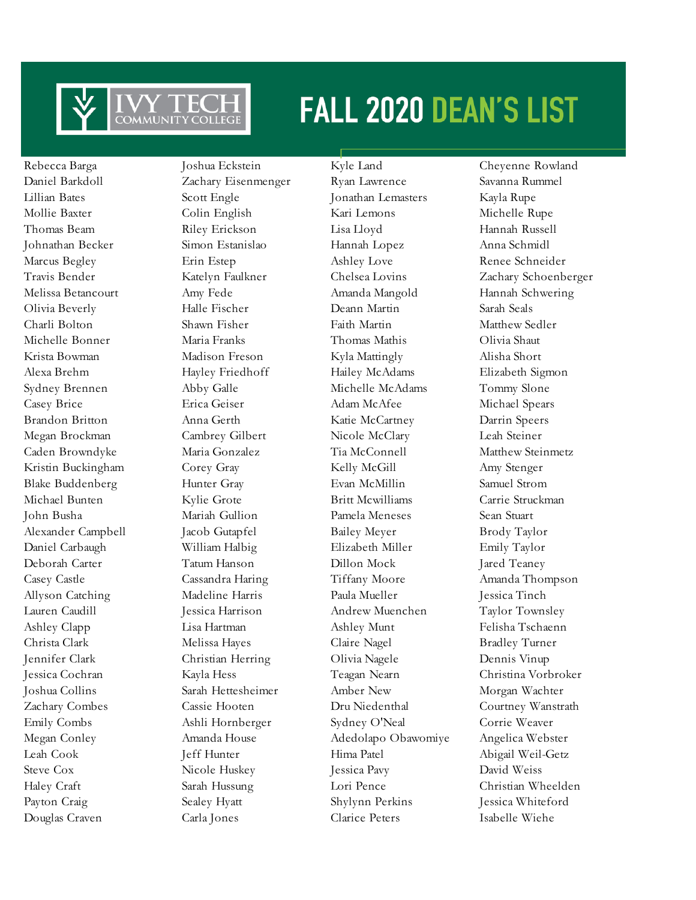

Douglas Craven Carla Jones Clarice Peters Isabelle Wiehe

Rebecca Barga Joshua Eckstein Kyle Land Cheyenne Rowland

Daniel Barkdoll Zachary Eisenmenger Ryan Lawrence Savanna Rummel Lillian Bates Scott Engle Jonathan Lemasters Kayla Rupe Mollie Baxter Colin English Kari Lemons Michelle Rupe Thomas Beam Riley Erickson Lisa Lloyd Hannah Russell Johnathan Becker Simon Estanislao Hannah Lopez Anna Schmidl Marcus Begley Erin Estep Ashley Love Renee Schneider Melissa Betancourt Amy Fede Amanda Mangold Hannah Schwering Olivia Beverly Halle Fischer Deann Martin Sarah Seals Charli Bolton Shawn Fisher Faith Martin Matthew Sedler Michelle Bonner Maria Franks Thomas Mathis Olivia Shaut Krista Bowman Madison Freson Kyla Mattingly Alisha Short Alexa Brehm Hayley Friedhoff Hailey McAdams Elizabeth Sigmon Sydney Brennen Abby Galle Michelle McAdams Tommy Slone Casey Brice Erica Geiser Adam McAfee Michael Spears Brandon Britton Anna Gerth Katie McCartney Darrin Speers Megan Brockman Cambrey Gilbert Nicole McClary Leah Steiner Caden Browndyke Maria Gonzalez Tia McConnell Matthew Steinmetz Kristin Buckingham Corey Gray Corey Kelly McGill Amy Stenger Blake Buddenberg Hunter Gray Evan McMillin Samuel Strom Michael Bunten Kylie Grote Britt Mcwilliams Carrie Struckman John Busha Mariah Gullion Pamela Meneses Sean Stuart Alexander Campbell Jacob Gutapfel Bailey Meyer Brody Taylor Daniel Carbaugh William Halbig Elizabeth Miller Emily Taylor Deborah Carter Tatum Hanson Dillon Mock Jared Teaney Casey Castle Cassandra Haring Tiffany Moore Amanda Thompson Allyson Catching Madeline Harris Paula Mueller Jessica Tinch Lauren Caudill Jessica Harrison Andrew Muenchen Taylor Townsley Ashley Clapp Lisa Hartman Ashley Munt Felisha Tschaenn Christa Clark Melissa Hayes Claire Nagel Bradley Turner Jennifer Clark Christian Herring Olivia Nagele Dennis Vinup Jessica Cochran Kayla Hess Teagan Nearn Christina Vorbroker Joshua Collins Sarah Hettesheimer Amber New Morgan Wachter Zachary Combes Cassie Hooten Dru Niedenthal Courtney Wanstrath Emily Combs Ashli Hornberger Sydney O'Neal Corrie Weaver Megan Conley Amanda House Adedolapo Obawomiye Angelica Webster Leah Cook Jeff Hunter Hima Patel Abigail Weil-Getz Steve Cox Nicole Huskey Jessica Pavy David Weiss Haley Craft Sarah Hussung Lori Pence Christian Wheelden Payton Craig Sealey Hyatt Shylynn Perkins Jessica Whiteford

Travis Bender Katelyn Faulkner Chelsea Lovins Zachary Schoenberger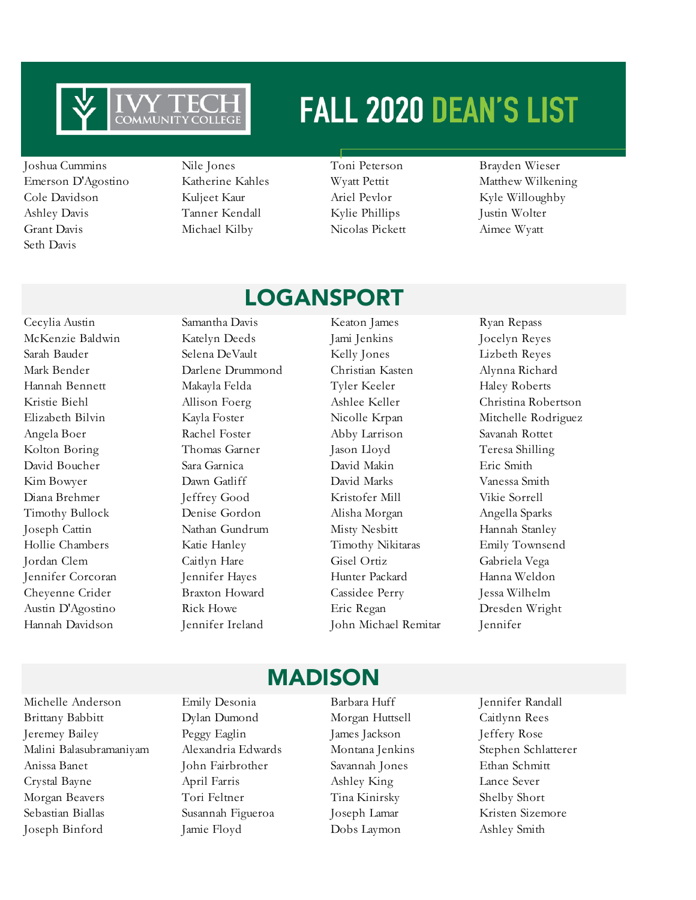

Joshua Cummins Nile Jones Toni Peterson Brayden Wieser Emerson D'Agostino Katherine Kahles Wyatt Pettit Matthew Wilkening Cole Davidson Kuljeet Kaur Ariel Pevlor Kyle Willoughby Ashley Davis Tanner Kendall Kylie Phillips Justin Wolter Grant Davis Michael Kilby Nicolas Pickett Aimee Wyatt Seth Davis

LOGANSPORT

### McKenzie Baldwin Katelyn Deeds Jami Jenkins Jocelyn Reyes Sarah Bauder Selena DeVault Kelly Jones Lizbeth Reyes Mark Bender Darlene Drummond Christian Kasten Alynna Richard Hannah Bennett Makayla Felda Tyler Keeler Haley Roberts Kristie Biehl Mllison Foerg Ashlee Keller Christina Robertson Elizabeth Bilvin Kayla Foster Nicolle Krpan Mitchelle Rodriguez Angela Boer Rachel Foster Abby Larrison Savanah Rottet Kolton Boring Thomas Garner Jason Lloyd Teresa Shilling David Boucher Sara Garnica David Makin Eric Smith Kim Bowyer Dawn Gatliff David Marks Vanessa Smith Diana Brehmer Jeffrey Good Kristofer Mill Vikie Sorrell Timothy Bullock Denise Gordon Alisha Morgan Angella Sparks Joseph Cattin Nathan Gundrum Misty Nesbitt Hannah Stanley Hollie Chambers Katie Hanley Timothy Nikitaras Emily Townsend Jordan Clem Caitlyn Hare Gisel Ortiz Gabriela Vega Jennifer Corcoran Jennifer Hayes Hunter Packard Hanna Weldon Cheyenne Crider Braxton Howard Cassidee Perry Jessa Wilhelm Austin D'Agostino Rick Howe Eric Regan Dresden Wright

Cecylia Austin Samantha Davis Keaton James Ryan Repass

Hannah Davidson Jennifer Ireland John Michael Remitar Jennifer

Michelle Anderson Emily Desonia Barbara Huff Jennifer Randall Brittany Babbitt Dylan Dumond Morgan Huttsell Caitlynn Rees Jeremey Bailey Peggy Eaglin James Jackson Jeffery Rose Malini Balasubramaniyam Alexandria Edwards Montana Jenkins Stephen Schlatterer Anissa Banet John Fairbrother Savannah Jones Ethan Schmitt Crystal Bayne April Farris Ashley King Lance Sever Morgan Beavers Tori Feltner Tina Kinirsky Shelby Short Sebastian Biallas Susannah Figueroa Joseph Lamar Kristen Sizemore Joseph Binford Jamie Floyd Dobs Laymon Ashley Smith

### MADISON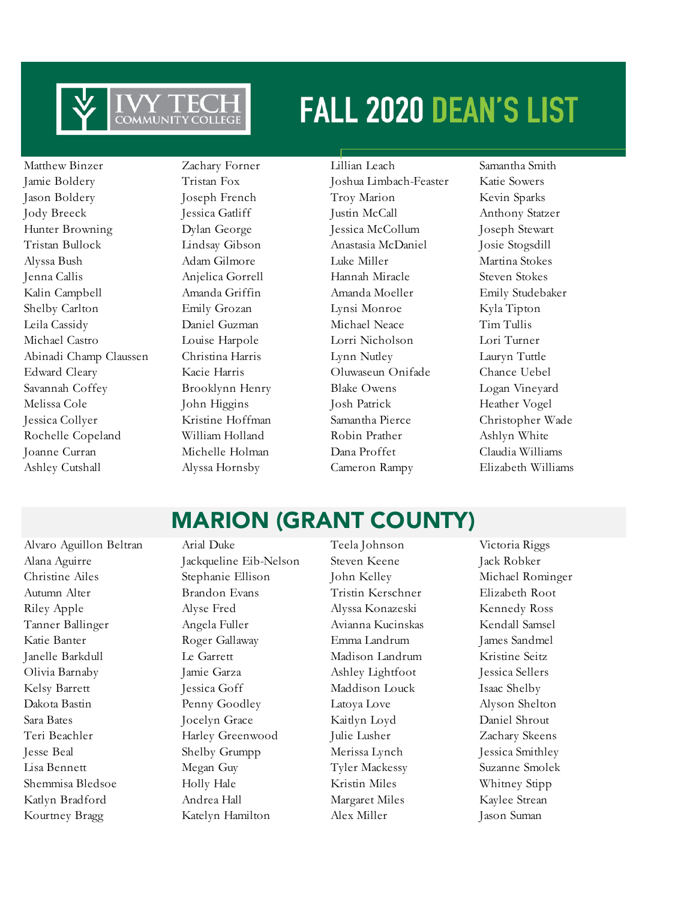

Matthew Binzer Zachary Forner Lillian Leach Samantha Smith Jamie Boldery Tristan Fox Joshua Limbach-Feaster Katie Sowers Jason Boldery Joseph French Troy Marion Kevin Sparks Jody Breeck Jessica Gatliff Justin McCall Anthony Statzer Hunter Browning Dylan George Jessica McCollum Joseph Stewart Tristan Bullock Lindsay Gibson Anastasia McDaniel Josie Stogsdill Alyssa Bush Adam Gilmore Luke Miller Martina Stokes Jenna Callis Anjelica Gorrell Hannah Miracle Steven Stokes Kalin Campbell Amanda Griffin Amanda Moeller Emily Studebaker Shelby Carlton **Emily Grozan** Lynsi Monroe Kyla Tipton Leila Cassidy Daniel Guzman Michael Neace Tim Tullis Michael Castro Louise Harpole Lorri Nicholson Lori Turner Abinadi Champ Claussen Christina Harris Lynn Nutley Lauryn Tuttle Edward Cleary Kacie Harris Oluwaseun Onifade Chance Uebel Savannah Coffey Brooklynn Henry Blake Owens Logan Vineyard Melissa Cole John Higgins Josh Patrick Heather Vogel Jessica Collyer Kristine Hoffman Samantha Pierce Christopher Wade Rochelle Copeland William Holland Robin Prather Ashlyn White Joanne Curran Michelle Holman Dana Proffet Claudia Williams Ashley Cutshall Alyssa Hornsby Cameron Rampy Elizabeth Williams

### MARION (GRANT COUNTY)

Alvaro Aguillon Beltran Arial Duke Teela Johnson Victoria Riggs Alana Aguirre Jackqueline Eib-Nelson Steven Keene Jack Robker Christine Ailes Stephanie Ellison John Kelley Michael Rominger Autumn Alter Brandon Evans Tristin Kerschner Elizabeth Root Riley Apple Alyse Fred Alyssa Konazeski Kennedy Ross Tanner Ballinger Angela Fuller Avianna Kucinskas Kendall Samsel Katie Banter Roger Gallaway Emma Landrum James Sandmel Janelle Barkdull Le Garrett Madison Landrum Kristine Seitz Olivia Barnaby Jamie Garza Ashley Lightfoot Jessica Sellers Kelsy Barrett Jessica Goff Maddison Louck Isaac Shelby Dakota Bastin Penny Goodley Latoya Love Alyson Shelton Sara Bates Jocelyn Grace Kaitlyn Loyd Daniel Shrout Teri Beachler Harley Greenwood Julie Lusher Zachary Skeens Jesse Beal Shelby Grumpp Merissa Lynch Jessica Smithley Lisa Bennett Megan Guy Tyler Mackessy Suzanne Smolek Shemmisa Bledsoe Holly Hale Kristin Miles Whitney Stipp Katlyn Bradford Andrea Hall Margaret Miles Kaylee Strean Kourtney Bragg Katelyn Hamilton Alex Miller Jason Suman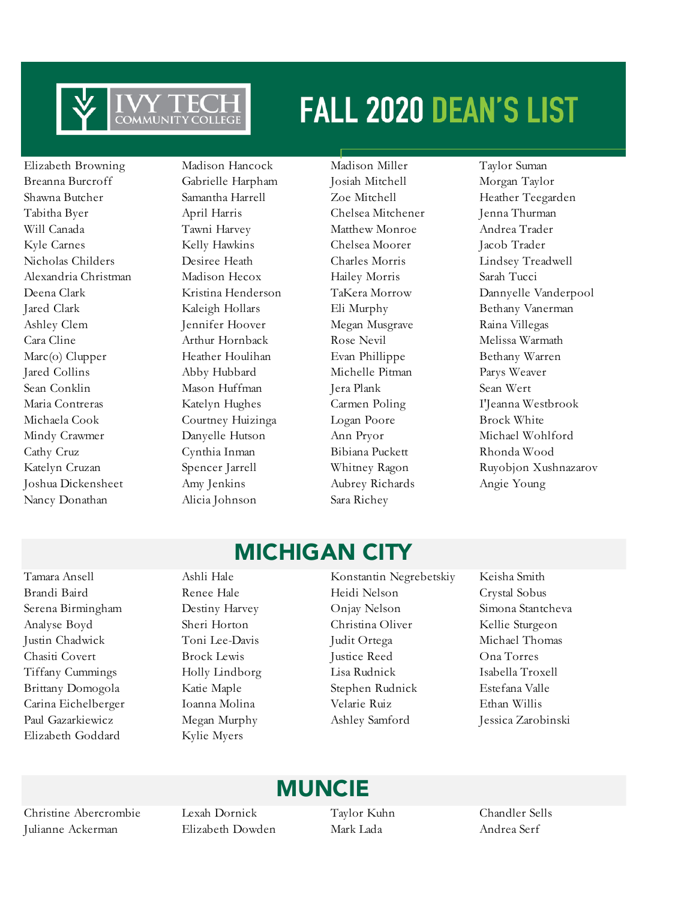

Elizabeth Browning Madison Hancock Madison Miller Taylor Suman Breanna Burcroff Gabrielle Harpham Josiah Mitchell Morgan Taylor Shawna Butcher Samantha Harrell Zoe Mitchell Heather Teegarden Tabitha Byer April Harris Chelsea Mitchener Jenna Thurman Will Canada Tawni Harvey Matthew Monroe Andrea Trader Kyle Carnes Kelly Hawkins Chelsea Moorer Jacob Trader Nicholas Childers Desiree Heath Charles Morris Lindsey Treadwell Alexandria Christman Madison Hecox Hailey Morris Sarah Tucci Jared Clark Kaleigh Hollars Eli Murphy Bethany Vanerman Ashley Clem Jennifer Hoover Megan Musgrave Raina Villegas Cara Cline Arthur Hornback Rose Nevil Melissa Warmath Marc(o) Clupper Heather Houlihan Evan Phillippe Bethany Warren Jared Collins Abby Hubbard Michelle Pitman Parys Weaver Sean Conklin Mason Huffman Jera Plank Sean Wert Maria Contreras Katelyn Hughes Carmen Poling I'Jeanna Westbrook Michaela Cook Courtney Huizinga Logan Poore Brock White Mindy Crawmer Danyelle Hutson Ann Pryor Michael Wohlford Cathy Cruz Cynthia Inman Bibiana Puckett Rhonda Wood Joshua Dickensheet Amy Jenkins Aubrey Richards Angie Young Nancy Donathan Alicia Johnson Sara Richey

Deena Clark Kristina Henderson TaKera Morrow Dannyelle Vanderpool Katelyn Cruzan Spencer Jarrell Whitney Ragon Ruyobjon Xushnazarov

### MICHIGAN CITY

Elizabeth Goddard Kylie Myers

Tamara Ansell Ashli Hale Konstantin Negrebetskiy Keisha Smith Brandi Baird **Renee Hale Renee Hale** Heidi Nelson **Crystal Sobus** Serena Birmingham Destiny Harvey Onjay Nelson Simona Stantcheva Analyse Boyd Sheri Horton Christina Oliver Kellie Sturgeon Justin Chadwick Toni Lee-Davis Judit Ortega Michael Thomas Chasiti Covert Brock Lewis Justice Reed Ona Torres Tiffany Cummings Holly Lindborg Lisa Rudnick Isabella Troxell Brittany Domogola Katie Maple Stephen Rudnick Estefana Valle Carina Eichelberger Ioanna Molina Velarie Ruiz Ethan Willis Paul Gazarkiewicz Megan Murphy Ashley Samford Jessica Zarobinski

### MUNCIE

Christine Abercrombie Lexah Dornick Taylor Kuhn Chandler Sells Julianne Ackerman Elizabeth Dowden Mark Lada Andrea Serf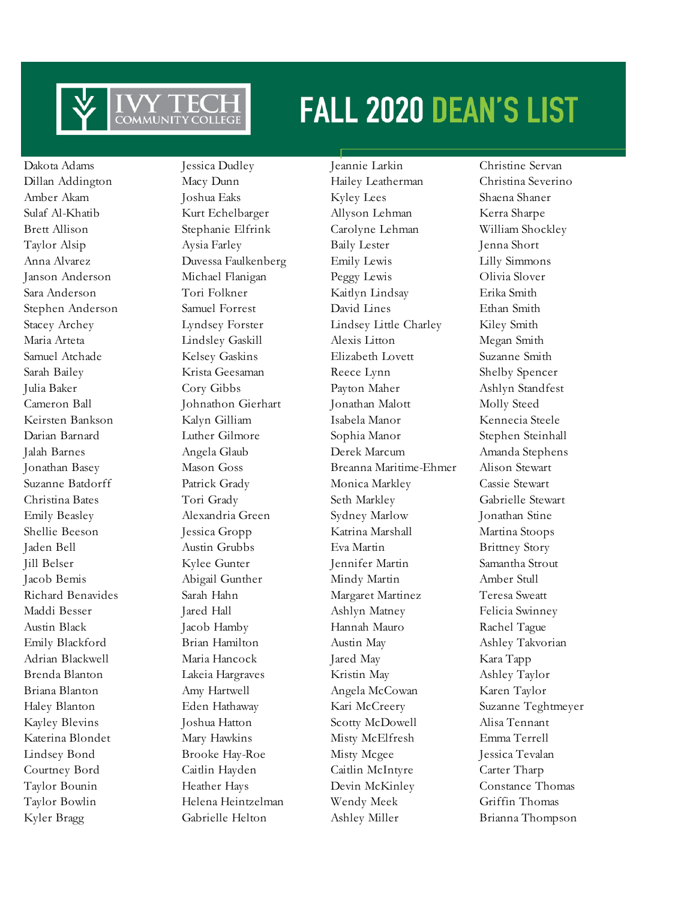

Kyler Bragg Gabrielle Helton Ashley Miller Brianna Thompson

Dakota Adams Jessica Dudley Jeannie Larkin Christine Servan

Dillan Addington Macy Dunn Hailey Leatherman Christina Severino Amber Akam Joshua Eaks Kyley Lees Shaena Shaner Sulaf Al-Khatib Kurt Echelbarger Allyson Lehman Kerra Sharpe Brett Allison Stephanie Elfrink Carolyne Lehman William Shockley Taylor Alsip Aysia Farley Baily Lester Jenna Short Anna Alvarez Duvessa Faulkenberg Emily Lewis Lilly Simmons Janson Anderson Michael Flanigan Peggy Lewis Olivia Slover Sara Anderson Tori Folkner Kaitlyn Lindsay Erika Smith Stephen Anderson Samuel Forrest David Lines Ethan Smith Stacey Archey Lyndsey Forster Lindsey Little Charley Kiley Smith Maria Arteta Lindsley Gaskill Alexis Litton Megan Smith Samuel Atchade Kelsey Gaskins Elizabeth Lovett Suzanne Smith Sarah Bailey Krista Geesaman Reece Lynn Shelby Spencer Julia Baker Cory Gibbs Payton Maher Ashlyn Standfest Cameron Ball Johnathon Gierhart Jonathan Malott Molly Steed Keirsten Bankson Kalyn Gilliam Isabela Manor Kennecia Steele Darian Barnard Luther Gilmore Sophia Manor Stephen Steinhall Jalah Barnes Angela Glaub Derek Marcum Amanda Stephens Jonathan Basey Mason Goss Breanna Maritime-Ehmer Alison Stewart Suzanne Batdorff Patrick Grady Monica Markley Cassie Stewart Christina Bates Tori Grady Seth Markley Gabrielle Stewart Emily Beasley Alexandria Green Sydney Marlow Jonathan Stine Shellie Beeson Jessica Gropp Katrina Marshall Martina Stoops Jaden Bell Austin Grubbs Eva Martin Brittney Story Jill Belser Kylee Gunter Jennifer Martin Samantha Strout Jacob Bemis Abigail Gunther Mindy Martin Amber Stull Richard Benavides Sarah Hahn Margaret Martinez Teresa Sweatt Maddi Besser Jared Hall Ashlyn Matney Felicia Swinney Austin Black Jacob Hamby Hannah Mauro Rachel Tague Emily Blackford Brian Hamilton Austin May Ashley Takvorian Adrian Blackwell **Maria Hancock** Jared May Kara Tapp Brenda Blanton Lakeia Hargraves Kristin May Ashley Taylor Briana Blanton Amy Hartwell Angela McCowan Karen Taylor Haley Blanton Eden Hathaway Kari McCreery Suzanne Teghtmeyer Kayley Blevins Joshua Hatton Scotty McDowell Alisa Tennant Katerina Blondet Mary Hawkins Misty McElfresh Emma Terrell Lindsey Bond Brooke Hay-Roe Misty Mcgee Jessica Tevalan Courtney Bord Caitlin Hayden Caitlin McIntyre Carter Tharp Taylor Bounin Heather Hays Devin McKinley Constance Thomas Taylor Bowlin Helena Heintzelman Wendy Meek Griffin Thomas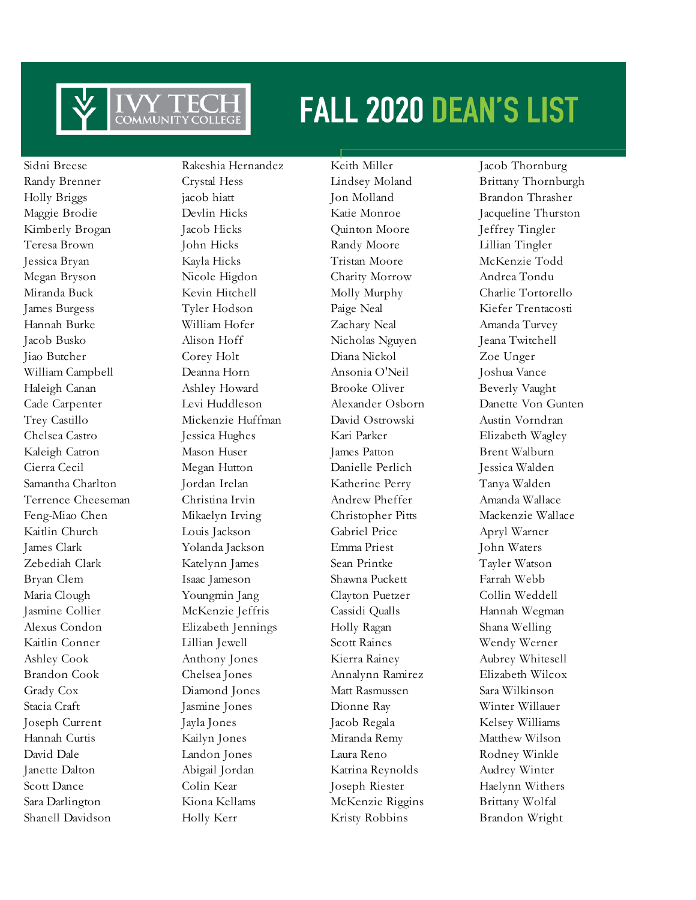

Shanell Davidson Holly Kerr Kristy Robbins Brandon Wright

Sidni Breese Rakeshia Hernandez Keith Miller Jacob Thornburg Holly Briggs jacob hiatt Jon Molland Brandon Thrasher Kimberly Brogan Jacob Hicks Quinton Moore Jeffrey Tingler Teresa Brown John Hicks Randy Moore Lillian Tingler Jessica Bryan Kayla Hicks Tristan Moore McKenzie Todd Megan Bryson Nicole Higdon Charity Morrow Andrea Tondu Miranda Buck Kevin Hitchell Molly Murphy Charlie Tortorello James Burgess Tyler Hodson Paige Neal Kiefer Trentacosti Hannah Burke William Hofer Zachary Neal Amanda Turvey Jacob Busko Alison Hoff Nicholas Nguyen Jeana Twitchell Jiao Butcher Corey Holt Diana Nickol Zoe Unger William Campbell Deanna Horn Ansonia O'Neil Joshua Vance Haleigh Canan Ashley Howard Brooke Oliver Beverly Vaught Trey Castillo Mickenzie Huffman David Ostrowski Austin Vorndran Chelsea Castro Jessica Hughes Kari Parker Elizabeth Wagley Kaleigh Catron Mason Huser James Patton Brent Walburn Cierra Cecil Megan Hutton Danielle Perlich Jessica Walden Samantha Charlton Jordan Irelan Katherine Perry Tanya Walden Terrence Cheeseman Christina Irvin Andrew Pheffer Amanda Wallace Feng-Miao Chen Mikaelyn Irving Christopher Pitts Mackenzie Wallace Kaitlin Church Louis Jackson Gabriel Price Apryl Warner James Clark Yolanda Jackson Emma Priest John Waters Zebediah Clark Katelynn James Sean Printke Tayler Watson Bryan Clem Isaac Jameson Shawna Puckett Farrah Webb Maria Clough Youngmin Jang Clayton Puetzer Collin Weddell Jasmine Collier McKenzie Jeffris Cassidi Qualls Hannah Wegman Alexus Condon Elizabeth Jennings Holly Ragan Shana Welling Kaitlin Conner Lillian Jewell Scott Raines Wendy Werner Ashley Cook Anthony Jones Kierra Rainey Aubrey Whitesell Brandon Cook Chelsea Jones Annalynn Ramirez Elizabeth Wilcox Grady Cox Diamond Jones Matt Rasmussen Sara Wilkinson Stacia Craft Jasmine Jones Dionne Ray Winter Willauer Joseph Current Jayla Jones Jacob Regala Kelsey Williams Hannah Curtis Kailyn Jones Miranda Remy Matthew Wilson David Dale Landon Jones Laura Reno Rodney Winkle Janette Dalton Abigail Jordan Katrina Reynolds Audrey Winter Scott Dance Colin Kear Joseph Riester Haelynn Withers Sara Darlington Kiona Kellams McKenzie Riggins Brittany Wolfal

Randy Brenner Crystal Hess Lindsey Moland Brittany Thornburgh Maggie Brodie Devlin Hicks Katie Monroe Jacqueline Thurston Cade Carpenter Levi Huddleson Alexander Osborn Danette Von Gunten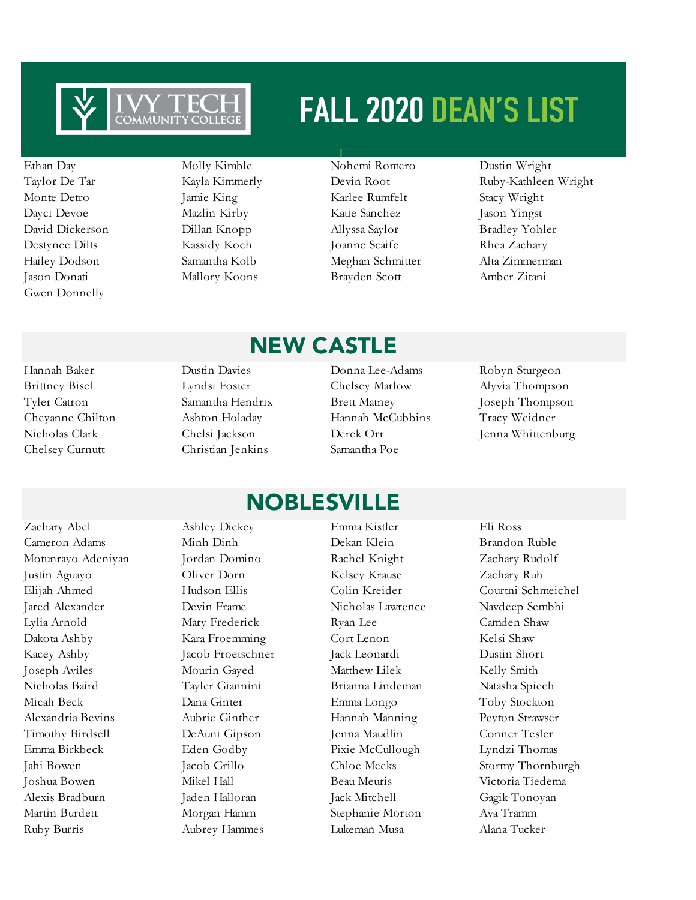

Gwen Donnelly

- Jason Donati Mallory Koons Brayden Scott Amber Zitani
- Ethan Day Molly Kimble Nohemi Romero Dustin Wright Monte Detro Jamie King Karlee Rumfelt Stacy Wright Dayci Devoe Mazlin Kirby Katie Sanchez Jason Yingst David Dickerson Dillan Knopp Allyssa Saylor Bradley Yohler Destynee Dilts Kassidy Koch Joanne Scaife Rhea Zachary Hailey Dodson Samantha Kolb Meghan Schmitter Alta Zimmerman

Taylor De Tar Kayla Kimmerly Devin Root Ruby-Kathleen Wright

Hannah Baker Dustin Davies Donna Lee-Adams Robyn Sturgeon Brittney Bisel Lyndsi Foster Chelsey Marlow Alyvia Thompson Tyler Catron Samantha Hendrix Brett Matney Joseph Thompson Cheyanne Chilton Ashton Holaday Hannah McCubbins Tracy Weidner Nicholas Clark Chelsi Jackson Derek Orr Jenna Whittenburg Chelsey Curnutt Christian Jenkins Samantha Poe

### NEW CASTLE

- 
- 

Justin Aguayo Oliver Dorn Kelsey Krause Zachary Ruh Elijah Ahmed Hudson Ellis Colin Kreider Courtni Schmeichel Jared Alexander Devin Frame Nicholas Lawrence Navdeep Sembhi Lylia Arnold Mary Frederick Ryan Lee Camden Shaw Dakota Ashby Kara Froemming Cort Lenon Kelsi Shaw Kacey Ashby Jacob Froetschner Jack Leonardi Dustin Short Joseph Aviles Mourin Gayed Matthew Lilek Kelly Smith Nicholas Baird Tayler Giannini Brianna Lindeman Natasha Spiech Micah Beck Dana Ginter Emma Longo Toby Stockton Alexandria Bevins Aubrie Ginther Hannah Manning Peyton Strawser Timothy Birdsell DeAuni Gipson Jenna Maudlin Conner Tesler Emma Birkbeck Eden Godby Pixie McCullough Lyndzi Thomas Jahi Bowen Jacob Grillo Chloe Meeks Stormy Thornburgh Joshua Bowen Mikel Hall Beau Meuris Victoria Tiedema Alexis Bradburn Jaden Halloran Jack Mitchell Gagik Tonoyan Martin Burdett Morgan Hamm Stephanie Morton Ava Tramm Ruby Burris Aubrey Hammes Lukeman Musa Alana Tucker

### Zachary Abel Ashley Dickey Emma Kistler Eli Ross Cameron Adams Minh Dinh Dekan Klein Brandon Ruble Motunrayo Adeniyan Jordan Domino Rachel Knight Zachary Rudolf NOBLESVILLE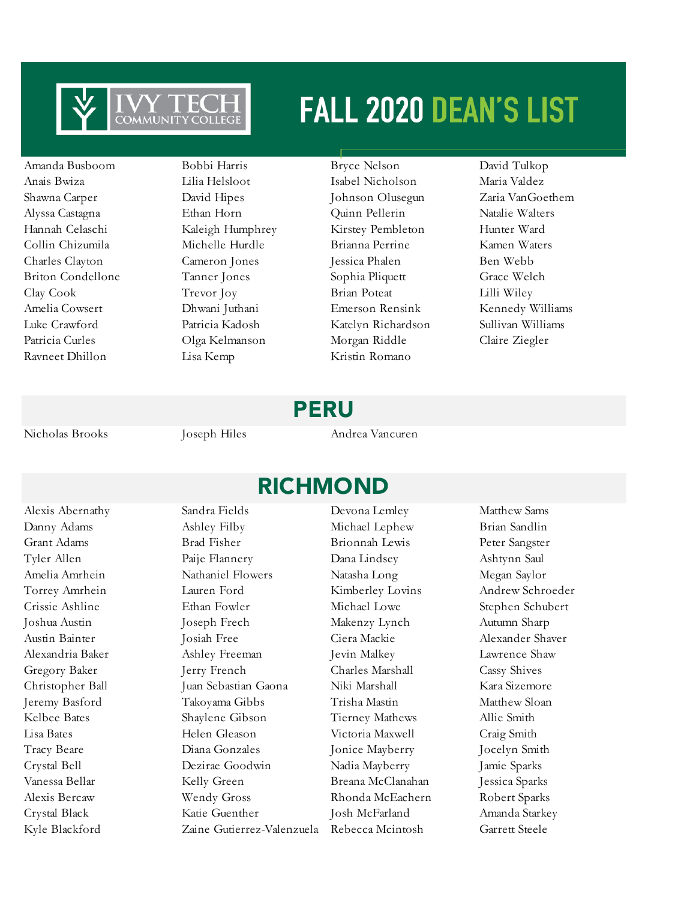

Amanda Busboom Bobbi Harris Bryce Nelson David Tulkop Ravneet Dhillon Lisa Kemp Kristin Romano

Anais Bwiza Lilia Helsloot Isabel Nicholson Maria Valdez Shawna Carper David Hipes Johnson Olusegun Zaria VanGoethem Alyssa Castagna Ethan Horn Quinn Pellerin Natalie Walters Hannah Celaschi Kaleigh Humphrey Kirstey Pembleton Hunter Ward Collin Chizumila Michelle Hurdle Brianna Perrine Kamen Waters Charles Clayton Cameron Jones Jessica Phalen Ben Webb Briton Condellone Tanner Jones Sophia Pliquett Grace Welch Clay Cook Trevor Joy Brian Poteat Lilli Wiley Amelia Cowsert Dhwani Juthani Emerson Rensink Kennedy Williams Luke Crawford Patricia Kadosh Katelyn Richardson Sullivan Williams Patricia Curles Olga Kelmanson Morgan Riddle Claire Ziegler

### PERU

Nicholas Brooks Joseph Hiles Andrea Vancuren

Alexis Abernathy Sandra Fields Devona Lemley Matthew Sams

RICHMOND

Danny Adams Ashley Filby Michael Lephew Brian Sandlin Grant Adams Brad Fisher Brionnah Lewis Peter Sangster Tyler Allen Paije Flannery Dana Lindsey Ashtynn Saul Amelia Amrhein Nathaniel Flowers Natasha Long Megan Saylor Torrey Amrhein Lauren Ford Kimberley Lovins Andrew Schroeder Crissie Ashline Ethan Fowler Michael Lowe Stephen Schubert Joshua Austin Joseph Frech Makenzy Lynch Autumn Sharp Austin Bainter Josiah Free Ciera Mackie Alexander Shaver Alexandria Baker Ashley Freeman Jevin Malkey Lawrence Shaw Gregory Baker Jerry French Charles Marshall Cassy Shives Christopher Ball Juan Sebastian Gaona Niki Marshall Kara Sizemore Jeremy Basford Takoyama Gibbs Trisha Mastin Matthew Sloan Kelbee Bates Shaylene Gibson Tierney Mathews Allie Smith Lisa Bates Helen Gleason Victoria Maxwell Craig Smith Tracy Beare Diana Gonzales Jonice Mayberry Jocelyn Smith Crystal Bell Dezirae Goodwin Nadia Mayberry Jamie Sparks Vanessa Bellar Kelly Green Breana McClanahan Jessica Sparks Alexis Bercaw Wendy Gross Rhonda McEachern Robert Sparks Crystal Black Katie Guenther Josh McFarland Amanda Starkey

Kyle Blackford Zaine Gutierrez-Valenzuela Rebecca Mcintosh Garrett Steele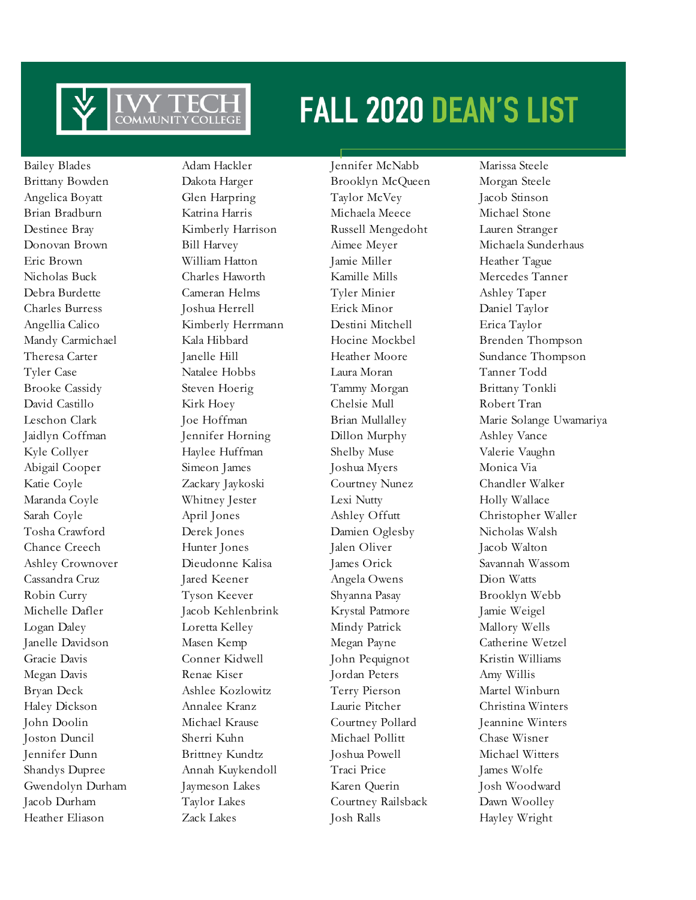

Bailey Blades Adam Hackler Jennifer McNabb Marissa Steele Heather Eliason Zack Lakes Josh Ralls Hayley Wright

Brittany Bowden Dakota Harger Brooklyn McQueen Morgan Steele Angelica Boyatt Glen Harpring Taylor McVey Jacob Stinson Brian Bradburn Katrina Harris Michaela Meece Michael Stone Destinee Bray Kimberly Harrison Russell Mengedoht Lauren Stranger Eric Brown William Hatton Jamie Miller Heather Tague Nicholas Buck Charles Haworth Kamille Mills Mercedes Tanner Debra Burdette Cameran Helms Tyler Minier Ashley Taper Charles Burress Joshua Herrell Erick Minor Daniel Taylor Angellia Calico Kimberly Herrmann Destini Mitchell Erica Taylor Mandy Carmichael Kala Hibbard Hocine Mockbel Brenden Thompson Tyler Case Natalee Hobbs Laura Moran Tanner Todd Brooke Cassidy Steven Hoerig Tammy Morgan Brittany Tonkli David Castillo Kirk Hoey Chelsie Mull Robert Tran Jaidlyn Coffman Jennifer Horning Dillon Murphy Ashley Vance Kyle Collyer **Haylee Huffman** Shelby Muse Valerie Vaughn Abigail Cooper Simeon James Joshua Myers Monica Via Katie Coyle Zackary Jaykoski Courtney Nunez Chandler Walker Maranda Coyle Whitney Jester Lexi Nutty Holly Wallace Sarah Coyle April Jones Ashley Offutt Christopher Waller Tosha Crawford Derek Jones Damien Oglesby Nicholas Walsh Chance Creech Hunter Jones Jalen Oliver Jacob Walton Ashley Crownover Dieudonne Kalisa James Orick Savannah Wassom Cassandra Cruz Jared Keener Angela Owens Dion Watts Robin Curry Tyson Keever Shyanna Pasay Brooklyn Webb Michelle Dafler Jacob Kehlenbrink Krystal Patmore Jamie Weigel Logan Daley Loretta Kelley Mindy Patrick Mallory Wells Janelle Davidson Masen Kemp Megan Payne Catherine Wetzel Gracie Davis Conner Kidwell John Pequignot Kristin Williams Megan Davis Renae Kiser Jordan Peters Amy Willis Bryan Deck Ashlee Kozlowitz Terry Pierson Martel Winburn Haley Dickson Annalee Kranz Laurie Pitcher Christina Winters John Doolin Michael Krause Courtney Pollard Jeannine Winters Joston Duncil Sherri Kuhn Michael Pollitt Chase Wisner Jennifer Dunn Brittney Kundtz Joshua Powell Michael Witters Shandys Dupree Annah Kuykendoll Traci Price James Wolfe Gwendolyn Durham Jaymeson Lakes Karen Querin Josh Woodward Jacob Durham Taylor Lakes Courtney Railsback Dawn Woolley

Donovan Brown Bill Harvey Aimee Meyer Michaela Sunderhaus Theresa Carter **The Internal Hill Carter Sundance Thompson** Janelle Hill Heather Moore Sundance Thompson Leschon Clark Joe Hoffman Brian Mullalley Marie Solange Uwamariya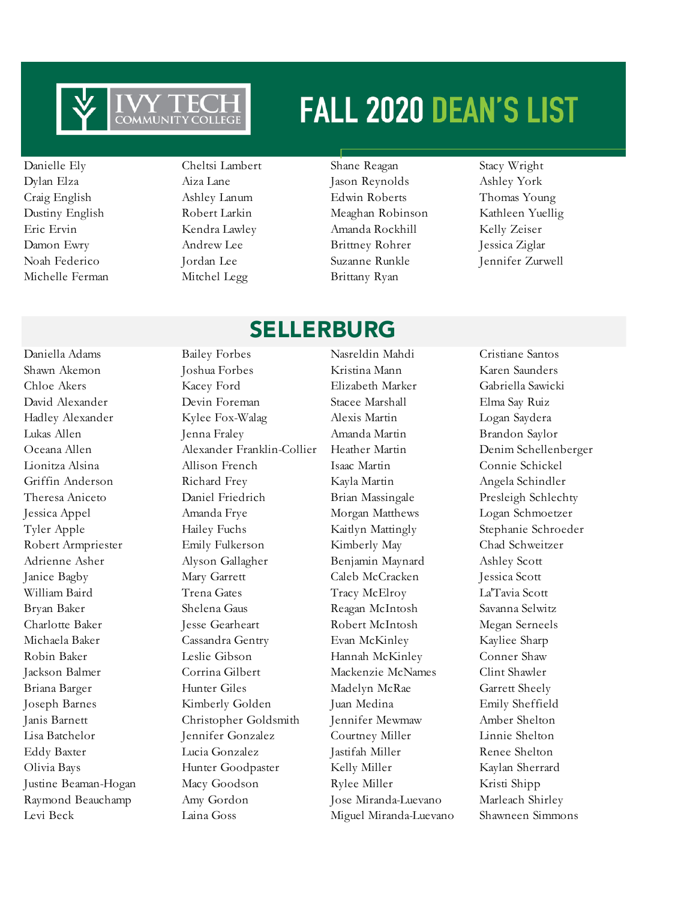

Michelle Ferman Mitchel Legg Brittany Ryan

- 
- Danielle Ely Cheltsi Lambert Shane Reagan Stacy Wright Dylan Elza Aiza Lane Jason Reynolds Ashley York Craig English Ashley Lanum Edwin Roberts Thomas Young Dustiny English Robert Larkin Meaghan Robinson Kathleen Yuellig Eric Ervin Kendra Lawley Amanda Rockhill Kelly Zeiser Damon Ewry Andrew Lee Brittney Rohrer Jessica Ziglar Noah Federico Jordan Lee Suzanne Runkle Jennifer Zurwell

### SELLERBURG

Shawn Akemon Joshua Forbes Kristina Mann Karen Saunders Chloe Akers Kacey Ford Elizabeth Marker Gabriella Sawicki David Alexander Devin Foreman Stacee Marshall Elma Say Ruiz Hadley Alexander Kylee Fox-Walag Alexis Martin Logan Saydera Lukas Allen Jenna Fraley Amanda Martin Brandon Saylor Oceana Allen Alexander Franklin-Collier Heather Martin Denim Schellenberger Lionitza Alsina Allison French Isaac Martin Connie Schickel Griffin Anderson Richard Frey Kayla Martin Angela Schindler Theresa Aniceto Daniel Friedrich Brian Massingale Presleigh Schlechty Jessica Appel Amanda Frye Morgan Matthews Logan Schmoetzer Tyler Apple **Hailey Fuchs** Kaitlyn Mattingly Stephanie Schroeder Robert Armpriester Emily Fulkerson Kimberly May Chad Schweitzer Adrienne Asher Alyson Gallagher Benjamin Maynard Ashley Scott Janice Bagby Mary Garrett Caleb McCracken Jessica Scott William Baird Trena Gates Tracy McElroy La'Tavia Scott Bryan Baker Shelena Gaus Reagan McIntosh Savanna Selwitz Charlotte Baker Jesse Gearheart Robert McIntosh Megan Serneels Michaela Baker Cassandra Gentry Evan McKinley Kayliee Sharp Robin Baker Leslie Gibson Hannah McKinley Conner Shaw Jackson Balmer Corrina Gilbert Mackenzie McNames Clint Shawler Briana Barger Hunter Giles Madelyn McRae Garrett Sheely Joseph Barnes Kimberly Golden Juan Medina Emily Sheffield Janis Barnett Christopher Goldsmith Jennifer Mewmaw Amber Shelton Lisa Batchelor Jennifer Gonzalez Courtney Miller Linnie Shelton Eddy Baxter Lucia Gonzalez Jastifah Miller Renee Shelton Olivia Bays Hunter Goodpaster Kelly Miller Kaylan Sherrard Justine Beaman-Hogan Macy Goodson Rylee Miller Kristi Shipp Raymond Beauchamp Amy Gordon Jose Miranda-Luevano Marleach Shirley Levi Beck Laina Goss Miguel Miranda-Luevano Shawneen Simmons

Daniella Adams Bailey Forbes Nasreldin Mahdi Cristiane Santos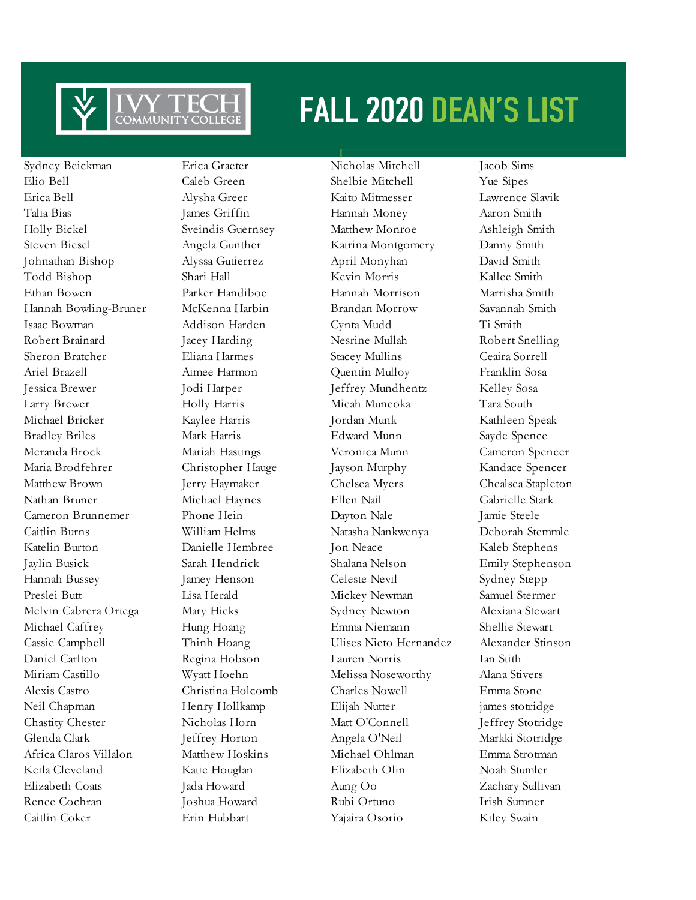

Sydney Beickman Erica Graeter Nicholas Mitchell Jacob Sims Elio Bell Caleb Green Shelbie Mitchell Yue Sipes Erica Bell Alysha Greer Kaito Mitmesser Lawrence Slavik Talia Bias James Griffin Hannah Money Aaron Smith Holly Bickel Sveindis Guernsey Matthew Monroe Ashleigh Smith Steven Biesel Angela Gunther Katrina Montgomery Danny Smith Johnathan Bishop Alyssa Gutierrez April Monyhan David Smith Todd Bishop Shari Hall Kevin Morris Kallee Smith Ethan Bowen Parker Handiboe Hannah Morrison Marrisha Smith Hannah Bowling-Bruner McKenna Harbin Brandan Morrow Savannah Smith Isaac Bowman Addison Harden Cynta Mudd Ti Smith Robert Brainard Jacey Harding Nesrine Mullah Robert Snelling Sheron Bratcher Eliana Harmes Stacey Mullins Ceaira Sorrell Ariel Brazell Aimee Harmon Quentin Mulloy Franklin Sosa Jessica Brewer Jodi Harper Jeffrey Mundhentz Kelley Sosa Larry Brewer Holly Harris Micah Muneoka Tara South Michael Bricker Kaylee Harris Jordan Munk Kathleen Speak Bradley Briles Mark Harris Edward Munn Sayde Spence Meranda Brock Mariah Hastings Veronica Munn Cameron Spencer Maria Brodfehrer Christopher Hauge Jayson Murphy Kandace Spencer Matthew Brown Jerry Haymaker Chelsea Myers Chealsea Stapleton Nathan Bruner Michael Haynes Ellen Nail Gabrielle Stark Cameron Brunnemer Phone Hein Dayton Nale Jamie Steele Caitlin Burns William Helms Natasha Nankwenya Deborah Stemmle Katelin Burton Danielle Hembree Jon Neace Kaleb Stephens Jaylin Busick Sarah Hendrick Shalana Nelson Emily Stephenson Hannah Bussey Jamey Henson Celeste Nevil Sydney Stepp Preslei Butt Lisa Herald Mickey Newman Samuel Stermer Melvin Cabrera Ortega Mary Hicks Sydney Newton Alexiana Stewart Michael Caffrey Hung Hoang Emma Niemann Shellie Stewart Cassie Campbell Thinh Hoang Ulises Nieto Hernandez Alexander Stinson Daniel Carlton Regina Hobson Lauren Norris Ian Stith Miriam Castillo Wyatt Hoehn Melissa Noseworthy Alana Stivers Alexis Castro Christina Holcomb Charles Nowell Emma Stone Neil Chapman Henry Hollkamp Elijah Nutter james stotridge Chastity Chester Nicholas Horn Matt O'Connell Jeffrey Stotridge Glenda Clark Jeffrey Horton Angela O'Neil Markki Stotridge Africa Claros Villalon Matthew Hoskins Michael Ohlman Emma Strotman Keila Cleveland Katie Houglan Elizabeth Olin Noah Stumler Elizabeth Coats Jada Howard Aung Oo Zachary Sullivan Renee Cochran Joshua Howard Rubi Ortuno Irish Sumner Caitlin Coker Erin Hubbart Yajaira Osorio Kiley Swain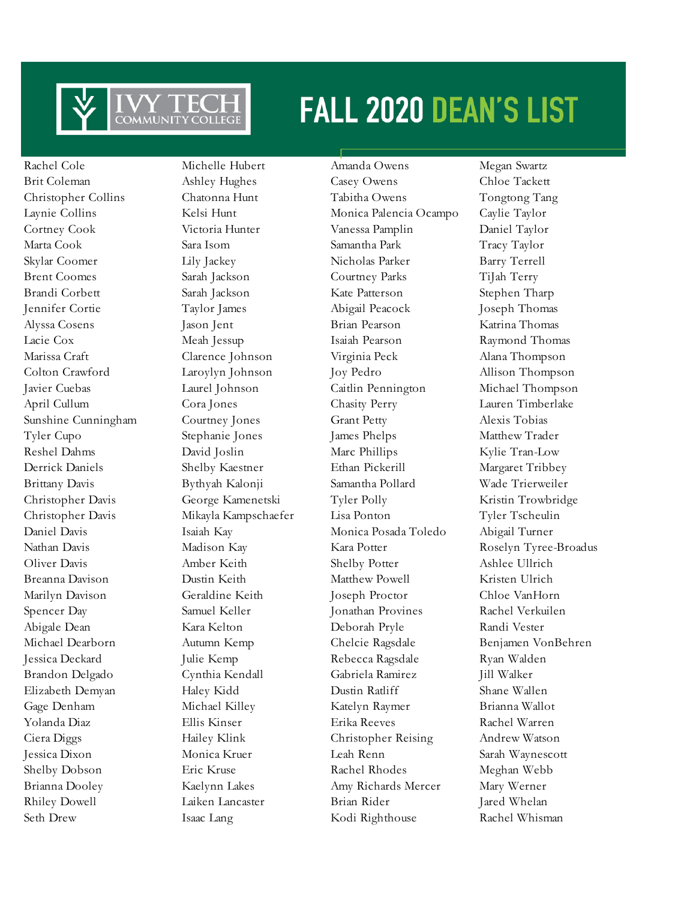

Rachel Cole Michelle Hubert Amanda Owens Megan Swartz

Seth Drew Isaac Lang Kodi Righthouse Rachel Whisman

Brit Coleman **Ashley Hughes** Casey Owens Chloe Tackett Christopher Collins Chatonna Hunt Tabitha Owens Tongtong Tang Laynie Collins Kelsi Hunt Monica Palencia Ocampo Caylie Taylor Cortney Cook Victoria Hunter Vanessa Pamplin Daniel Taylor Marta Cook Sara Isom Samantha Park Tracy Taylor Skylar Coomer Lily Jackey Nicholas Parker Barry Terrell Brent Coomes Sarah Jackson Courtney Parks TiJah Terry Brandi Corbett Sarah Jackson Kate Patterson Stephen Tharp Jennifer Cortie Taylor James Abigail Peacock Joseph Thomas Alyssa Cosens Jason Jent Brian Pearson Katrina Thomas Lacie Cox Meah Jessup Isaiah Pearson Raymond Thomas Marissa Craft Clarence Johnson Virginia Peck Alana Thompson Colton Crawford Laroylyn Johnson Joy Pedro Allison Thompson Javier Cuebas Laurel Johnson Caitlin Pennington Michael Thompson April Cullum Cora Jones Chasity Perry Lauren Timberlake Sunshine Cunningham Courtney Jones Grant Petty Alexis Tobias Tyler Cupo Stephanie Jones James Phelps Matthew Trader Reshel Dahms David Joslin Marc Phillips Kylie Tran-Low Derrick Daniels Shelby Kaestner Ethan Pickerill Margaret Tribbey Brittany Davis Bythyah Kalonji Samantha Pollard Wade Trierweiler Christopher Davis George Kamenetski Tyler Polly Kristin Trowbridge Christopher Davis Mikayla Kampschaefer Lisa Ponton Tyler Tscheulin Daniel Davis Isaiah Kay Monica Posada Toledo Abigail Turner Oliver Davis Amber Keith Shelby Potter Ashlee Ullrich Breanna Davison Dustin Keith Matthew Powell Kristen Ulrich Marilyn Davison Geraldine Keith Joseph Proctor Chloe VanHorn Spencer Day Samuel Keller Jonathan Provines Rachel Verkuilen Abigale Dean Kara Kelton Deborah Pryle Randi Vester Jessica Deckard Julie Kemp Rebecca Ragsdale Ryan Walden Brandon Delgado Cynthia Kendall Gabriela Ramirez Jill Walker Elizabeth Demyan Haley Kidd Dustin Ratliff Shane Wallen Gage Denham Michael Killey Katelyn Raymer Brianna Wallot Yolanda Diaz Ellis Kinser Erika Reeves Rachel Warren Ciera Diggs Hailey Klink Christopher Reising Andrew Watson Jessica Dixon Monica Kruer Leah Renn Sarah Waynescott Shelby Dobson **Eric Kruse** Rachel Rhodes Meghan Webb Brianna Dooley Kaelynn Lakes Amy Richards Mercer Mary Werner Rhiley Dowell Laiken Lancaster Brian Rider Jared Whelan

Nathan Davis Madison Kay Kara Potter Roselyn Tyree-Broadus Michael Dearborn Autumn Kemp Chelcie Ragsdale Benjamen VonBehren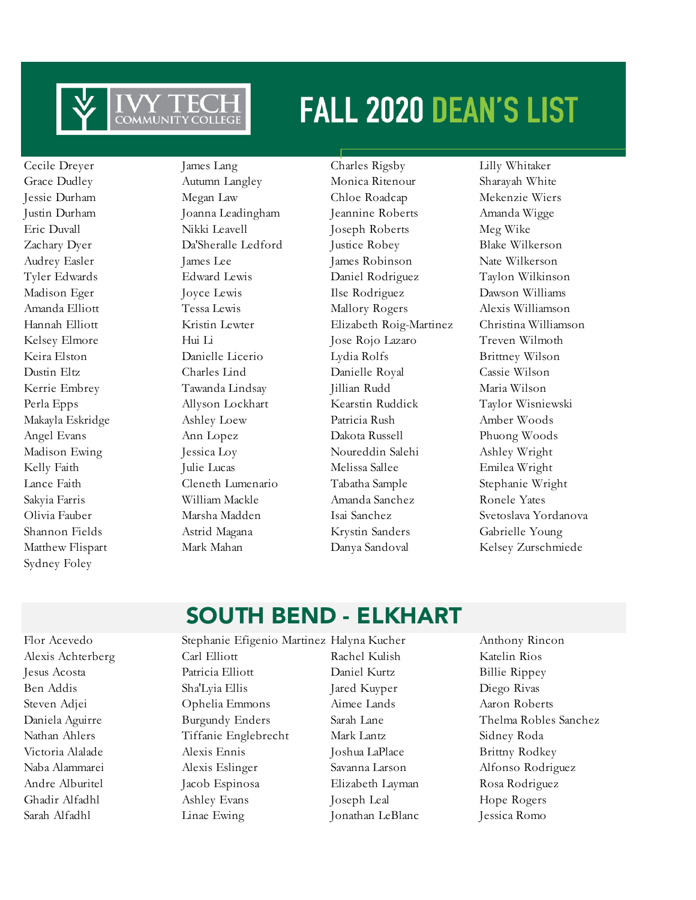

Sydney Foley

Cecile Dreyer James Lang Charles Rigsby Lilly Whitaker Grace Dudley Autumn Langley Monica Ritenour Sharayah White Jessie Durham Megan Law Chloe Roadcap Mekenzie Wiers Justin Durham Joanna Leadingham Jeannine Roberts Amanda Wigge Eric Duvall Nikki Leavell Joseph Roberts Meg Wike Zachary Dyer Da'Sheralle Ledford Justice Robey Blake Wilkerson Audrey Easler James Lee James Robinson Nate Wilkerson Tyler Edwards Edward Lewis Daniel Rodriguez Taylon Wilkinson Madison Eger Joyce Lewis Ilse Rodriguez Dawson Williams Amanda Elliott Tessa Lewis Mallory Rogers Alexis Williamson Hannah Elliott Kristin Lewter Elizabeth Roig-Martinez Christina Williamson Kelsey Elmore Hui Li Jose Rojo Lazaro Treven Wilmoth Keira Elston Danielle Licerio Lydia Rolfs Brittney Wilson Dustin Eltz Charles Lind Danielle Royal Cassie Wilson Kerrie Embrey Tawanda Lindsay Jillian Rudd Maria Wilson Perla Epps Allyson Lockhart Kearstin Ruddick Taylor Wisniewski Makayla Eskridge Ashley Loew Patricia Rush Amber Woods Angel Evans Ann Lopez Dakota Russell Phuong Woods Madison Ewing **Jessica Loy** Noureddin Salehi Ashley Wright Kelly Faith Julie Lucas Melissa Sallee Emilea Wright Lance Faith Cleneth Lumenario Tabatha Sample Stephanie Wright Sakyia Farris William Mackle Amanda Sanchez Ronele Yates Olivia Fauber Marsha Madden Isai Sanchez Svetoslava Yordanova Shannon Fields Astrid Magana Krystin Sanders Gabrielle Young

Matthew Flispart Mark Mahan Danya Sandoval Kelsey Zurschmiede

### SOUTH BEND - ELKHART

Flor Acevedo Stephanie Efigenio Martinez Halyna Kucher Anthony Rincon Alexis Achterberg Carl Elliott Rachel Kulish Katelin Rios Jesus Acosta Patricia Elliott Daniel Kurtz Billie Rippey Ben Addis Sha'Lyia Ellis Jared Kuyper Diego Rivas Steven Adjei Ophelia Emmons Aimee Lands Aaron Roberts Daniela Aguirre Burgundy Enders Sarah Lane Thelma Robles Sanchez Nathan Ahlers Tiffanie Englebrecht Mark Lantz Sidney Roda Victoria Alalade Alexis Ennis Joshua LaPlace Brittny Rodkey Naba Alammarei Alexis Eslinger Savanna Larson Alfonso Rodriguez Andre Alburitel Jacob Espinosa Elizabeth Layman Rosa Rodriguez Ghadir Alfadhl Ashley Evans Joseph Leal Hope Rogers Sarah Alfadhl Linae Ewing Jonathan LeBlanc Jessica Romo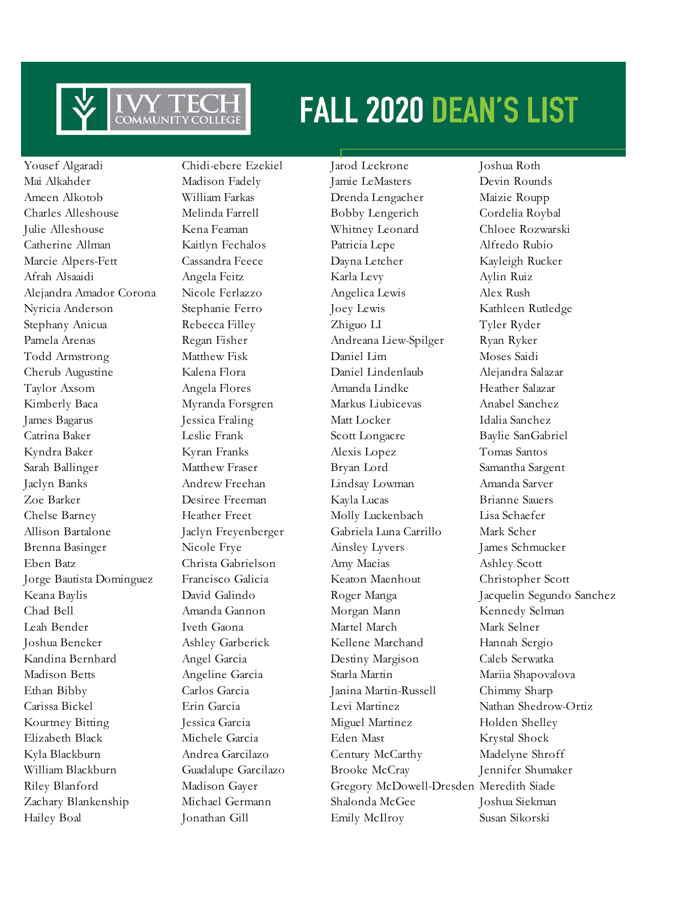

Yousef Algaradi Chidi-ebere Ezekiel Jarod Leckrone Joshua Roth Mai Alkahder Madison Fadely Jamie LeMasters Devin Rounds Ameen Alkotob William Farkas Drenda Lengacher Maizie Roupp Charles Alleshouse Melinda Farrell Bobby Lengerich Cordelia Roybal Julie Alleshouse Kena Feaman Whitney Leonard Chloee Rozwarski Catherine Allman Kaitlyn Fechalos Patricia Lepe Alfredo Rubio Marcie Alpers-Fett Cassandra Feece Dayna Letcher Kayleigh Rucker Afrah Alsaaidi Angela Feitz Karla Levy Aylin Ruiz Alejandra Amador Corona Nicole Ferlazzo Angelica Lewis Alex Rush Nyricia Anderson Stephanie Ferro Joey Lewis Kathleen Rutledge Stephany Anicua Rebecca Filley Zhiguo LI Tyler Ryder Pamela Arenas Regan Fisher Andreana Liew-Spilger Ryan Ryker Todd Armstrong Matthew Fisk Daniel Lim Moses Saidi Cherub Augustine Kalena Flora Daniel Lindenlaub Alejandra Salazar Taylor Axsom Angela Flores Amanda Lindke Heather Salazar Kimberly Baca Myranda Forsgren Markus Liubicevas Anabel Sanchez James Bagarus Jessica Fraling Matt Locker Idalia Sanchez Catrina Baker Leslie Frank Scott Longacre Baylie SanGabriel Kyndra Baker Kyran Franks Alexis Lopez Tomas Santos Sarah Ballinger Matthew Fraser Bryan Lord Samantha Sargent Jaclyn Banks Andrew Freehan Lindsay Lowman Amanda Sarver Zoe Barker Desiree Freeman Kayla Lucas Brianne Sauers Chelse Barney Heather Freet Molly Luckenbach Lisa Schaefer Allison Bartalone Jaclyn Freyenberger Gabriela Luna Carrillo Mark Scher Brenna Basinger Nicole Frye Ainsley Lyvers James Schmucker Eben Batz Christa Gabrielson Amy Macias Ashley Scott Jorge Bautista Dominguez Francisco Galicia Keaton Maenhout Christopher Scott Keana Baylis David Galindo Roger Manga Jacquelin Segundo Sanchez Chad Bell Amanda Gannon Morgan Mann Kennedy Selman Leah Bender Iveth Gaona Martel March Mark Selner Joshua Beneker Ashley Garberick Kellene Marchand Hannah Sergio Kandina Bernhard Angel Garcia Destiny Margison Caleb Serwatka Madison Betts Angeline Garcia Starla Martin Mariia Shapovalova Ethan Bibby Carlos Garcia Janina Martin-Russell Chimmy Sharp Carissa Bickel Erin Garcia Levi Martinez Nathan Shedrow-Ortiz Kourtney Bitting **Jessica Garcia** Miguel Martinez Holden Shelley Elizabeth Black Michele Garcia Eden Mast Krystal Shock Kyla Blackburn Andrea Garcilazo Century McCarthy Madelyne Shroff William Blackburn Guadalupe Garcilazo Brooke McCray Jennifer Shumaker Riley Blanford Madison Gayer Gregory McDowell-Dresden Meredith Siade Zachary Blankenship Michael Germann Shalonda McGee Joshua Siekman Hailey Boal Jonathan Gill Emily McIlroy Susan Sikorski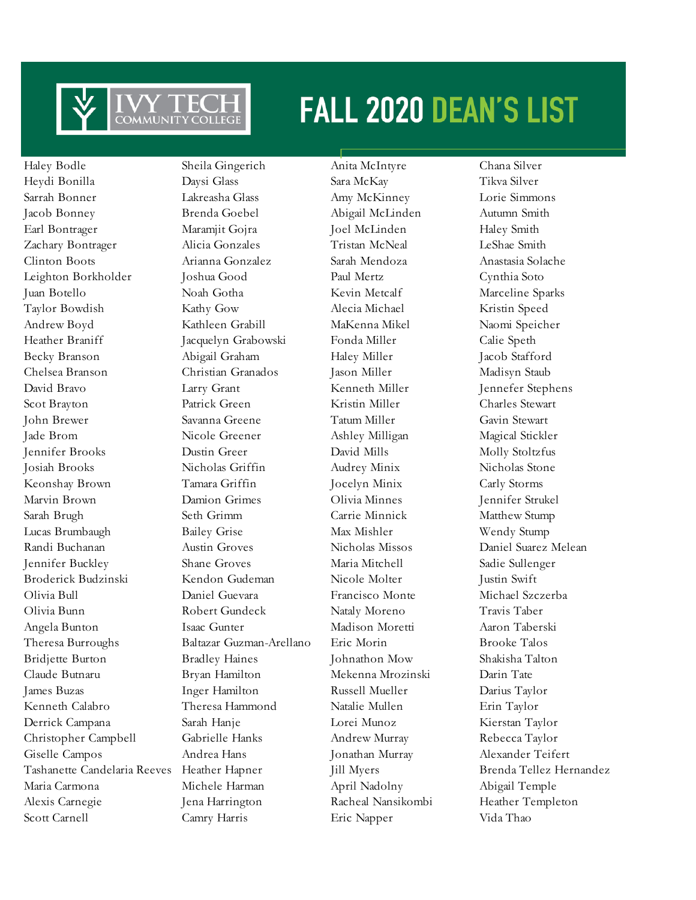

Haley Bodle Sheila Gingerich Anita McIntyre Chana Silver Heydi Bonilla Daysi Glass Sara McKay Tikva Silver Sarrah Bonner Lakreasha Glass Amy McKinney Lorie Simmons Jacob Bonney Brenda Goebel Abigail McLinden Autumn Smith Earl Bontrager Maramjit Gojra Joel McLinden Haley Smith Zachary Bontrager Alicia Gonzales Tristan McNeal LeShae Smith Clinton Boots Arianna Gonzalez Sarah Mendoza Anastasia Solache Leighton Borkholder Joshua Good Paul Mertz Cynthia Soto Juan Botello Noah Gotha Kevin Metcalf Marceline Sparks Taylor Bowdish Kathy Gow Alecia Michael Kristin Speed Andrew Boyd Kathleen Grabill MaKenna Mikel Naomi Speicher Heather Braniff Jacquelyn Grabowski Fonda Miller Calie Speth Becky Branson Abigail Graham Haley Miller Jacob Stafford Chelsea Branson Christian Granados Jason Miller Madisyn Staub David Bravo Larry Grant Kenneth Miller Jennefer Stephens Scot Brayton Patrick Green Kristin Miller Charles Stewart John Brewer Savanna Greene Tatum Miller Gavin Stewart Jade Brom Nicole Greener Ashley Milligan Magical Stickler Jennifer Brooks Dustin Greer David Mills Molly Stoltzfus Josiah Brooks Nicholas Griffin Audrey Minix Nicholas Stone Keonshay Brown Tamara Griffin Jocelyn Minix Carly Storms Marvin Brown Damion Grimes Olivia Minnes Jennifer Strukel Sarah Brugh Seth Grimm Carrie Minnick Matthew Stump Lucas Brumbaugh Bailey Grise Max Mishler Wendy Stump Randi Buchanan Austin Groves Nicholas Missos Daniel Suarez Melean Jennifer Buckley Shane Groves Maria Mitchell Sadie Sullenger Broderick Budzinski Kendon Gudeman Nicole Molter Justin Swift Olivia Bull Daniel Guevara Francisco Monte Michael Szczerba Olivia Bunn Robert Gundeck Nataly Moreno Travis Taber Angela Bunton Isaac Gunter Madison Moretti Aaron Taberski Theresa Burroughs Baltazar Guzman-Arellano Eric Morin Brooke Talos Bridjette Burton Bradley Haines Johnathon Mow Shakisha Talton Claude Butnaru Bryan Hamilton Mekenna Mrozinski Darin Tate James Buzas Inger Hamilton Russell Mueller Darius Taylor Kenneth Calabro Theresa Hammond Natalie Mullen Erin Taylor Derrick Campana Sarah Hanje Lorei Munoz Kierstan Taylor Christopher Campbell Gabrielle Hanks Andrew Murray Rebecca Taylor Giselle Campos Andrea Hans Jonathan Murray Alexander Teifert Tashanette Candelaria Reeves Heather Hapner Jill Myers Brenda Tellez Hernandez Maria Carmona Michele Harman April Nadolny Abigail Temple Alexis Carnegie Jena Harrington Racheal Nansikombi Heather Templeton Scott Carnell Camry Harris Eric Napper Vida Thao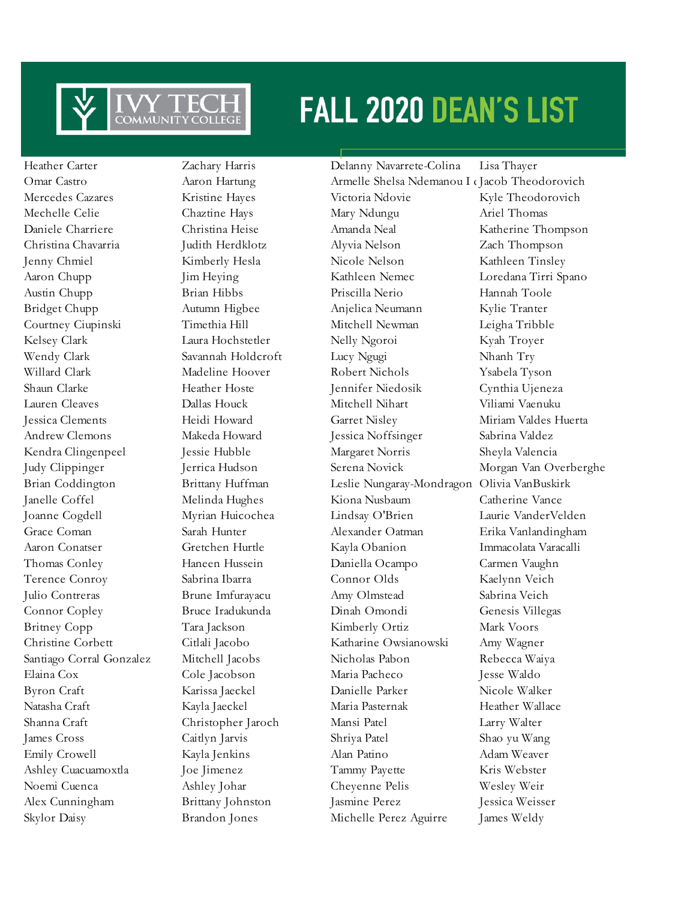

Heather Carter Zachary Harris Delanny Navarrete-Colina Lisa Thayer Skylor Daisy Brandon Jones Michelle Perez Aguirre James Weldy

Omar Castro **Aaron Hartung** Armelle Shelsa Ndemanou I dacob Theodorovich Mercedes Cazares Kristine Hayes Victoria Ndovie Kyle Theodorovich Mechelle Celie Chaztine Hays Mary Ndungu Ariel Thomas Daniele Charriere Christina Heise Amanda Neal Katherine Thompson Christina Chavarria Judith Herdklotz Alyvia Nelson Zach Thompson Jenny Chmiel Kimberly Hesla Nicole Nelson Kathleen Tinsley Aaron Chupp Jim Heying Kathleen Nemec Loredana Tirri Spano Austin Chupp Brian Hibbs Priscilla Nerio Hannah Toole Bridget Chupp Autumn Higbee Anjelica Neumann Kylie Tranter Courtney Ciupinski Timethia Hill Mitchell Newman Leigha Tribble Kelsey Clark Laura Hochstetler Nelly Ngoroi Kyah Troyer Wendy Clark Savannah Holdcroft Lucy Ngugi Nhanh Try Willard Clark Madeline Hoover Robert Nichols Ysabela Tyson Shaun Clarke Heather Hoste Jennifer Niedosik Cynthia Ujeneza Lauren Cleaves Dallas Houck Mitchell Nihart Viliami Vaenuku Jessica Clements Heidi Howard Garret Nisley Miriam Valdes Huerta Andrew Clemons Makeda Howard Jessica Noffsinger Sabrina Valdez Kendra Clingenpeel Jessie Hubble Margaret Norris Sheyla Valencia Judy Clippinger Jerrica Hudson Serena Novick Morgan Van Overberghe Brian Coddington Brittany Huffman Leslie Nungaray-Mondragon Olivia VanBuskirk Janelle Coffel Melinda Hughes Kiona Nusbaum Catherine Vance Joanne Cogdell Myrian Huicochea Lindsay O'Brien Laurie VanderVelden Grace Coman Sarah Hunter Alexander Oatman Erika Vanlandingham Aaron Conatser Gretchen Hurtle Kayla Obanion Immacolata Varacalli Thomas Conley Haneen Hussein Daniella Ocampo Carmen Vaughn Terence Conroy Sabrina Ibarra Connor Olds Kaelynn Veich Julio Contreras Brune Imfurayacu Amy Olmstead Sabrina Veich Connor Copley Bruce Iradukunda Dinah Omondi Genesis Villegas Britney Copp Tara Jackson Kimberly Ortiz Mark Voors Christine Corbett Citlali Jacobo Katharine Owsianowski Amy Wagner Santiago Corral Gonzalez Mitchell Jacobs Nicholas Pabon Rebecca Waiya Elaina Cox Cole Jacobson Maria Pacheco Jesse Waldo Byron Craft Karissa Jaeckel Danielle Parker Nicole Walker Natasha Craft Kayla Jaeckel Maria Pasternak Heather Wallace Shanna Craft Christopher Jaroch Mansi Patel Larry Walter James Cross Caitlyn Jarvis Shriya Patel Shao yu Wang Emily Crowell **Kayla Jenkins** Alan Patino Adam Weaver Ashley Cuacuamoxtla Joe Jimenez Tammy Payette Kris Webster Noemi Cuenca Ashley Johar Cheyenne Pelis Wesley Weir Alex Cunningham Brittany Johnston Jasmine Perez Jessica Weisser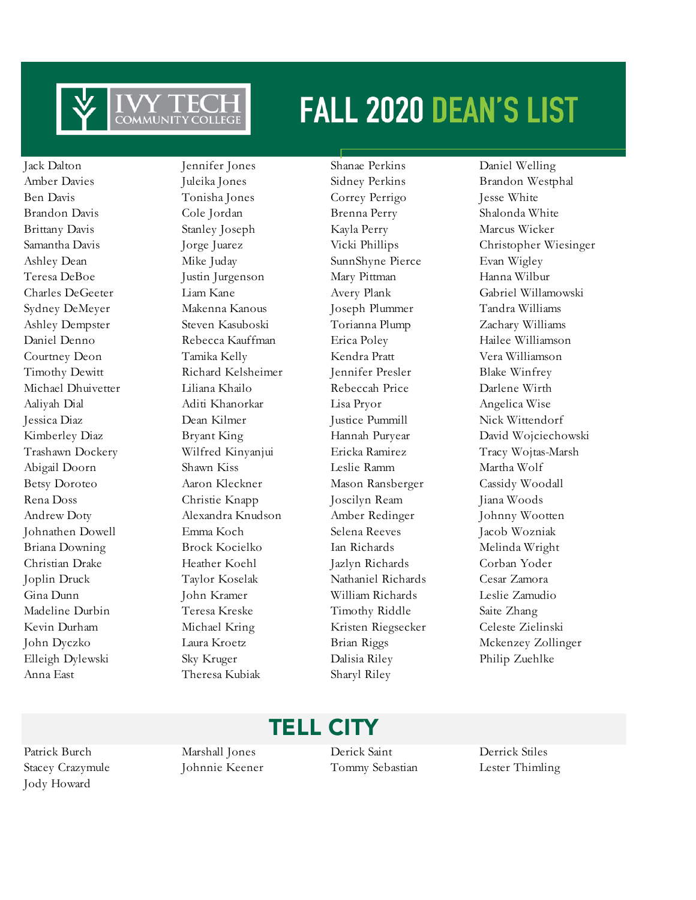

Jack Dalton Jennifer Jones Shanae Perkins Daniel Welling Anna East Theresa Kubiak Sharyl Riley

Amber Davies **Juleika Jones** Sidney Perkins Brandon Westphal Ben Davis Tonisha Jones Correy Perrigo Jesse White Brandon Davis Cole Jordan Brenna Perry Shalonda White Brittany Davis Stanley Joseph Kayla Perry Marcus Wicker Ashley Dean Mike Juday SunnShyne Pierce Evan Wigley Teresa DeBoe Justin Jurgenson Mary Pittman Hanna Wilbur Sydney DeMeyer Makenna Kanous Joseph Plummer Tandra Williams Ashley Dempster Steven Kasuboski Torianna Plump Zachary Williams Daniel Denno Rebecca Kauffman Erica Poley Hailee Williamson Courtney Deon Tamika Kelly Kendra Pratt Vera Williamson Timothy Dewitt Richard Kelsheimer Jennifer Presler Blake Winfrey Michael Dhuivetter Liliana Khailo Rebeccah Price Darlene Wirth Aaliyah Dial Aditi Khanorkar Lisa Pryor Angelica Wise Jessica Diaz Dean Kilmer Justice Pummill Nick Wittendorf Abigail Doorn Shawn Kiss Leslie Ramm Martha Wolf Betsy Doroteo Aaron Kleckner Mason Ransberger Cassidy Woodall Rena Doss Christie Knapp Joscilyn Ream Jiana Woods Andrew Doty Alexandra Knudson Amber Redinger Johnny Wootten Johnathen Dowell Emma Koch Selena Reeves Jacob Wozniak Briana Downing Brock Kocielko Ian Richards Melinda Wright Christian Drake Heather Koehl Jazlyn Richards Corban Yoder Joplin Druck Taylor Koselak Nathaniel Richards Cesar Zamora Gina Dunn John Kramer William Richards Leslie Zamudio Madeline Durbin Teresa Kreske Timothy Riddle Saite Zhang Kevin Durham Michael Kring Kristen Riegsecker Celeste Zielinski Elleigh Dylewski Sky Kruger Dalisia Riley Philip Zuehlke

Samantha Davis Jorge Juarez Vicki Phillips Christopher Wiesinger Charles DeGeeter Liam Kane Avery Plank Gabriel Willamowski Kimberley Diaz Bryant King Hannah Puryear David Wojciechowski Trashawn Dockery Wilfred Kinyanjui Ericka Ramirez Tracy Wojtas-Marsh John Dyczko Laura Kroetz Brian Riggs Mckenzey Zollinger

### TELL CITY

Jody Howard

Patrick Burch Marshall Jones Derick Saint Derrick Stiles Stacey Crazymule Johnnie Keener Tommy Sebastian Lester Thimling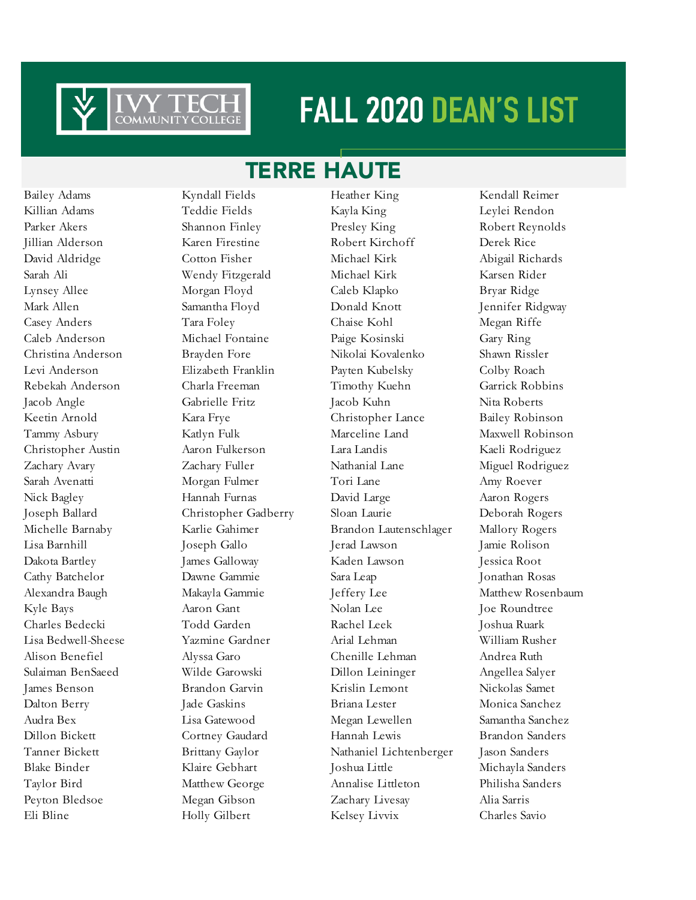

### TERRE HAUTE

Eli Bline Holly Gilbert Kelsey Livvix Charles Savio

Bailey Adams Kyndall Fields Heather King Kendall Reimer Killian Adams Teddie Fields Kayla King Leylei Rendon Parker Akers Shannon Finley Presley King Robert Reynolds Jillian Alderson Karen Firestine Robert Kirchoff Derek Rice David Aldridge Cotton Fisher Michael Kirk Abigail Richards Sarah Ali Wendy Fitzgerald Michael Kirk Karsen Rider Lynsey Allee Morgan Floyd Caleb Klapko Bryar Ridge Mark Allen Samantha Floyd Donald Knott Jennifer Ridgway Casey Anders Tara Foley Chaise Kohl Megan Riffe Caleb Anderson Michael Fontaine Paige Kosinski Gary Ring Christina Anderson Brayden Fore Nikolai Kovalenko Shawn Rissler Levi Anderson Elizabeth Franklin Payten Kubelsky Colby Roach Rebekah Anderson Charla Freeman Timothy Kuehn Garrick Robbins Jacob Angle Gabrielle Fritz Jacob Kuhn Nita Roberts Keetin Arnold Kara Frye Christopher Lance Bailey Robinson Tammy Asbury Katlyn Fulk Marceline Land Maxwell Robinson Christopher Austin Aaron Fulkerson Lara Landis Kaeli Rodriguez Zachary Avary Zachary Fuller Nathanial Lane Miguel Rodriguez Sarah Avenatti Morgan Fulmer Tori Lane Amy Roever Nick Bagley Hannah Furnas David Large Aaron Rogers Joseph Ballard Christopher Gadberry Sloan Laurie Deborah Rogers Michelle Barnaby Karlie Gahimer Brandon Lautenschlager Mallory Rogers Lisa Barnhill Joseph Gallo Jerad Lawson Jamie Rolison Dakota Bartley James Galloway Kaden Lawson Jessica Root Cathy Batchelor Dawne Gammie Sara Leap Jonathan Rosas Alexandra Baugh Makayla Gammie Jeffery Lee Matthew Rosenbaum Kyle Bays **Aaron Gant** Nolan Lee Joe Roundtree Charles Bedecki Todd Garden Rachel Leek Joshua Ruark Lisa Bedwell-Sheese Yazmine Gardner Arial Lehman William Rusher Alison Benefiel Alyssa Garo Chenille Lehman Andrea Ruth Sulaiman BenSaeed Wilde Garowski Dillon Leininger Angellea Salyer James Benson Brandon Garvin Krislin Lemont Nickolas Samet Dalton Berry Jade Gaskins Briana Lester Monica Sanchez Audra Bex Lisa Gatewood Megan Lewellen Samantha Sanchez Dillon Bickett Cortney Gaudard Hannah Lewis Brandon Sanders Tanner Bickett Brittany Gaylor Nathaniel Lichtenberger Jason Sanders Blake Binder Klaire Gebhart Joshua Little Michayla Sanders Taylor Bird Matthew George Annalise Littleton Philisha Sanders Peyton Bledsoe Megan Gibson Zachary Livesay Alia Sarris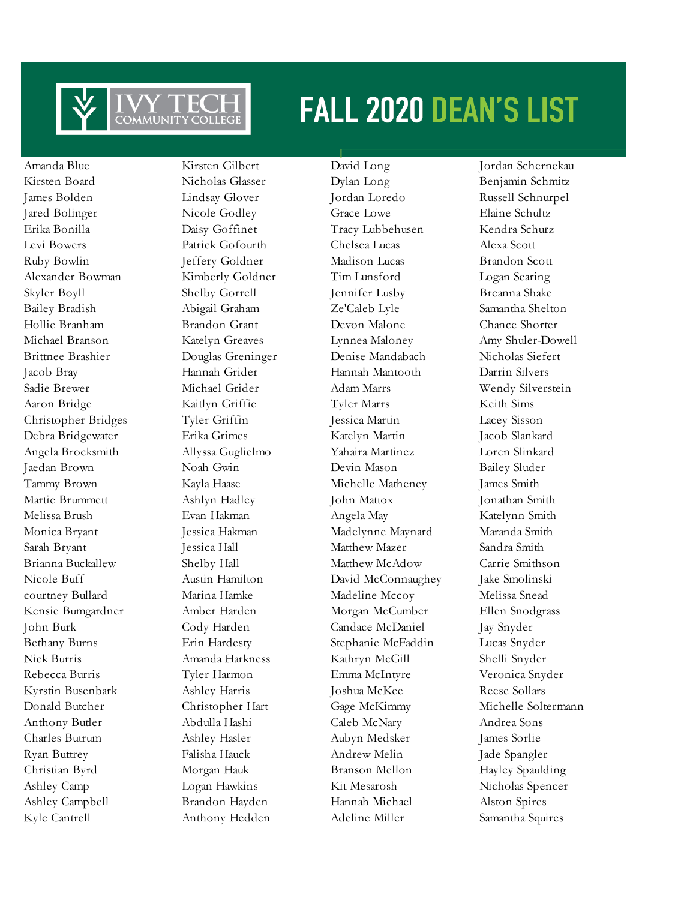

Amanda Blue Kirsten Gilbert David Long Jordan Schernekau

Kirsten Board Nicholas Glasser Dylan Long Benjamin Schmitz James Bolden Lindsay Glover Jordan Loredo Russell Schnurpel Jared Bolinger Nicole Godley Grace Lowe Elaine Schultz Erika Bonilla Daisy Goffinet Tracy Lubbehusen Kendra Schurz Levi Bowers Patrick Gofourth Chelsea Lucas Alexa Scott Ruby Bowlin Jeffery Goldner Madison Lucas Brandon Scott Alexander Bowman Kimberly Goldner Tim Lunsford Logan Searing Skyler Boyll Shelby Gorrell Jennifer Lusby Breanna Shake Bailey Bradish Abigail Graham Ze'Caleb Lyle Samantha Shelton Hollie Branham Brandon Grant Devon Malone Chance Shorter Michael Branson Katelyn Greaves Lynnea Maloney Amy Shuler-Dowell Brittnee Brashier Douglas Greninger Denise Mandabach Nicholas Siefert Jacob Bray Hannah Grider Hannah Mantooth Darrin Silvers Sadie Brewer Michael Grider Adam Marrs Wendy Silverstein Aaron Bridge Kaitlyn Griffie Tyler Marrs Keith Sims Christopher Bridges Tyler Griffin Jessica Martin Lacey Sisson Debra Bridgewater Erika Grimes Katelyn Martin Jacob Slankard Angela Brocksmith Allyssa Guglielmo Yahaira Martinez Loren Slinkard Jaedan Brown Noah Gwin Devin Mason Bailey Sluder Tammy Brown Kayla Haase Michelle Matheney James Smith Martie Brummett Ashlyn Hadley John Mattox Jonathan Smith Melissa Brush Evan Hakman Angela May Katelynn Smith Monica Bryant Jessica Hakman Madelynne Maynard Maranda Smith Sarah Bryant Jessica Hall Matthew Mazer Sandra Smith Brianna Buckallew Shelby Hall Matthew McAdow Carrie Smithson Nicole Buff **Austin Hamilton** David McConnaughey Jake Smolinski courtney Bullard Marina Hamke Madeline Mccoy Melissa Snead Kensie Bumgardner Amber Harden Morgan McCumber Ellen Snodgrass John Burk Cody Harden Candace McDaniel Jay Snyder Bethany Burns Erin Hardesty Stephanie McFaddin Lucas Snyder Nick Burris Amanda Harkness Kathryn McGill Shelli Snyder Rebecca Burris Tyler Harmon Emma McIntyre Veronica Snyder Kyrstin Busenbark Ashley Harris Joshua McKee Reese Sollars Anthony Butler Abdulla Hashi Caleb McNary Andrea Sons Charles Butrum Ashley Hasler Aubyn Medsker James Sorlie Ryan Buttrey Falisha Hauck Andrew Melin Jade Spangler Christian Byrd Morgan Hauk Branson Mellon Hayley Spaulding Ashley Camp Logan Hawkins Kit Mesarosh Nicholas Spencer Ashley Campbell Brandon Hayden Hannah Michael Alston Spires Kyle Cantrell **Anthony Hedden** Adeline Miller Samantha Squires

Donald Butcher Christopher Hart Gage McKimmy Michelle Soltermann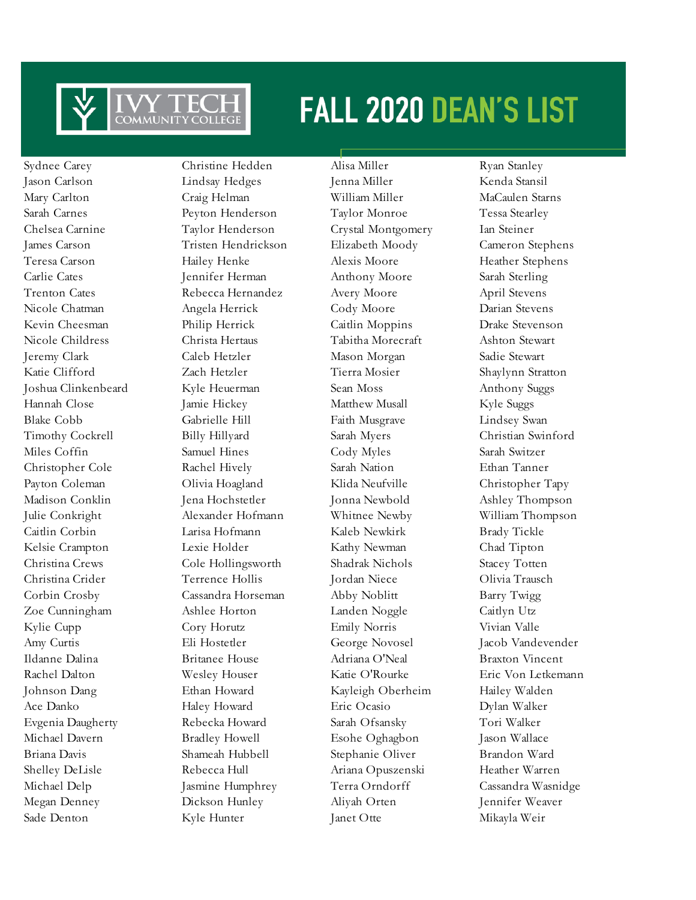

Sydnee Carey Christine Hedden Alisa Miller Ryan Stanley Jason Carlson Lindsay Hedges Jenna Miller Kenda Stansil Mary Carlton Craig Helman William Miller MaCaulen Starns Sarah Carnes Peyton Henderson Taylor Monroe Tessa Stearley Chelsea Carnine Taylor Henderson Crystal Montgomery Ian Steiner James Carson Tristen Hendrickson Elizabeth Moody Cameron Stephens Teresa Carson Hailey Henke Alexis Moore Heather Stephens Carlie Cates Jennifer Herman Anthony Moore Sarah Sterling Trenton Cates **Rebecca Hernandez** Avery Moore April Stevens Nicole Chatman Angela Herrick Cody Moore Darian Stevens Kevin Cheesman Philip Herrick Caitlin Moppins Drake Stevenson Nicole Childress Christa Hertaus Tabitha Morecraft Ashton Stewart Jeremy Clark Caleb Hetzler Mason Morgan Sadie Stewart Katie Clifford Zach Hetzler Tierra Mosier Shaylynn Stratton Joshua Clinkenbeard Kyle Heuerman Sean Moss Anthony Suggs Hannah Close Jamie Hickey Matthew Musall Kyle Suggs Blake Cobb Gabrielle Hill Faith Musgrave Lindsey Swan Timothy Cockrell Billy Hillyard Sarah Myers Christian Swinford Miles Coffin Samuel Hines Cody Myles Sarah Switzer Christopher Cole Rachel Hively Sarah Nation Ethan Tanner Payton Coleman Olivia Hoagland Klida Neufville Christopher Tapy Madison Conklin Jena Hochstetler Jonna Newbold Ashley Thompson Julie Conkright Alexander Hofmann Whitnee Newby William Thompson Caitlin Corbin Larisa Hofmann Kaleb Newkirk Brady Tickle Kelsie Crampton Lexie Holder Kathy Newman Chad Tipton Christina Crews Cole Hollingsworth Shadrak Nichols Stacey Totten Christina Crider Terrence Hollis Jordan Niece Olivia Trausch Corbin Crosby Cassandra Horseman Abby Noblitt Barry Twigg Zoe Cunningham Ashlee Horton Landen Noggle Caitlyn Utz Kylie Cupp Cory Horutz Emily Norris Vivian Valle Amy Curtis Eli Hostetler George Novosel Jacob Vandevender Ildanne Dalina Britanee House Adriana O'Neal Braxton Vincent Rachel Dalton Wesley Houser Katie O'Rourke Eric Von Letkemann Johnson Dang Ethan Howard Kayleigh Oberheim Hailey Walden Ace Danko Haley Howard Eric Ocasio Dylan Walker Evgenia Daugherty Rebecka Howard Sarah Ofsansky Tori Walker Michael Davern Bradley Howell Esohe Oghagbon Jason Wallace Briana Davis Shameah Hubbell Stephanie Oliver Brandon Ward Shelley DeLisle Rebecca Hull Ariana Opuszenski Heather Warren Michael Delp Jasmine Humphrey Terra Orndorff Cassandra Wasnidge Megan Denney Dickson Hunley Aliyah Orten Jennifer Weaver Sade Denton Kyle Hunter Janet Otte Mikayla Weir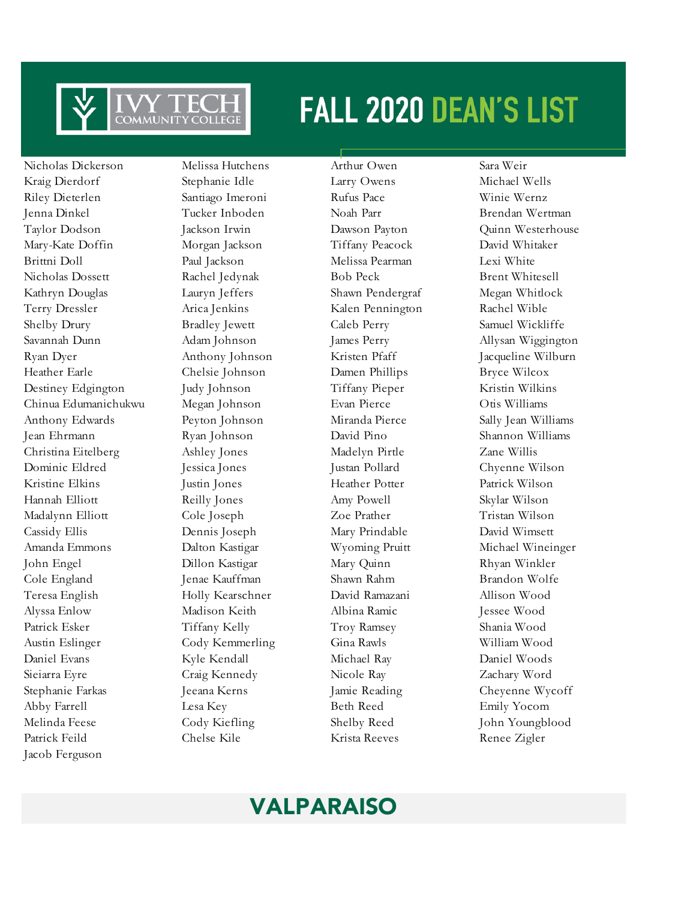

Kraig Dierdorf Stephanie Idle Larry Owens Michael Wells Riley Dieterlen Santiago Imeroni Rufus Pace Winie Wernz Jenna Dinkel Tucker Inboden Noah Parr Brendan Wertman Mary-Kate Doffin Morgan Jackson Tiffany Peacock David Whitaker Brittni Doll Paul Jackson Melissa Pearman Lexi White Nicholas Dossett Rachel Jedynak Bob Peck Brent Whitesell Kathryn Douglas Lauryn Jeffers Shawn Pendergraf Megan Whitlock Terry Dressler Arica Jenkins Kalen Pennington Rachel Wible Shelby Drury Bradley Jewett Caleb Perry Samuel Wickliffe Savannah Dunn Adam Johnson James Perry Allysan Wiggington Ryan Dyer Anthony Johnson Kristen Pfaff Jacqueline Wilburn Heather Earle Chelsie Johnson Damen Phillips Bryce Wilcox Destiney Edgington Judy Johnson Tiffany Pieper Kristin Wilkins Chinua Edumanichukwu Megan Johnson Evan Pierce Otis Williams Anthony Edwards Peyton Johnson Miranda Pierce Sally Jean Williams Jean Ehrmann Ryan Johnson David Pino Shannon Williams Christina Eitelberg Ashley Jones Madelyn Pirtle Zane Willis Dominic Eldred Jessica Jones Justan Pollard Chyenne Wilson Kristine Elkins **Justin Jones** Heather Potter Patrick Wilson Hannah Elliott Reilly Jones Amy Powell Skylar Wilson Madalynn Elliott Cole Joseph Zoe Prather Tristan Wilson Cassidy Ellis Dennis Joseph Mary Prindable David Wimsett Amanda Emmons Dalton Kastigar Wyoming Pruitt Michael Wineinger John Engel Dillon Kastigar Mary Quinn Rhyan Winkler Cole England Jenae Kauffman Shawn Rahm Brandon Wolfe Teresa English Holly Kearschner David Ramazani Allison Wood Alyssa Enlow Madison Keith Albina Ramic Jessee Wood Patrick Esker Tiffany Kelly Troy Ramsey Shania Wood Austin Eslinger Cody Kemmerling Gina Rawls William Wood Daniel Evans Kyle Kendall Michael Ray Daniel Woods Sieiarra Eyre Craig Kennedy Nicole Ray Zachary Word Stephanie Farkas Jeeana Kerns Jamie Reading Cheyenne Wycoff Abby Farrell **Lesa Key** Beth Reed Emily Yocom Melinda Feese Cody Kiefling Shelby Reed John Youngblood Patrick Feild Chelse Kile Krista Reeves Renee Zigler Jacob Ferguson

Nicholas Dickerson Melissa Hutchens Arthur Owen Sara Weir

Taylor Dodson Jackson Irwin Dawson Payton Quinn Westerhouse

### VALPARAISO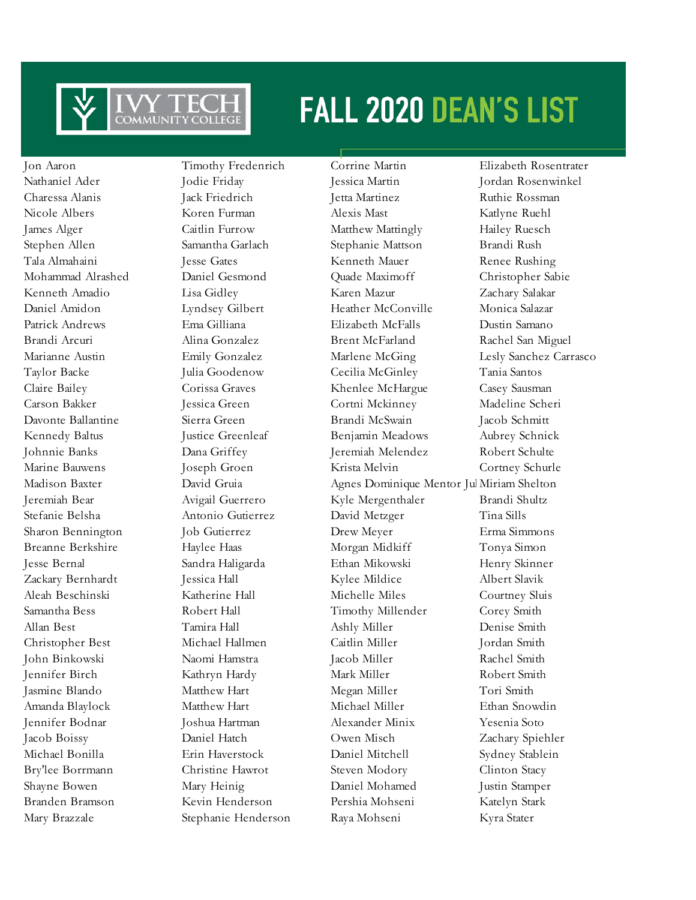

Mary Brazzale Stephanie Henderson Raya Mohseni Kyra Stater

Jon Aaron Timothy Fredenrich Corrine Martin Elizabeth Rosentrater

Nathaniel Ader Jodie Friday Jessica Martin Jordan Rosenwinkel Charessa Alanis Jack Friedrich Jetta Martinez Ruthie Rossman Nicole Albers Koren Furman Alexis Mast Katlyne Ruehl James Alger Caitlin Furrow Matthew Mattingly Hailey Ruesch Stephen Allen Samantha Garlach Stephanie Mattson Brandi Rush Tala Almahaini Jesse Gates Kenneth Mauer Renee Rushing Mohammad Alrashed Daniel Gesmond Quade Maximoff Christopher Sabie Kenneth Amadio Lisa Gidley Karen Mazur Zachary Salakar Daniel Amidon Lyndsey Gilbert Heather McConville Monica Salazar Patrick Andrews Ema Gilliana Elizabeth McFalls Dustin Samano Brandi Arcuri Alina Gonzalez Brent McFarland Rachel San Miguel Marianne Austin Emily Gonzalez Marlene McGing Lesly Sanchez Carrasco Taylor Backe Julia Goodenow Cecilia McGinley Tania Santos Claire Bailey Corissa Graves Khenlee McHargue Casey Sausman Carson Bakker Jessica Green Cortni Mckinney Madeline Scheri Davonte Ballantine Sierra Green Brandi McSwain Jacob Schmitt Kennedy Baltus Justice Greenleaf Benjamin Meadows Aubrey Schnick Johnnie Banks Dana Griffey Jeremiah Melendez Robert Schulte Marine Bauwens Joseph Groen Krista Melvin Cortney Schurle Madison Baxter David Gruia Agnes Dominique Mentor Jul Miriam Shelton Jeremiah Bear Avigail Guerrero Kyle Mergenthaler Brandi Shultz Stefanie Belsha Antonio Gutierrez David Metzger Tina Sills Sharon Bennington Job Gutierrez Drew Meyer Erma Simmons Breanne Berkshire Haylee Haas Morgan Midkiff Tonya Simon Jesse Bernal Sandra Haligarda Ethan Mikowski Henry Skinner Zackary Bernhardt Jessica Hall Kylee Mildice Albert Slavik Aleah Beschinski Katherine Hall Michelle Miles Courtney Sluis Samantha Bess Robert Hall Timothy Millender Corey Smith Allan Best Tamira Hall Ashly Miller Denise Smith Christopher Best Michael Hallmen Caitlin Miller Jordan Smith John Binkowski Naomi Hamstra Jacob Miller Rachel Smith Jennifer Birch Kathryn Hardy Mark Miller Robert Smith Jasmine Blando **Matthew Hart** Megan Miller Tori Smith Amanda Blaylock Matthew Hart Michael Miller Ethan Snowdin Jennifer Bodnar Joshua Hartman Alexander Minix Yesenia Soto Jacob Boissy Daniel Hatch Owen Misch Zachary Spiehler Michael Bonilla Erin Haverstock Daniel Mitchell Sydney Stablein Bry'lee Borrmann Christine Hawrot Steven Modory Clinton Stacy Shayne Bowen Mary Heinig Daniel Mohamed Justin Stamper Branden Bramson Kevin Henderson Pershia Mohseni Katelyn Stark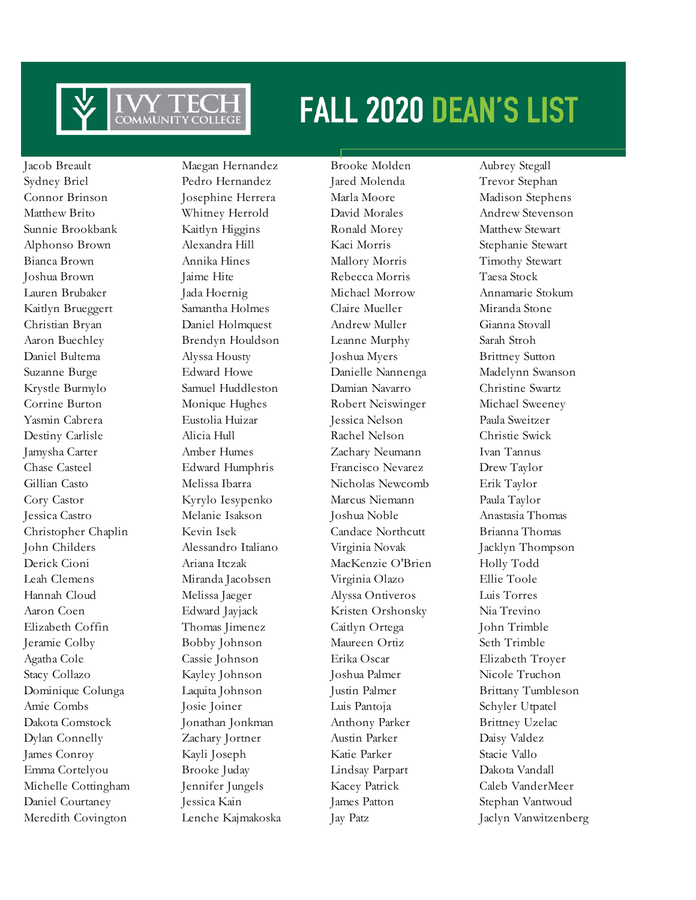

Meredith Covington Lenche Kajmakoska Jay Patz Jaclyn Vanwitzenberg

Jacob Breault Maegan Hernandez Brooke Molden Aubrey Stegall Sydney Briel Pedro Hernandez Jared Molenda Trevor Stephan Connor Brinson Josephine Herrera Marla Moore Madison Stephens Matthew Brito Whitney Herrold David Morales Andrew Stevenson Sunnie Brookbank Kaitlyn Higgins Ronald Morey Matthew Stewart Alphonso Brown Alexandra Hill Kaci Morris Stephanie Stewart Bianca Brown Annika Hines Mallory Morris Timothy Stewart Joshua Brown Jaime Hite Rebecca Morris Taesa Stock Lauren Brubaker Jada Hoernig Michael Morrow Annamarie Stokum Kaitlyn Brueggert Samantha Holmes Claire Mueller Miranda Stone Christian Bryan Daniel Holmquest Andrew Muller Gianna Stovall Aaron Buechley Brendyn Houldson Leanne Murphy Sarah Stroh Daniel Bultema Alyssa Housty Joshua Myers Brittney Sutton Suzanne Burge Edward Howe Danielle Nannenga Madelynn Swanson Krystle Burmylo Samuel Huddleston Damian Navarro Christine Swartz Corrine Burton Monique Hughes Robert Neiswinger Michael Sweeney Yasmin Cabrera Eustolia Huizar Jessica Nelson Paula Sweitzer Destiny Carlisle Alicia Hull Rachel Nelson Christie Swick Jamysha Carter Amber Humes Zachary Neumann Ivan Tannus Chase Casteel Edward Humphris Francisco Nevarez Drew Taylor Gillian Casto Melissa Ibarra Nicholas Newcomb Erik Taylor Cory Castor Kyrylo Iesypenko Marcus Niemann Paula Taylor Jessica Castro Melanie Isakson Joshua Noble Anastasia Thomas Christopher Chaplin Kevin Isek Candace Northcutt Brianna Thomas John Childers Alessandro Italiano Virginia Novak Jacklyn Thompson Derick Cioni Ariana Itczak MacKenzie O'Brien Holly Todd Leah Clemens Miranda Jacobsen Virginia Olazo Ellie Toole Hannah Cloud Melissa Jaeger Alyssa Ontiveros Luis Torres Aaron Coen Edward Jayjack Kristen Orshonsky Nia Trevino Elizabeth Coffin Thomas Jimenez Caitlyn Ortega John Trimble Jeramie Colby Bobby Johnson Maureen Ortiz Seth Trimble Agatha Cole Cassie Johnson Erika Oscar Elizabeth Troyer Stacy Collazo Kayley Johnson Joshua Palmer Nicole Truchon Dominique Colunga Laquita Johnson Justin Palmer Brittany Tumbleson Amie Combs Josie Joiner Luis Pantoja Schyler Utpatel Dakota Comstock Jonathan Jonkman Anthony Parker Brittney Uzelac Dylan Connelly Zachary Jortner Austin Parker Daisy Valdez James Conroy Kayli Joseph Katie Parker Stacie Vallo Emma Cortelyou Brooke Juday Lindsay Parpart Dakota Vandall Michelle Cottingham Jennifer Jungels Kacey Patrick Caleb VanderMeer Daniel Courtaney Jessica Kain James Patton Stephan Vantwoud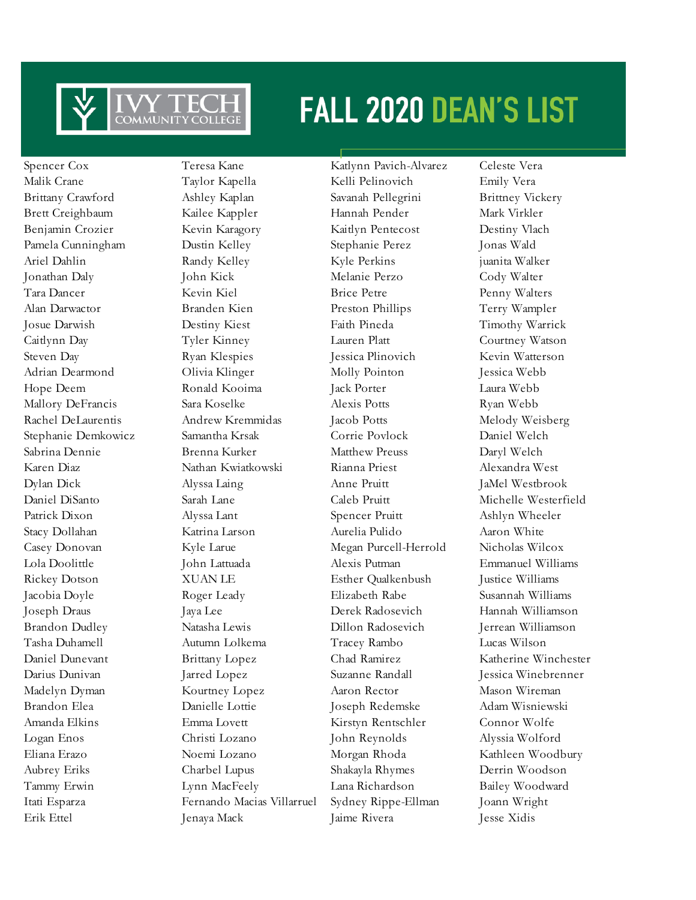

Erik Ettel Jenaya Mack Jaime Rivera Jesse Xidis

Spencer Cox Teresa Kane Katlynn Pavich-Alvarez Celeste Vera

Malik Crane Taylor Kapella Kelli Pelinovich Emily Vera Brittany Crawford Ashley Kaplan Savanah Pellegrini Brittney Vickery Brett Creighbaum Kailee Kappler Hannah Pender Mark Virkler Benjamin Crozier Kevin Karagory Kaitlyn Pentecost Destiny Vlach Pamela Cunningham Dustin Kelley Stephanie Perez Jonas Wald Ariel Dahlin **Randy Kelley Kyle Perkins** juanita Walker Jonathan Daly John Kick Melanie Perzo Cody Walter Tara Dancer Kevin Kiel Brice Petre Penny Walters Alan Darwactor Branden Kien Preston Phillips Terry Wampler Josue Darwish Destiny Kiest Faith Pineda Timothy Warrick Caitlynn Day Tyler Kinney Lauren Platt Courtney Watson Steven Day **Ryan Klespies** Jessica Plinovich Kevin Watterson Adrian Dearmond Olivia Klinger Molly Pointon Jessica Webb Hope Deem Ronald Kooima Jack Porter Laura Webb Mallory DeFrancis Sara Koselke Alexis Potts Ryan Webb Rachel DeLaurentis Andrew Kremmidas Jacob Potts Melody Weisberg Stephanie Demkowicz Samantha Krsak Corrie Povlock Daniel Welch Sabrina Dennie Brenna Kurker Matthew Preuss Daryl Welch Karen Diaz Nathan Kwiatkowski Rianna Priest Alexandra West Dylan Dick Alyssa Laing Anne Pruitt JaMel Westbrook Patrick Dixon Alyssa Lant Spencer Pruitt Ashlyn Wheeler Stacy Dollahan Katrina Larson Aurelia Pulido Aaron White Casey Donovan Kyle Larue Megan Purcell-Herrold Nicholas Wilcox Lola Doolittle John Lattuada Alexis Putman Emmanuel Williams Rickey Dotson  $XUAN LE$  Esther Qualkenbush Justice Williams Jacobia Doyle Roger Leady Elizabeth Rabe Susannah Williams Joseph Draus Jaya Lee Derek Radosevich Hannah Williamson Brandon Dudley Natasha Lewis Dillon Radosevich Jerrean Williamson Tasha Duhamell Autumn Lolkema Tracey Rambo Lucas Wilson Darius Dunivan Jarred Lopez Suzanne Randall Jessica Winebrenner Madelyn Dyman Kourtney Lopez Aaron Rector Mason Wireman Brandon Elea Danielle Lottie Joseph Redemske Adam Wisniewski Amanda Elkins Emma Lovett Kirstyn Rentschler Connor Wolfe Logan Enos Christi Lozano John Reynolds Alyssia Wolford Eliana Erazo Noemi Lozano Morgan Rhoda Kathleen Woodbury Aubrey Eriks Charbel Lupus Shakayla Rhymes Derrin Woodson Tammy Erwin Lynn MacFeely Lana Richardson Bailey Woodward Itati Esparza Fernando Macias Villarruel Sydney Rippe-Ellman Joann Wright

Daniel DiSanto Sarah Lane Caleb Pruitt Michelle Westerfield Daniel Dunevant Brittany Lopez Chad Ramirez Katherine Winchester